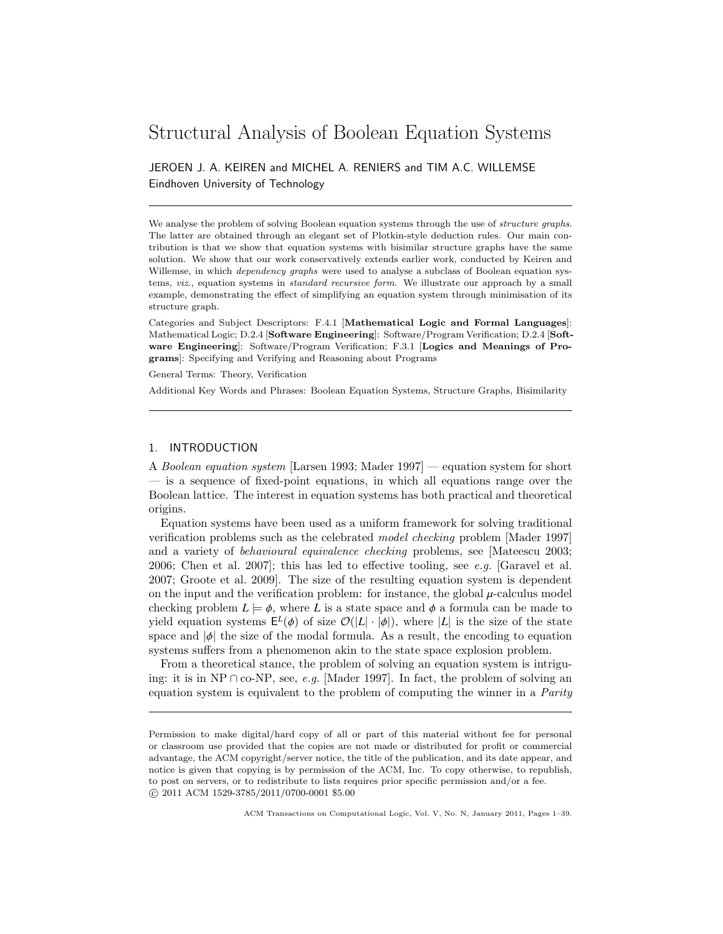# Structural Analysis of Boolean Equation Systems

JEROEN J. A. KEIREN and MICHEL A. RENIERS and TIM A.C. WILLEMSE Eindhoven University of Technology

We analyse the problem of solving Boolean equation systems through the use of *structure graphs*. The latter are obtained through an elegant set of Plotkin-style deduction rules. Our main contribution is that we show that equation systems with bisimilar structure graphs have the same solution. We show that our work conservatively extends earlier work, conducted by Keiren and Willemse, in which *dependency graphs* were used to analyse a subclass of Boolean equation systems, *viz.*, equation systems in *standard recursive form*. We illustrate our approach by a small example, demonstrating the effect of simplifying an equation system through minimisation of its structure graph.

Categories and Subject Descriptors: F.4.1 [Mathematical Logic and Formal Languages]: Mathematical Logic; D.2.4 [Software Engineering]: Software/Program Verification; D.2.4 [Software Engineering]: Software/Program Verification; F.3.1 [Logics and Meanings of Programs]: Specifying and Verifying and Reasoning about Programs

General Terms: Theory, Verification

Additional Key Words and Phrases: Boolean Equation Systems, Structure Graphs, Bisimilarity

# 1. INTRODUCTION

A Boolean equation system [Larsen 1993; Mader 1997] — equation system for short — is a sequence of fixed-point equations, in which all equations range over the Boolean lattice. The interest in equation systems has both practical and theoretical origins.

Equation systems have been used as a uniform framework for solving traditional verification problems such as the celebrated model checking problem [Mader 1997] and a variety of behavioural equivalence checking problems, see [Mateescu 2003; 2006; Chen et al. 2007]; this has led to effective tooling, see e.g. [Garavel et al. 2007; Groote et al. 2009]. The size of the resulting equation system is dependent on the input and the verification problem: for instance, the global  $\mu$ -calculus model checking problem  $L \models \phi$ , where L is a state space and  $\phi$  a formula can be made to yield equation systems  $E^{L}(\phi)$  of size  $\mathcal{O}(|L| \cdot |\phi|)$ , where  $|L|$  is the size of the state<br>space and  $|d|$  the size of the modal formula. As a result, the encoding to equation space and  $|\phi|$  the size of the modal formula. As a result, the encoding to equation systems suffers from a phenomenon akin to the state space explosion problem.

From a theoretical stance, the problem of solving an equation system is intriguing: it is in NP ∩ co-NP, see, e.g. [Mader 1997]. In fact, the problem of solving an equation system is equivalent to the problem of computing the winner in a Parity

Permission to make digital/hard copy of all or part of this material without fee for personal or classroom use provided that the copies are not made or distributed for profit or commercial advantage, the ACM copyright/server notice, the title of the publication, and its date appear, and notice is given that copying is by permission of the ACM, Inc. To copy otherwise, to republish, to post on servers, or to redistribute to lists requires prior specific permission and/or a fee. c 2011 ACM 1529-3785/2011/0700-0001 \$5.00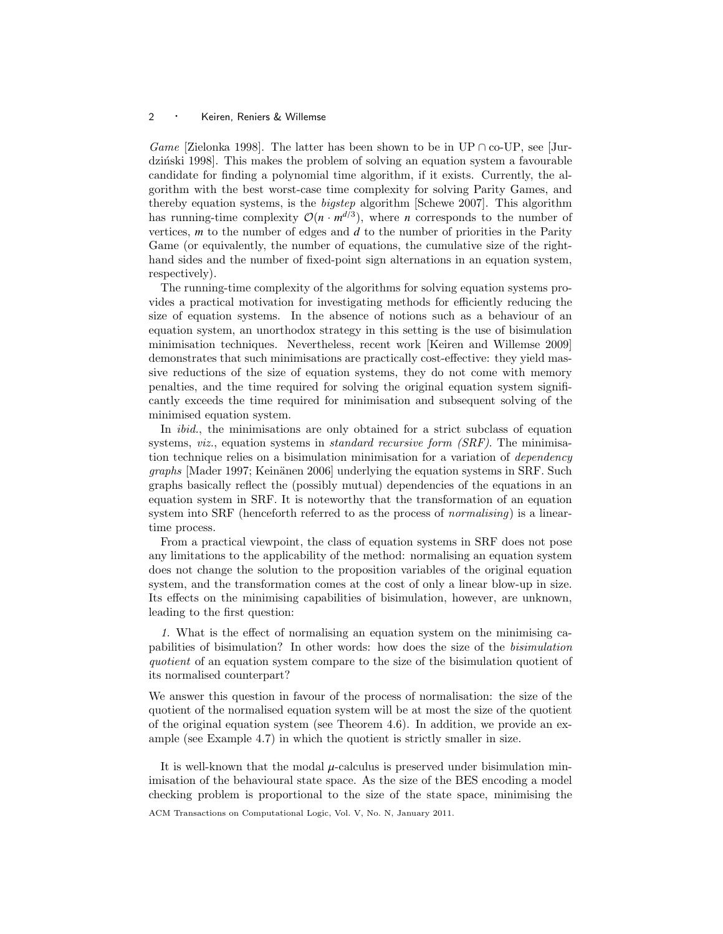Game [Zielonka 1998]. The latter has been shown to be in UP  $\cap$  co-UP, see [Jurdziński 1998]. This makes the problem of solving an equation system a favourable candidate for finding a polynomial time algorithm, if it exists. Currently, the algorithm with the best worst-case time complexity for solving Parity Games, and thereby equation systems, is the bigstep algorithm [Schewe 2007]. This algorithm has running-time complexity  $\mathcal{O}(n \cdot m^{d/3})$ , where *n* corresponds to the number of vertices, *m* to the number of edges and *d* to the number of priorities in the Parity Game (or equivalently, the number of equations, the cumulative size of the righthand sides and the number of fixed-point sign alternations in an equation system, respectively).

The running-time complexity of the algorithms for solving equation systems provides a practical motivation for investigating methods for efficiently reducing the size of equation systems. In the absence of notions such as a behaviour of an equation system, an unorthodox strategy in this setting is the use of bisimulation minimisation techniques. Nevertheless, recent work [Keiren and Willemse 2009] demonstrates that such minimisations are practically cost-effective: they yield massive reductions of the size of equation systems, they do not come with memory penalties, and the time required for solving the original equation system significantly exceeds the time required for minimisation and subsequent solving of the minimised equation system.

In *ibid.*, the minimisations are only obtained for a strict subclass of equation systems, *viz.*, equation systems in *standard recursive form (SRF)*. The minimisation technique relies on a bisimulation minimisation for a variation of dependency graphs [Mader 1997; Keinänen 2006] underlying the equation systems in SRF. Such graphs basically reflect the (possibly mutual) dependencies of the equations in an equation system in SRF. It is noteworthy that the transformation of an equation system into SRF (henceforth referred to as the process of *normalising*) is a lineartime process.

From a practical viewpoint, the class of equation systems in SRF does not pose any limitations to the applicability of the method: normalising an equation system does not change the solution to the proposition variables of the original equation system, and the transformation comes at the cost of only a linear blow-up in size. Its effects on the minimising capabilities of bisimulation, however, are unknown, leading to the first question:

1. What is the effect of normalising an equation system on the minimising capabilities of bisimulation? In other words: how does the size of the bisimulation quotient of an equation system compare to the size of the bisimulation quotient of its normalised counterpart?

We answer this question in favour of the process of normalisation: the size of the quotient of the normalised equation system will be at most the size of the quotient of the original equation system (see Theorem 4.6). In addition, we provide an example (see Example 4.7) in which the quotient is strictly smaller in size.

It is well-known that the modal  $\mu$ -calculus is preserved under bisimulation minimisation of the behavioural state space. As the size of the BES encoding a model checking problem is proportional to the size of the state space, minimising the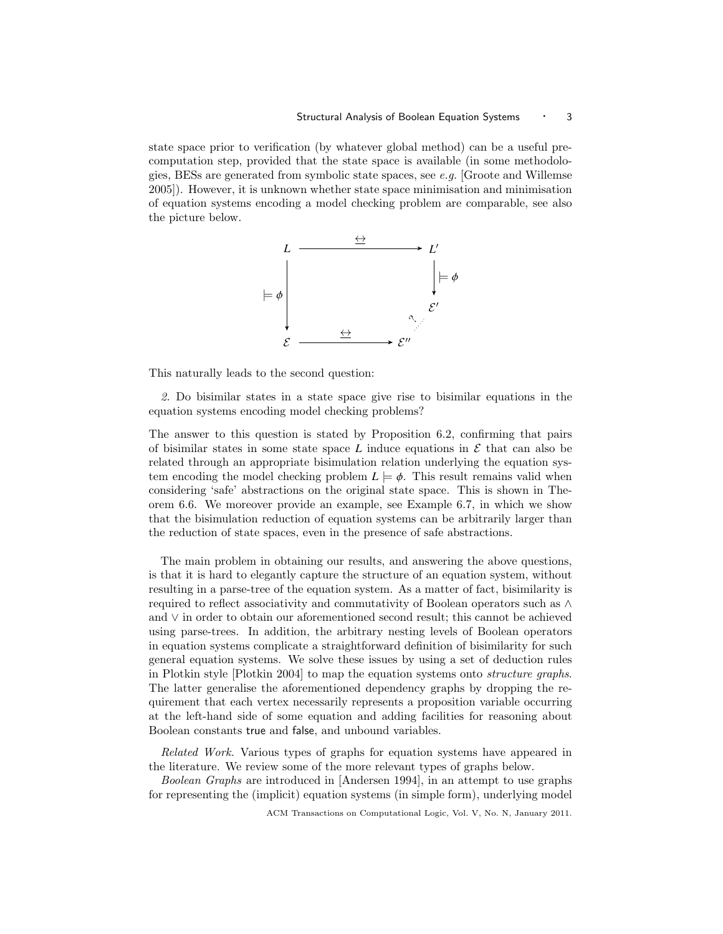state space prior to verification (by whatever global method) can be a useful precomputation step, provided that the state space is available (in some methodologies, BESs are generated from symbolic state spaces, see e.g. [Groote and Willemse 2005]). However, it is unknown whether state space minimisation and minimisation of equation systems encoding a model checking problem are comparable, see also the picture below.



This naturally leads to the second question:

2. Do bisimilar states in a state space give rise to bisimilar equations in the equation systems encoding model checking problems?

The answer to this question is stated by Proposition 6.2, confirming that pairs of bisimilar states in some state space  $L$  induce equations in  $\mathcal E$  that can also be related through an appropriate bisimulation relation underlying the equation system encoding the model checking problem  $L \models \phi$ . This result remains valid when considering 'safe' abstractions on the original state space. This is shown in Theorem 6.6. We moreover provide an example, see Example 6.7, in which we show that the bisimulation reduction of equation systems can be arbitrarily larger than the reduction of state spaces, even in the presence of safe abstractions.

The main problem in obtaining our results, and answering the above questions, is that it is hard to elegantly capture the structure of an equation system, without resulting in a parse-tree of the equation system. As a matter of fact, bisimilarity is required to reflect associativity and commutativity of Boolean operators such as ∧ and ∨ in order to obtain our aforementioned second result; this cannot be achieved using parse-trees. In addition, the arbitrary nesting levels of Boolean operators in equation systems complicate a straightforward definition of bisimilarity for such general equation systems. We solve these issues by using a set of deduction rules in Plotkin style [Plotkin 2004] to map the equation systems onto structure graphs. The latter generalise the aforementioned dependency graphs by dropping the requirement that each vertex necessarily represents a proposition variable occurring at the left-hand side of some equation and adding facilities for reasoning about Boolean constants true and false, and unbound variables.

Related Work. Various types of graphs for equation systems have appeared in the literature. We review some of the more relevant types of graphs below.

Boolean Graphs are introduced in [Andersen 1994], in an attempt to use graphs for representing the (implicit) equation systems (in simple form), underlying model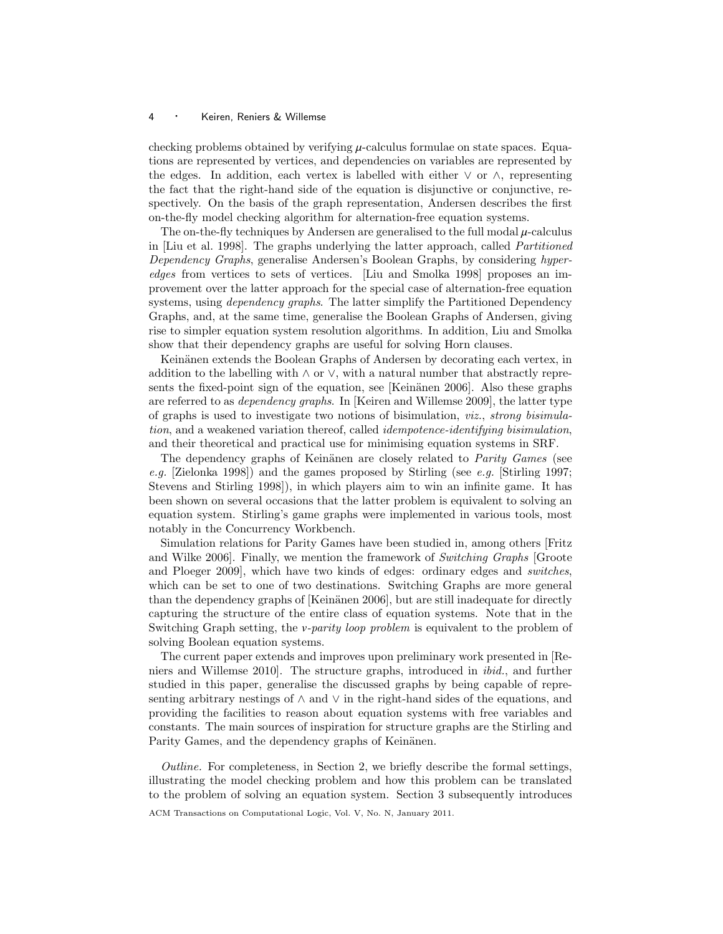checking problems obtained by verifying  $\mu$ -calculus formulae on state spaces. Equations are represented by vertices, and dependencies on variables are represented by the edges. In addition, each vertex is labelled with either  $\vee$  or  $\wedge$ , representing the fact that the right-hand side of the equation is disjunctive or conjunctive, respectively. On the basis of the graph representation, Andersen describes the first on-the-fly model checking algorithm for alternation-free equation systems.

The on-the-fly techniques by Andersen are generalised to the full modal  $\mu$ -calculus in [Liu et al. 1998]. The graphs underlying the latter approach, called Partitioned Dependency Graphs, generalise Andersen's Boolean Graphs, by considering hyperedges from vertices to sets of vertices. [Liu and Smolka 1998] proposes an improvement over the latter approach for the special case of alternation-free equation systems, using *dependency graphs*. The latter simplify the Partitioned Dependency Graphs, and, at the same time, generalise the Boolean Graphs of Andersen, giving rise to simpler equation system resolution algorithms. In addition, Liu and Smolka show that their dependency graphs are useful for solving Horn clauses.

Keinänen extends the Boolean Graphs of Andersen by decorating each vertex, in addition to the labelling with  $\land$  or  $\lor$ , with a natural number that abstractly represents the fixed-point sign of the equation, see [Keinänen 2006]. Also these graphs are referred to as dependency graphs. In [Keiren and Willemse 2009], the latter type of graphs is used to investigate two notions of bisimulation, viz., strong bisimulation, and a weakened variation thereof, called idempotence-identifying bisimulation, and their theoretical and practical use for minimising equation systems in SRF.

The dependency graphs of Keinänen are closely related to *Parity Games* (see e.g. [Zielonka 1998]) and the games proposed by Stirling (see e.g. [Stirling 1997; Stevens and Stirling 1998]), in which players aim to win an infinite game. It has been shown on several occasions that the latter problem is equivalent to solving an equation system. Stirling's game graphs were implemented in various tools, most notably in the Concurrency Workbench.

Simulation relations for Parity Games have been studied in, among others [Fritz and Wilke 2006]. Finally, we mention the framework of Switching Graphs [Groote and Ploeger 2009], which have two kinds of edges: ordinary edges and switches, which can be set to one of two destinations. Switching Graphs are more general than the dependency graphs of  $K$ einänen 2006, but are still inadequate for directly capturing the structure of the entire class of equation systems. Note that in the Switching Graph setting, the *v*-parity loop problem is equivalent to the problem of solving Boolean equation systems.

The current paper extends and improves upon preliminary work presented in [Reniers and Willemse 2010]. The structure graphs, introduced in ibid., and further studied in this paper, generalise the discussed graphs by being capable of representing arbitrary nestings of  $\land$  and  $\lor$  in the right-hand sides of the equations, and providing the facilities to reason about equation systems with free variables and constants. The main sources of inspiration for structure graphs are the Stirling and Parity Games, and the dependency graphs of Keinänen.

Outline. For completeness, in Section 2, we briefly describe the formal settings, illustrating the model checking problem and how this problem can be translated to the problem of solving an equation system. Section 3 subsequently introduces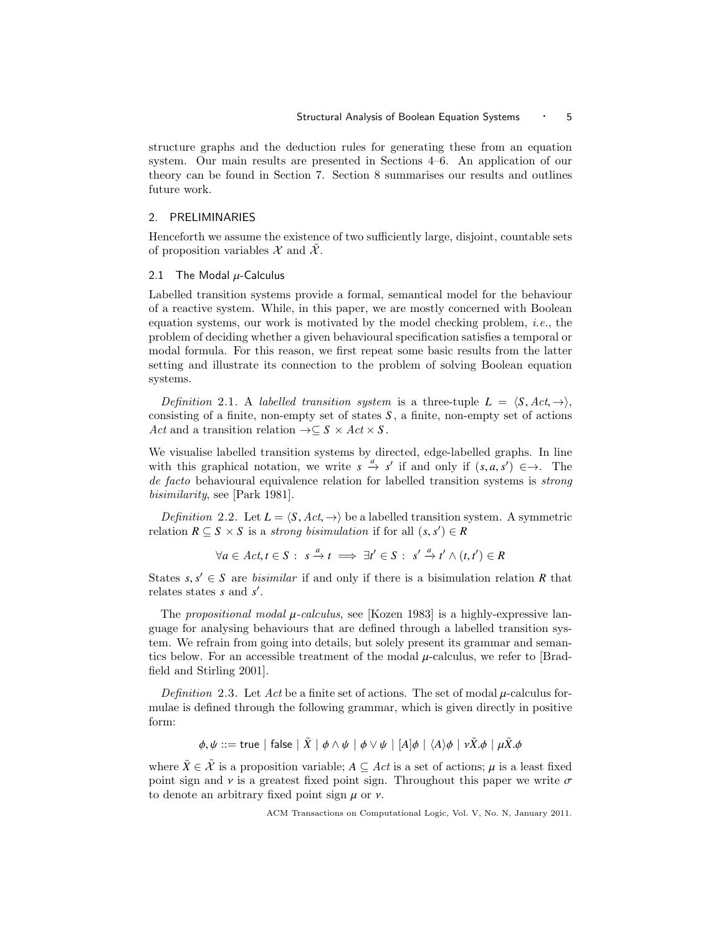structure graphs and the deduction rules for generating these from an equation system. Our main results are presented in Sections 4–6. An application of our theory can be found in Section 7. Section 8 summarises our results and outlines future work.

# 2. PRELIMINARIES

Henceforth we assume the existence of two sufficiently large, disjoint, countable sets of proposition variables  $\mathcal X$  and  $\mathcal X$ .

### 2.1 The Modal  $\mu$ -Calculus

Labelled transition systems provide a formal, semantical model for the behaviour of a reactive system. While, in this paper, we are mostly concerned with Boolean equation systems, our work is motivated by the model checking problem, *i.e.*, the problem of deciding whether a given behavioural specification satisfies a temporal or modal formula. For this reason, we first repeat some basic results from the latter setting and illustrate its connection to the problem of solving Boolean equation systems.

Definition 2.1. A labelled transition system is a three-tuple  $L = \langle S, Act, \rightarrow \rangle$ , consisting of a finite, non-empty set of states *S* , a finite, non-empty set of actions Act and a transition relation  $\rightarrow \subseteq S \times Act \times S$ .

We visualise labelled transition systems by directed, edge-labelled graphs. In line with this graphical notation, we write  $s \xrightarrow{a} s'$  if and only if  $(s, a, s') \in \rightarrow$ . The de facto behavioural equivalence relation for labelled transition systems is *strong* bisimilarity, see [Park 1981].

*Definition* 2.2. Let  $L = \langle S, Act, \rightarrow \rangle$  be a labelled transition system. A symmetric relation  $R \subseteq S \times S$  is a *strong bisimulation* if for all  $(s, s') \in R$ 

 $\forall a \in Act, t \in S: s \stackrel{a}{\rightarrow} t \implies \exists t' \in S: s' \stackrel{a}{\rightarrow} t' \wedge (t, t') \in R$ 

States *s*,  $s' \in S$  are *bisimilar* if and only if there is a bisimulation relation *R* that relates states *s* and  $s'$ relates states *s* and *s'*.

The propositional modal  $\mu$ -calculus, see [Kozen 1983] is a highly-expressive language for analysing behaviours that are defined through a labelled transition system. We refrain from going into details, but solely present its grammar and semantics below. For an accessible treatment of the modal  $\mu$ -calculus, we refer to [Bradfield and Stirling 2001].

Definition 2.3. Let Act be a finite set of actions. The set of modal  $\mu$ -calculus formulae is defined through the following grammar, which is given directly in positive form:

 $\phi, \psi ::=$  true | false |  $\tilde{X}$  |  $\phi \wedge \psi$  |  $\phi \vee \psi$  |  $[A]\phi$  |  $\langle A \rangle \phi$  |  $\nu \tilde{X} \phi$  |  $\mu \tilde{X} \phi$ 

where  $\tilde{X} \in \tilde{\mathcal{X}}$  is a proposition variable;  $A \subseteq Act$  is a set of actions;  $\mu$  is a least fixed point sign and  $\nu$  is a greatest fixed point sign. Throughout this paper we write  $\sigma$ to denote an arbitrary fixed point sign  $\mu$  or  $\nu$ .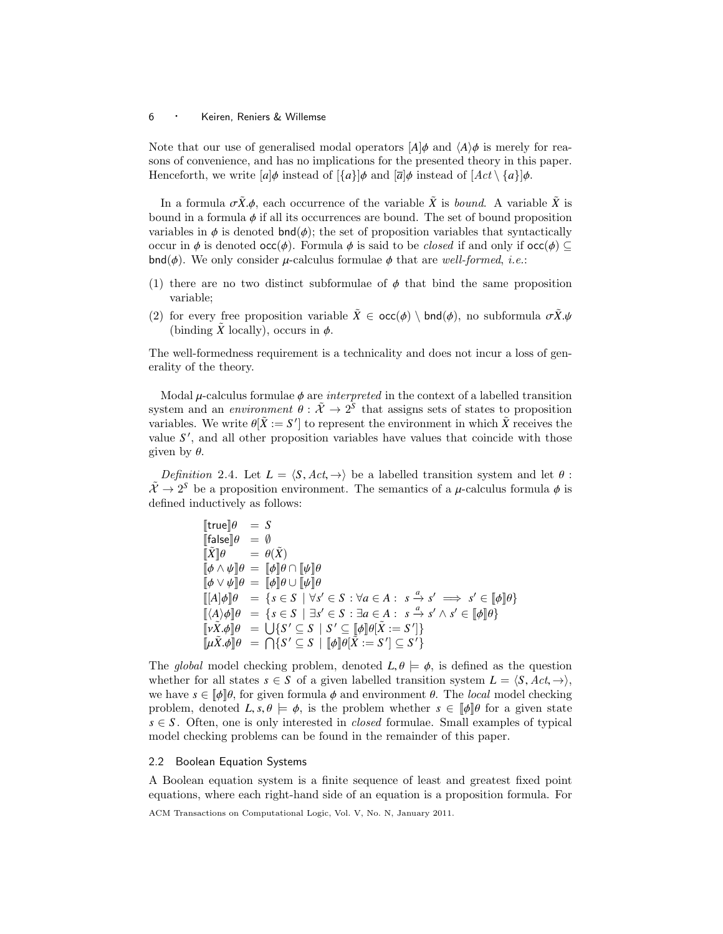Note that our use of generalised modal operators  $A|\phi$  and  $\langle A \rangle \phi$  is merely for reasons of convenience, and has no implications for the presented theory in this paper. Henceforth, we write  $[a]\phi$  instead of  $\{a\}]\phi$  and  $\overline{a}]\phi$  instead of  $\overline{A}ct \setminus \{a\}]\phi$ .

In a formula  $\sigma \tilde{X}\phi$ , each occurrence of the variable  $\tilde{X}$  is bound. A variable  $\tilde{X}$  is bound in a formula  $\phi$  if all its occurrences are bound. The set of bound proposition variables in  $\phi$  is denoted  $\text{bnd}(\phi)$ ; the set of proposition variables that syntactically occur in  $\phi$  is denoted  $\text{occ}(\phi)$ . Formula  $\phi$  is said to be *closed* if and only if  $\text{occ}(\phi) \subset$  $\mathsf{bnd}(\phi)$ . We only consider  $\mu$ -calculus formulae  $\phi$  that are well-formed, *i.e.*:

- (1) there are no two distinct subformulae of  $\phi$  that bind the same proposition variable;
- (2) for every free proposition variable  $\tilde{X} \in {\textsf{occ}}(\phi) \setminus {\textsf{bnd}}(\phi)$ , no subformula  $\sigma \tilde{X}.\psi$ (binding  $\tilde{X}$  locally), occurs in  $\phi$ .

The well-formedness requirement is a technicality and does not incur a loss of generality of the theory.

Modal  $\mu$ -calculus formulae  $\phi$  are *interpreted* in the context of a labelled transition system and an *environment*  $\theta : \tilde{\mathcal{X}} \to 2^S$  that assigns sets of states to proposition variables. We write  $\theta[\tilde{Y} - S']$  to represent the environment in which  $\tilde{X}$  receives the variables. We write  $\theta[\tilde{X} := S']$  to represent the environment in which  $\tilde{X}$  receives the value  $S'$  and all other proposition variables have values that coincide with those value  $S'$ , and all other proposition variables have values that coincide with those given by  $\theta$ .

Definition 2.4. Let  $L = \langle S, Act, \rightarrow \rangle$  be a labelled transition system and let  $\theta$ :  $\tilde{\mathcal{X}} \to 2^S$  be a proposition environment. The semantics of a  $\mu$ -calculus formula  $\phi$  is defined inductively as follows: defined inductively as follows:

> $[$ true $]\theta = S$  $[\![\text{false}]\!] \theta = \emptyset$ <br> $[\![\tilde{X}]\!] \theta = \theta(\tilde{X})$  $\begin{bmatrix} \tilde{X} & \mathbf{0} \\ \mathbf{0} & \mathbf{0} \end{bmatrix} = \begin{bmatrix} \theta(\tilde{X}) \\ \mathbf{0} & \mathbf{0} \end{bmatrix}$  $[\![\phi \wedge \psi]\!] \theta = [\![\phi]\!] \theta \cap [\![\psi]\!] \theta$  $[\![\phi \vee \psi]\!] \theta = [\![\phi]\!] \theta \cup [\![\psi]\!] \theta$  $[[A]\phi]\theta = \{s \in S \mid \forall s' \in S : \forall a \in A : s \xrightarrow{a} s' \implies s' \in [[\phi]]\theta\}$  $[(A)\phi] \theta = \{s \in S \mid \exists s' \in S : \exists a \in A : s \xrightarrow{a} s' \wedge s' \in [\![\phi]\!]\theta\}$ <br>  $[\![\psi \hat{Y} \land \exists a \neq 0 \mid S \land \exists s' \in S \mid S' \subseteq [\![\phi]\!]\theta\}]$  $[\![\overline{v}\tilde{X}. \phi]\!] \theta = \bigcup \{S' \subseteq S \mid S' \subseteq [\![\phi]\!] \theta[\tilde{X} := S'] \}$  $[\![\mu \tilde{X} \cdot \phi]\!] \theta = \bigcap \{ S' \subseteq S \mid [\![\phi]\!] \theta [\tilde{X} := S'] \subseteq S' \}$

The global model checking problem, denoted  $L, \theta \models \phi$ , is defined as the question whether for all states  $s \in S$  of a given labelled transition system  $L = \langle S, Act, \rightarrow \rangle$ , we have  $s \in [\![\phi]\!] \theta$ , for given formula  $\phi$  and environment  $\theta$ . The local model checking problem, denoted  $L, s, \theta \models \phi$ , is the problem whether  $s \in \llbracket \phi \rrbracket \theta$  for a given state  $s \in S$ . Often, one is only interested in *closed* formulae. Small examples of typical model checking problems can be found in the remainder of this paper.

### 2.2 Boolean Equation Systems

A Boolean equation system is a finite sequence of least and greatest fixed point equations, where each right-hand side of an equation is a proposition formula. For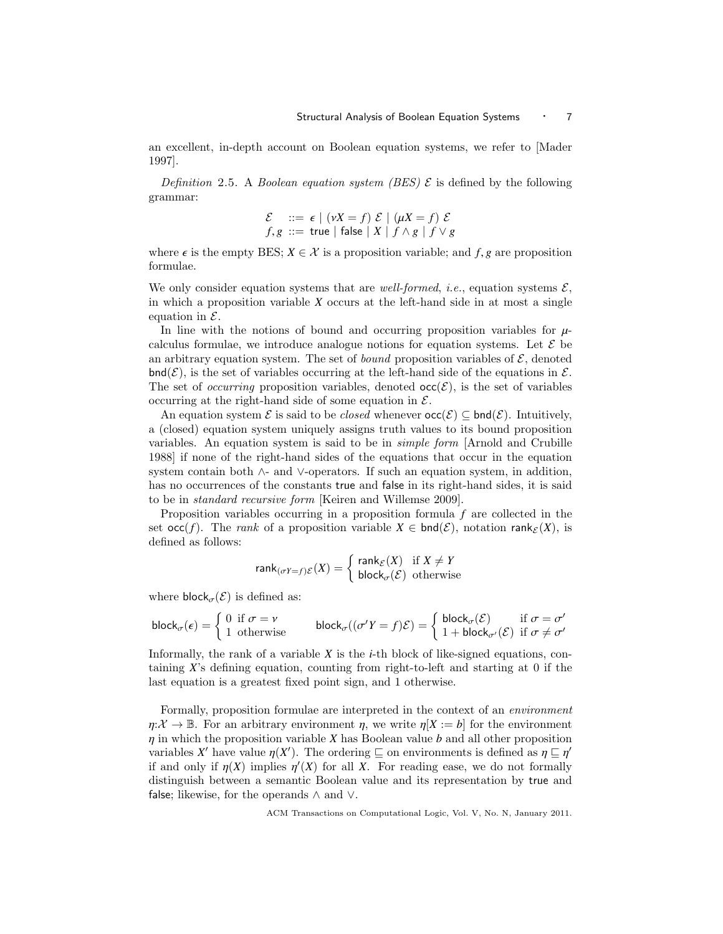an excellent, in-depth account on Boolean equation systems, we refer to [Mader 1997].

Definition 2.5. A Boolean equation system (BES)  $\mathcal E$  is defined by the following grammar:

$$
\mathcal{E} \quad ::= \ \epsilon \mid (\nu X = f) \ \mathcal{E} \mid (\mu X = f) \ \mathcal{E}
$$
\n
$$
f, g \ ::= \ \text{true} \mid \text{false} \mid X \mid f \land g \mid f \lor g
$$

where  $\epsilon$  is the empty BES;  $X \in \mathcal{X}$  is a proposition variable; and  $f, g$  are proposition formulae.

We only consider equation systems that are well-formed, i.e., equation systems  $\mathcal{E}$ , in which a proposition variable *X* occurs at the left-hand side in at most a single equation in  $\mathcal{E}$ .

In line with the notions of bound and occurring proposition variables for  $\mu$ calculus formulae, we introduce analogue notions for equation systems. Let  $\mathcal E$  be an arbitrary equation system. The set of *bound* proposition variables of  $\mathcal{E}$ , denoted  $\text{bnd}(\mathcal{E})$ , is the set of variables occurring at the left-hand side of the equations in  $\mathcal{E}$ . The set of *occurring* proposition variables, denoted  $\operatorname{occ}(\mathcal{E})$ , is the set of variables occurring at the right-hand side of some equation in  $\mathcal{E}$ .

An equation system  $\mathcal E$  is said to be *closed* whenever  $\operatorname{occ}(\mathcal E) \subseteq \operatorname{bnd}(\mathcal E)$ . Intuitively, a (closed) equation system uniquely assigns truth values to its bound proposition variables. An equation system is said to be in simple form [Arnold and Crubille 1988] if none of the right-hand sides of the equations that occur in the equation system contain both ∧- and ∨-operators. If such an equation system, in addition, has no occurrences of the constants true and false in its right-hand sides, it is said to be in standard recursive form [Keiren and Willemse 2009].

Proposition variables occurring in a proposition formula *f* are collected in the set  $\operatorname{occ}(f)$ . The *rank* of a proposition variable  $X \in \operatorname{bnd}(\mathcal{E})$ , notation rank $\epsilon(X)$ , is defined as follows:

$$
\text{rank}_{(\sigma Y = f)E}(X) = \begin{cases} \text{rank}_{E}(X) & \text{if } X \neq Y \\ \text{block}_{\sigma}(\mathcal{E}) & \text{otherwise} \end{cases}
$$

where  $\textsf{block}_{\sigma}(\mathcal{E})$  is defined as:

$$
\mathsf{block}_{\sigma}(\epsilon) = \begin{cases} 0 & \text{if } \sigma = \nu \\ 1 & \text{otherwise} \end{cases} \qquad \mathsf{block}_{\sigma}((\sigma'Y = f)\mathcal{E}) = \begin{cases} \mathsf{block}_{\sigma}(\mathcal{E}) & \text{if } \sigma = \sigma' \\ 1 + \mathsf{block}_{\sigma'}(\mathcal{E}) & \text{if } \sigma \neq \sigma' \end{cases}
$$

Informally, the rank of a variable *X* is the *i*-th block of like-signed equations, containing *X*'s defining equation, counting from right-to-left and starting at 0 if the last equation is a greatest fixed point sign, and 1 otherwise.

Formally, proposition formulae are interpreted in the context of an environment  $\eta: \mathcal{X} \to \mathbb{B}$ . For an arbitrary environment  $\eta$ , we write  $\eta[X := b]$  for the environment η in which the proposition variable *<sup>X</sup>* has Boolean value *<sup>b</sup>* and all other proposition variables *X'* have value  $\eta(X')$ . The ordering  $\subseteq$  on environments is defined as  $\eta \subseteq \eta'$ <br>if and only if  $n(X)$  implies  $n'(X)$  for all *X*. For reading ease, we do not formally if and only if  $\eta(X)$  implies  $\eta'(X)$  for all X. For reading ease, we do not formally<br>distinguish between a semantic Boolean value and its representation by true and distinguish between a semantic Boolean value and its representation by true and false; likewise, for the operands  $\land$  and  $\lor$ .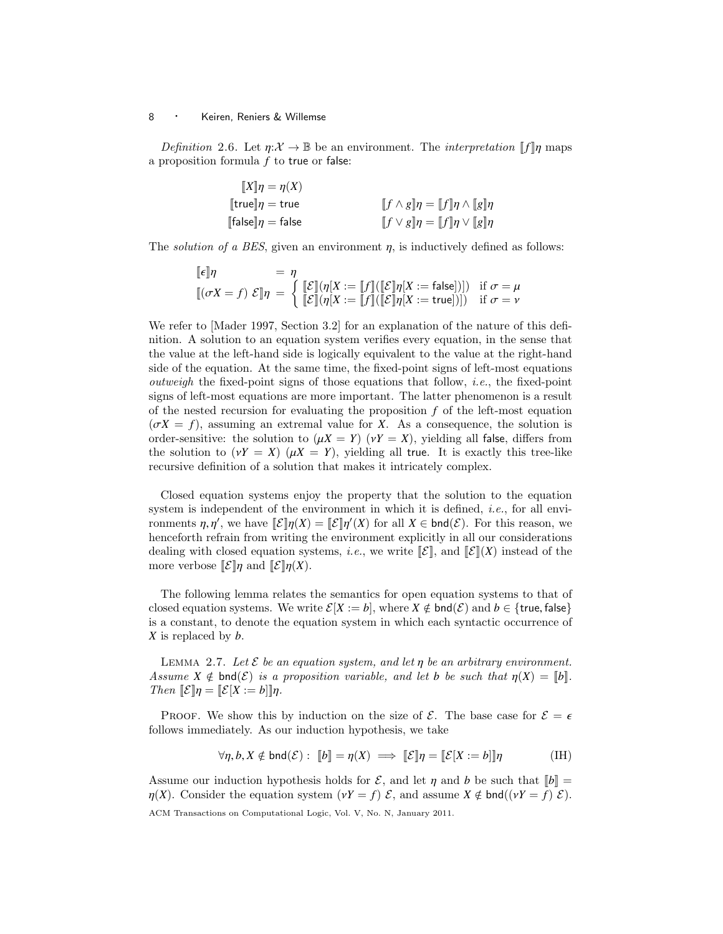Definition 2.6. Let  $\eta: \mathcal{X} \to \mathbb{B}$  be an environment. The *interpretation*  $\llbracket f \rrbracket \eta$  maps a proposition formula *f* to true or false:

> $[[X]\eta = \eta(X)$ <br> $[[true]\eta = true$  $[\text{true}] \eta = \text{true}$   $[f \wedge g] \eta = [f] \eta \wedge [g] \eta$ <br>  $[\text{false}] \eta = \text{false}$   $[f \vee g] \eta = [f] \eta \vee [g] \eta$  $[f \vee g]$ η =  $[f]$ η  $\vee$   $[g]$ η

The *solution of a BES*, given an environment  $\eta$ , is inductively defined as follows:

$$
\begin{aligned}\n[\![\epsilon]\!] \eta &= \eta \\
[(\sigma X = f) \ \mathcal{E}]\!] \eta &= \left\{ \begin{aligned}\n[\![\mathcal{E}]\!] (\eta[X := [f]] ([\![\mathcal{E}]\!] \eta[X := \text{false}])]) & \text{if } \sigma = \mu \\
[\![\mathcal{E}]\!] (\eta[X := [f]] ([\![\mathcal{E}]\!] \eta[X := \text{true}])]) & \text{if } \sigma = \nu\n\end{aligned}\right.\n\end{aligned}
$$

We refer to [Mader 1997, Section 3.2] for an explanation of the nature of this definition. A solution to an equation system verifies every equation, in the sense that the value at the left-hand side is logically equivalent to the value at the right-hand side of the equation. At the same time, the fixed-point signs of left-most equations *outweigh* the fixed-point signs of those equations that follow, *i.e.*, the fixed-point signs of left-most equations are more important. The latter phenomenon is a result of the nested recursion for evaluating the proposition *f* of the left-most equation  $(\sigma X = f)$ , assuming an extremal value for *X*. As a consequence, the solution is order-sensitive: the solution to  $(\mu X = Y)$   $(\nu Y = X)$ , yielding all false, differs from the solution to  $(\gamma Y = X)$   $(\mu X = Y)$ , yielding all true. It is exactly this tree-like recursive definition of a solution that makes it intricately complex.

Closed equation systems enjoy the property that the solution to the equation system is independent of the environment in which it is defined, i.e., for all environments  $\eta, \eta'$ , we have  $[\![\mathcal{E}]\!] \eta(X) = [\![\mathcal{E}]\!] \eta'(X)$  for all  $X \in \mathsf{bnd}(\mathcal{E})$ . For this reason, we hanceforth refrain from writing the environment explicitly in all our considerations henceforth refrain from writing the environment explicitly in all our considerations dealing with closed equation systems, *i.e.*, we write  $\llbracket \mathcal{E} \rrbracket$ , and  $\llbracket \mathcal{E} \rrbracket(X)$  instead of the more verbose  $\mathcal{E}$ , and  $\mathcal{E}$ ,  $\eta$  and  $\eta$ .

The following lemma relates the semantics for open equation systems to that of closed equation systems. We write  $\mathcal{E}[X] := b$ , where  $X \notin \mathsf{bnd}(\mathcal{E})$  and  $b \in \{\mathsf{true}, \mathsf{false}\}$ is a constant, to denote the equation system in which each syntactic occurrence of *X* is replaced by *b*.

LEMMA 2.7. Let  $\mathcal E$  be an equation system, and let  $\eta$  be an arbitrary environment. Assume  $X \notin \text{bnd}(\mathcal{E})$  is a proposition variable, and let *b* be such that  $\eta(X) = \llbracket b \rrbracket$ . Then  $\mathcal{E}[\eta] = \mathcal{E}[X := b] [\eta]$ .

PROOF. We show this by induction on the size of  $\mathcal{E}$ . The base case for  $\mathcal{E} = \epsilon$ follows immediately. As our induction hypothesis, we take

$$
\forall \eta, b, X \notin \text{bnd}(\mathcal{E}): \; [b] = \eta(X) \implies [E]\eta = [E[X := b]]\eta \tag{IH}
$$

Assume our induction hypothesis holds for  $\mathcal{E}$ , and let  $\eta$  and *b* be such that  $||b|| =$  $\eta(X)$ . Consider the equation system  $(\nu Y = f) \mathcal{E}$ , and assume  $X \notin \text{bnd}((\nu Y = f) \mathcal{E})$ . ACM Transactions on Computational Logic, Vol. V, No. N, January 2011.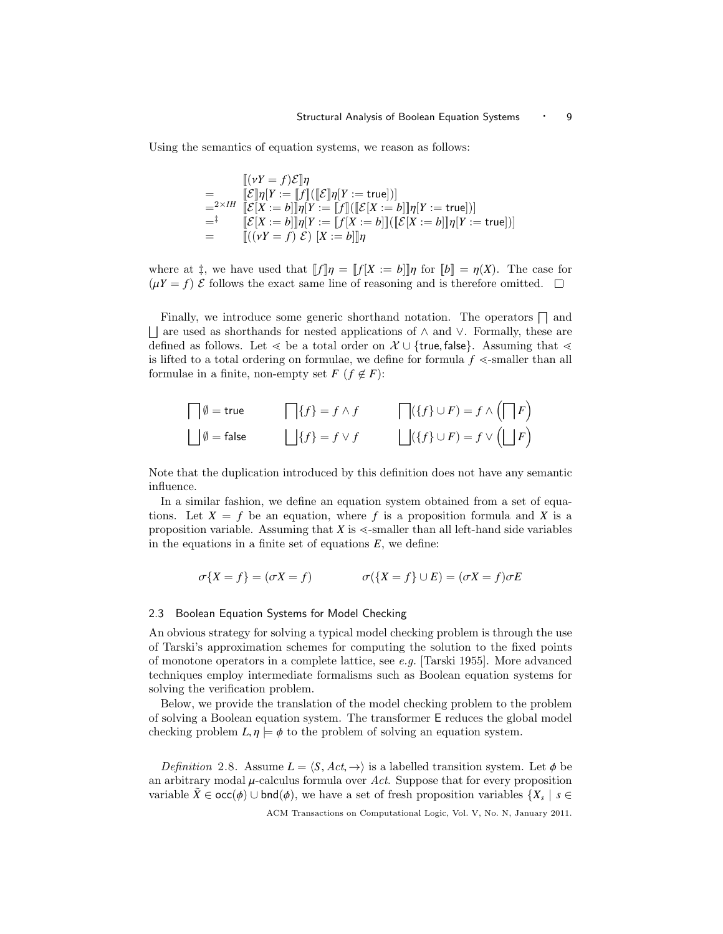Using the semantics of equation systems, we reason as follows:

$$
\begin{array}{lll}\n & \left[ (vY=f)\mathcal{E} \right]\eta \\
 & = & \left[ \mathcal{E} \right]\eta[Y:=\left[ f \right] \left( \left[ \mathcal{E} \right]\eta[Y:=\text{true}] \right) \right] \\
 & =^{2 \times IH} & \left[ \mathcal{E}[X:=b] \right]\eta[Y:=\left[ f \right] \left( \left[ \mathcal{E}[X:=b] \right]\eta[Y:=\text{true}] \right) \right] \\
 & =^{\ddagger} & \left[ \mathcal{E}[X:=b] \right]\eta[Y:=\left[ f[X:=b] \right]\left( \left[ \mathcal{E}[X:=b] \right]\eta[Y:=\text{true}] \right) \right] \\
 & = & \left[ \left( (vY=f) \mathcal{E} \right)\left[ X:=b \right]\right]\eta\n\end{array}
$$

where at  $\ddagger$ , we have used that  $||f||\eta = ||f|X := b||\eta$  for  $||b|| = \eta(X)$ . The case for  $(\mu Y = f)$  E follows the exact same line of reasoning and is therefore omitted.  $\square$ 

Finally, we introduce some generic shorthand notation. The operators  $\bigcap$  and F are used as shorthands for nested applications of ∧ and ∨. Formally, these are defined as follows. Let  $\lt$  be a total order on  $\mathcal{X} \cup \{\text{true}, \text{false}\}\$ . Assuming that  $\lt$ is lifted to a total ordering on formulae, we define for formula  $f \leq \text{smaller than all}$ formulae in a finite, non-empty set  $F$  ( $f \notin F$ ):

$$
\bigcap \emptyset = \text{true} \qquad \bigcap \{f\} = f \wedge f \qquad \bigcap (\{f\} \cup F) = f \wedge (\bigcap F)
$$
  

$$
\bigcup \emptyset = \text{false} \qquad \bigcup \{f\} = f \vee f \qquad \bigcup (\{f\} \cup F) = f \vee (\bigcup F)
$$

Note that the duplication introduced by this definition does not have any semantic influence.

In a similar fashion, we define an equation system obtained from a set of equations. Let  $X = f$  be an equation, where f is a proposition formula and X is a proposition variable. Assuming that  $X$  is  $\leq$ -smaller than all left-hand side variables in the equations in a finite set of equations  $E$ , we define:

$$
\sigma\{X = f\} = (\sigma X = f) \qquad \qquad \sigma(\{X = f\} \cup E) = (\sigma X = f)\sigma E
$$

# 2.3 Boolean Equation Systems for Model Checking

An obvious strategy for solving a typical model checking problem is through the use of Tarski's approximation schemes for computing the solution to the fixed points of monotone operators in a complete lattice, see e.g. [Tarski 1955]. More advanced techniques employ intermediate formalisms such as Boolean equation systems for solving the verification problem.

Below, we provide the translation of the model checking problem to the problem of solving a Boolean equation system. The transformer E reduces the global model checking problem  $L, \eta \models \phi$  to the problem of solving an equation system.

*Definition* 2.8. Assume  $L = \langle S, Act, \rightarrow \rangle$  is a labelled transition system. Let  $\phi$  be an arbitrary modal  $\mu$ -calculus formula over Act. Suppose that for every proposition variable  $\tilde{X} \in \text{occ}(\phi) \cup \text{bnd}(\phi)$ , we have a set of fresh proposition variables  $\{X_s \mid s \in$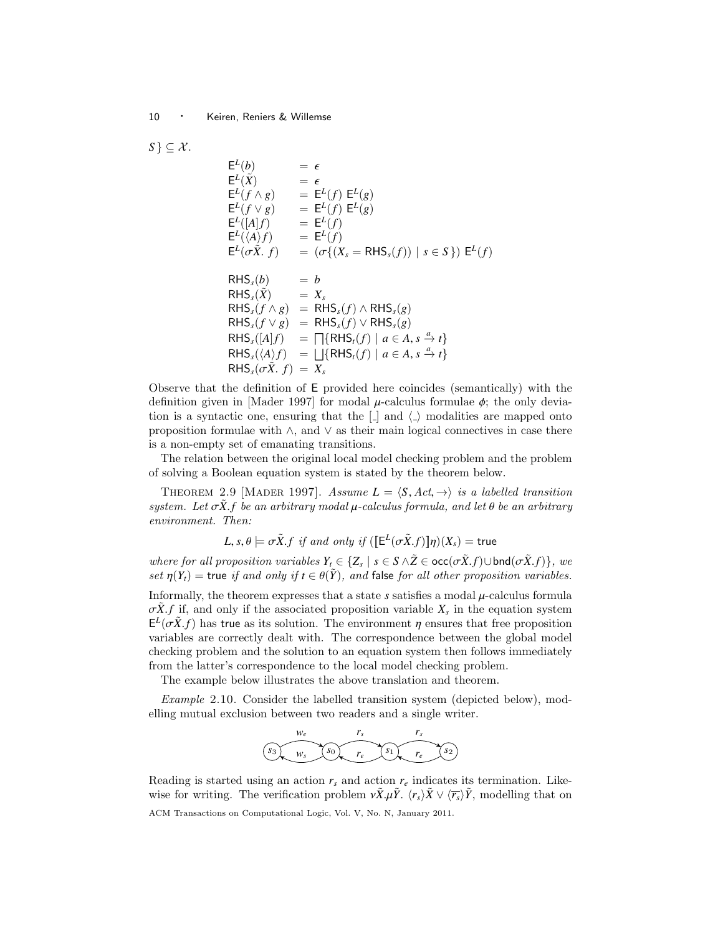$$
S \subseteq \mathcal{X}.
$$
  
\n
$$
E^{L}(\tilde{X}) = \epsilon
$$
  
\n
$$
E^{L}(f \wedge g) = E^{L}(f) E^{L}(g)
$$
  
\n
$$
E^{L}(f \vee g) = E^{L}(f) E^{L}(g)
$$
  
\n
$$
E^{L}([A]f) = E^{L}(f)
$$
  
\n
$$
E^{L}(\langle A \rangle f) = E^{L}(f)
$$
  
\n
$$
E^{L}(\sigma \tilde{X}. f) = (\sigma\{(X_{s} = \text{RHS}_{s}(f)) \mid s \in S\}) E^{L}(f)
$$
  
\n
$$
\text{RHS}_{s}(\tilde{b}) = b
$$
  
\n
$$
\text{RHS}_{s}(\tilde{X}) = X_{s}
$$
  
\n
$$
\text{RHS}_{s}(f \wedge g) = \text{RHS}_{s}(f) \wedge \text{RHS}_{s}(g)
$$
  
\n
$$
\text{RHS}_{s}(f \vee g) = \text{RHS}_{s}(f) \vee \text{RHS}_{s}(g)
$$
  
\n
$$
\text{RHS}_{s}((A|f)) = \Box{\{\text{RHS}_{t}(f) \mid a \in A, s \xrightarrow{a} t\}} \text{RHS}_{s}(\sqrt{A})f = \Box{\{\text{RHS}_{t}(f) \mid a \in A, s \xrightarrow{a} t\}} \text{RHS}_{s}(\sigma \tilde{X}. f) = X_{s}
$$

Observe that the definition of E provided here coincides (semantically) with the definition given in [Mader 1997] for modal  $\mu$ -calculus formulae  $\phi$ ; the only deviation is a syntactic one, ensuring that the  $\lfloor \cdot \rfloor$  and  $\langle \cdot \rangle$  modalities are mapped onto proposition formulae with  $\land$ , and  $\lor$  as their main logical connectives in case there is a non-empty set of emanating transitions.

The relation between the original local model checking problem and the problem of solving a Boolean equation system is stated by the theorem below.

THEOREM 2.9 [MADER 1997]. Assume  $L = \langle S, Act, \rightarrow \rangle$  is a labelled transition system. Let  $\sigma \dot{X}$ , *f* be an arbitrary modal  $\mu$ -calculus formula, and let  $\theta$  be an arbitrary environment. Then:

$$
L, s, \theta \models \sigma \tilde{X}. f \text{ if and only if } (\llbracket \mathsf{E}^L(\sigma \tilde{X}.f) \rrbracket \eta)(X_s) = \text{true}
$$

where for all proposition variables  $Y_t \in \{Z_s \mid s \in S \land \tilde{Z} \in \text{occ}(\sigma \tilde{X}.f) \cup \text{bnd}(\sigma \tilde{X}.f)\},$  we set  $p(Y) = \text{true}$  if and only if  $t \in \theta(\tilde{Y})$  and false for all other proposition variables set  $\eta(Y_t)$  = true if and only if  $t \in \theta(\tilde{Y})$ , and false for all other proposition variables.

Informally, the theorem expresses that a state  $s$  satisfies a modal  $\mu$ -calculus formula  $\sigma \tilde{X}$ . *f* if, and only if the associated proposition variable  $X_s$  in the equation system  $F^L(\sigma \tilde{X} f)$  has true as its solution. The environment *n* ensures that free proposition  $E^{L}(\sigma \tilde{X}, f)$  has true as its solution. The environment  $\eta$  ensures that free proposition variables are correctly dealt with. The correspondence between the global model variables are correctly dealt with. The correspondence between the global model checking problem and the solution to an equation system then follows immediately from the latter's correspondence to the local model checking problem.

The example below illustrates the above translation and theorem.

Example 2.10. Consider the labelled transition system (depicted below), modelling mutual exclusion between two readers and a single writer.



Reading is started using an action  $r<sub>s</sub>$  and action  $r<sub>e</sub>$  indicates its termination. Likewise for writing. The verification problem  $vX \mu Y$ .  $\langle r_s \rangle X \vee \langle \overline{r_s} \rangle Y$ , modelling that on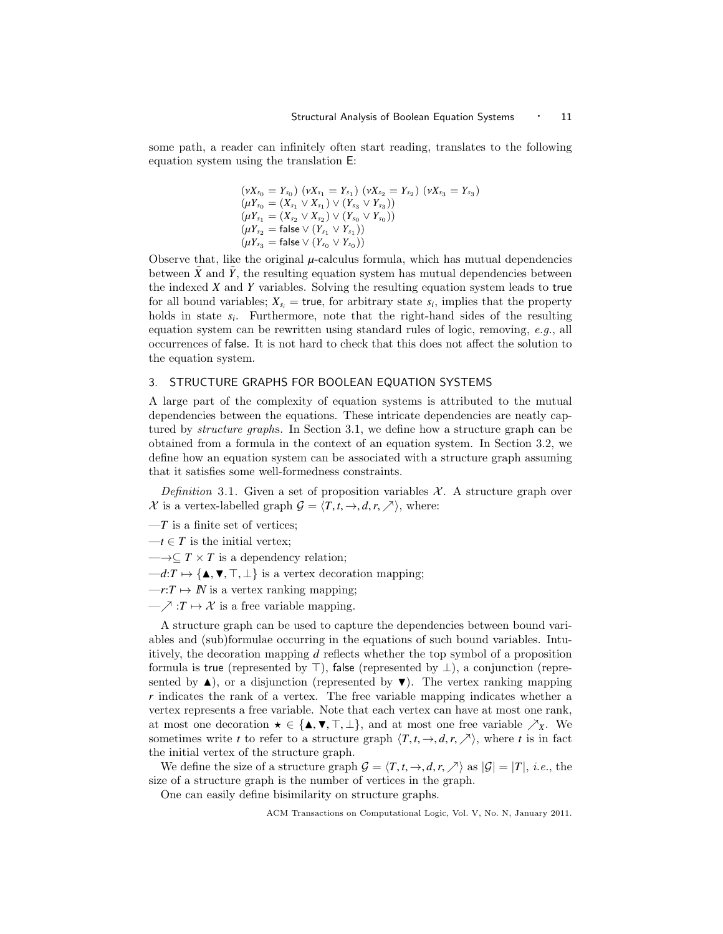some path, a reader can infinitely often start reading, translates to the following equation system using the translation E:

$$
(\nu X_{s_0} = Y_{s_0}) (\nu X_{s_1} = Y_{s_1}) (\nu X_{s_2} = Y_{s_2}) (\nu X_{s_3} = Y_{s_3})
$$
  
\n
$$
(\mu Y_{s_0} = (X_{s_1} \vee X_{s_1}) \vee (Y_{s_3} \vee Y_{s_3}))
$$
  
\n
$$
(\mu Y_{s_1} = (X_{s_2} \vee X_{s_2}) \vee (Y_{s_0} \vee Y_{s_0}))
$$
  
\n
$$
(\mu Y_{s_2} = \text{false} \vee (Y_{s_1} \vee Y_{s_1}))
$$
  
\n
$$
(\mu Y_{s_3} = \text{false} \vee (Y_{s_0} \vee Y_{s_0}))
$$

Observe that, like the original  $\mu$ -calculus formula, which has mutual dependencies<br>between  $\tilde{Y}$  and  $\tilde{Y}$  the resulting equation system has mutual dependencies between between  $\tilde{X}$  and  $\tilde{Y}$ , the resulting equation system has mutual dependencies between the indexed *X* and *Y* variables. Solving the resulting equation system leads to true for all bound variables;  $X_{s_i}$  = true, for arbitrary state  $s_i$ , implies that the property holds in state  $s_i$ . Furthermore, note that the right-hand sides of the resulting equation system can be rewritten using standard rules of logic, removing, e.g., all occurrences of false. It is not hard to check that this does not affect the solution to the equation system.

# 3. STRUCTURE GRAPHS FOR BOOLEAN EQUATION SYSTEMS

A large part of the complexity of equation systems is attributed to the mutual dependencies between the equations. These intricate dependencies are neatly captured by structure graphs. In Section 3.1, we define how a structure graph can be obtained from a formula in the context of an equation system. In Section 3.2, we define how an equation system can be associated with a structure graph assuming that it satisfies some well-formedness constraints.

Definition 3.1. Given a set of proposition variables  $\mathcal{X}$ . A structure graph over X is a vertex-labelled graph  $G = \langle T, t, \rightarrow, d, r, \nearrow \rangle$ , where:

 $-T$  is a finite set of vertices;

 $-t \in T$  is the initial vertex;

 $\longrightarrow \subseteq T \times T$  is a dependency relation;

 $-d:T \mapsto {\{\blacktriangle, \blacktriangledown, \top, \bot\}}$  is a vertex decoration mapping;

 $-r:T \mapsto \mathbb{N}$  is a vertex ranking mapping;

 $-\nearrow$  :*T*  $\mapsto \mathcal{X}$  is a free variable mapping.

A structure graph can be used to capture the dependencies between bound variables and (sub)formulae occurring in the equations of such bound variables. Intuitively, the decoration mapping *d* reflects whether the top symbol of a proposition formula is true (represented by  $\top$ ), false (represented by  $\bot$ ), a conjunction (represented by  $\blacktriangle$ ), or a disjunction (represented by  $\nabla$ ). The vertex ranking mapping *r* indicates the rank of a vertex. The free variable mapping indicates whether a vertex represents a free variable. Note that each vertex can have at most one rank, at most one decoration  $\star \in {\{\blacktriangle, \nabla, \top, \bot\}}$ , and at most one free variable  $\nearrow_X$ . We sometimes write *t* to refer to a structure graph  $\langle T, t, \to, d, r, \nearrow \rangle$ , where *t* is in fact the initial vertex of the structure graph.

We define the size of a structure graph  $G = \langle T, t, \rightarrow, d, r, \nearrow \rangle$  as  $|G| = |T|$ , *i.e.*, the size of a structure graph is the number of vertices in the graph.

One can easily define bisimilarity on structure graphs.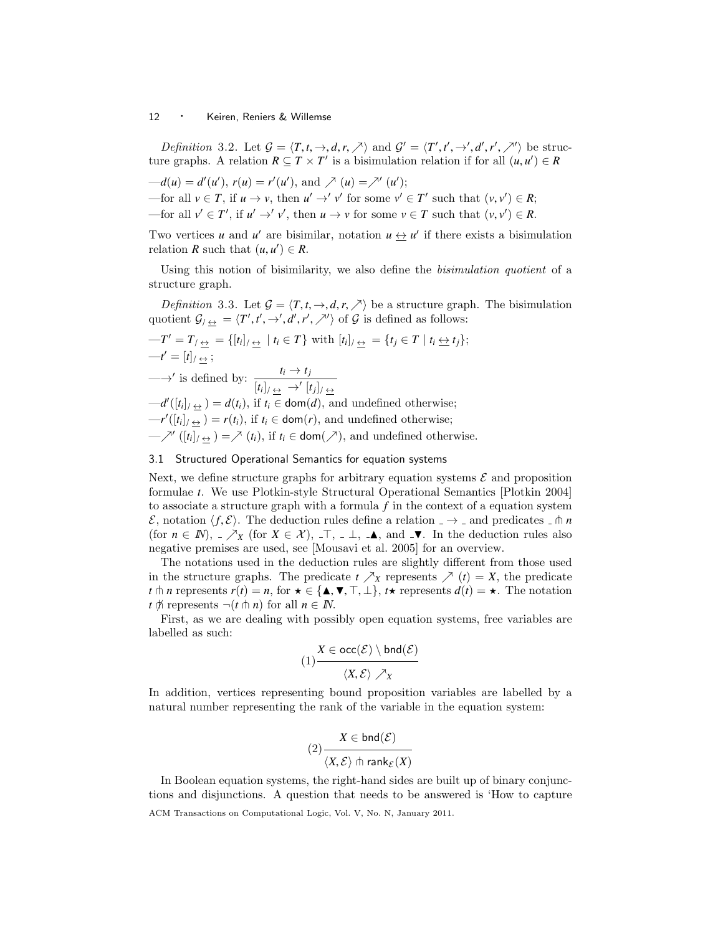Definition 3.2. Let  $\mathcal{G} = \langle T, t, \to, d, r, \nearrow \rangle$  and  $\mathcal{G}' = \langle T', t', \to', d', r', \nearrow \rangle$  be struc-<br>regraphs. A relation  $R \subset T \times T'$  is a historphism relation if for all  $(u, u') \in R$ ture graphs. A relation  $R \subseteq T \times T'$  is a bisimulation relation if for all  $(u, u') \in R$ 

 $-d(u) = d'(u'), r(u) = r'(u'), \text{ and } \nearrow (u) = \nearrow'(u');$ —for all *v* ∈ *T*, if *u* → *v*, then *u*<sup>*'*</sup> →' *v*<sup>*'*</sup> for some *v*<sup>*'*</sup> ∈ *T*<sup>*'*</sup> such that  $(v, v') \in R$ ; —for all  $v' \in T'$ , if  $u' \to' v'$ , then  $u \to v$  for some  $v \in T$  such that  $(v, v') \in R$ .

Two vertices *u* and *u*' are bisimilar, notation  $u \leftrightarrow u'$  if there exists a bisimulation relation *R* such that  $(u, u') \in R$ .

Using this notion of bisimilarity, we also define the *bisimulation quotient* of a structure graph.

*Definition* 3.3. Let  $\mathcal{G} = \langle T, t, \to, d, r, \nearrow \rangle$  be a structure graph. The bisimulation quotient  $\mathcal{G}_1 \underline{\leftrightarrow} = \langle T', t', \rightarrow', d', r', \nearrow' \rangle$  of  $\mathcal G$  is defined as follows:

$$
-T' = T_{/\frac{\leftrightarrow}{\leftrightarrow}} = \{ [t_i]_{/\frac{\leftrightarrow}{\leftrightarrow}} | t_i \in T \} \text{ with } [t_i]_{/\frac{\leftrightarrow}{\leftrightarrow}} = \{ t_j \in T | t_i \leftrightarrow t_j \};
$$
  
\n
$$
-t' = [t]_{/\frac{\leftrightarrow}{\leftrightarrow}};
$$
  
\n
$$
\longrightarrow'
$$
 is defined by: 
$$
\frac{t_i \rightarrow t_j}{[t_i]_{/\frac{\leftrightarrow}{\leftrightarrow}}}
$$
  
\n
$$
-d'([t_i]_{/\frac{\leftrightarrow}{\leftrightarrow}}) = d(t_i), \text{ if } t_i \in \text{dom}(d), \text{ and undefined otherwise;}
$$
  
\n
$$
-r'([t_i]_{/\frac{\leftrightarrow}{\leftrightarrow}}) = r(t_i), \text{ if } t_i \in \text{dom}(r), \text{ and undefined otherwise;}
$$
  
\n
$$
-X'([t_i]_{/\frac{\leftrightarrow}{\leftrightarrow}}) = X(t_i), \text{ if } t_i \in \text{dom}(\nearrow), \text{ and undefined otherwise.}
$$

# 3.1 Structured Operational Semantics for equation systems

Next, we define structure graphs for arbitrary equation systems  $\mathcal E$  and proposition formulae *t*. We use Plotkin-style Structural Operational Semantics [Plotkin 2004] to associate a structure graph with a formula *f* in the context of a equation system E, notation  $\langle f, \mathcal{E} \rangle$ . The deduction rules define a relation  $\Box \rightarrow \Box$  and predicates  $\Box \pitchfork n$ (for  $n \in \mathbb{N}$ ),  $\mathcal{N}_X$  (for  $X \in \mathcal{X}$ ),  $\mathcal{N}_Y$ ,  $\mathcal{N}_Y$ ,  $\mathcal{N}_Y$ , and  $\mathcal{N}_Y$ . In the deduction rules also negative premises are used, see [Mousavi et al. 2005] for an overview.

The notations used in the deduction rules are slightly different from those used in the structure graphs. The predicate  $t \nearrow_X$  represents  $\nearrow (t) = X$ , the predicate *t*  $\uparrow$  *n* represents  $r(t) = n$ , for  $\star \in {\{\mathbf{A}, \mathbf{V}, \mathbf{T}, \mathbf{\perp}\}, t\star \text{ represents } d(t) = \star$ . The notation  $t \notin \mathbb{R}$  represents  $\neg(t \nightharpoonup n)$  for all  $n \in \mathbb{N}$ .

First, as we are dealing with possibly open equation systems, free variables are labelled as such:

$$
(1) \frac{X \in \text{occ}(\mathcal{E}) \setminus \text{bnd}(\mathcal{E})}{\langle X, \mathcal{E} \rangle \nearrow X}
$$

In addition, vertices representing bound proposition variables are labelled by a natural number representing the rank of the variable in the equation system:

$$
(2) \frac{X \in \text{bnd}(\mathcal{E})}{\langle X, \mathcal{E} \rangle \text{ th rank}_{\mathcal{E}}(X)}
$$

In Boolean equation systems, the right-hand sides are built up of binary conjunctions and disjunctions. A question that needs to be answered is 'How to capture

ACM Transactions on Computational Logic, Vol. V, No. N, January 2011.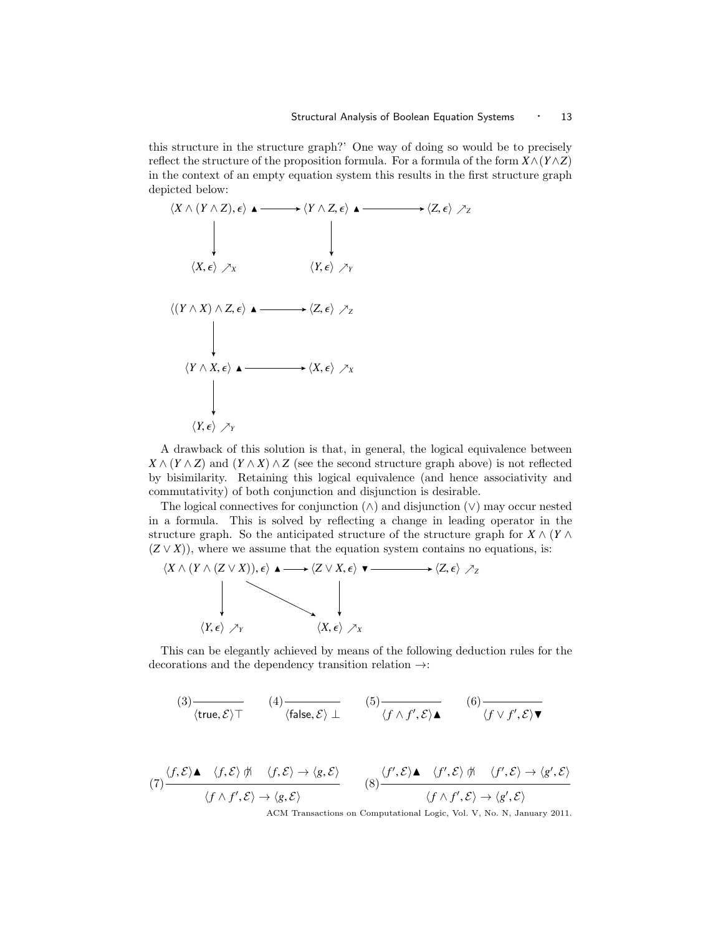this structure in the structure graph?' One way of doing so would be to precisely reflect the structure of the proposition formula. For a formula of the form  $X \wedge (Y \wedge Z)$ in the context of an empty equation system this results in the first structure graph depicted below:



A drawback of this solution is that, in general, the logical equivalence between  $X \wedge (Y \wedge Z)$  and  $(Y \wedge X) \wedge Z$  (see the second structure graph above) is not reflected by bisimilarity. Retaining this logical equivalence (and hence associativity and commutativity) of both conjunction and disjunction is desirable.

The logical connectives for conjunction  $(\wedge)$  and disjunction  $(\vee)$  may occur nested in a formula. This is solved by reflecting a change in leading operator in the structure graph. So the anticipated structure of the structure graph for  $X \wedge (Y \wedge Y)$  $(Z \vee X)$ , where we assume that the equation system contains no equations, is:

$$
\langle X \wedge (Y \wedge (Z \vee X)), \epsilon \rangle \blacktriangle \longrightarrow \langle Z \vee X, \epsilon \rangle \blacktriangledown \longrightarrow \langle Z, \epsilon \rangle \nearrow_{Z}
$$
\n
$$
\downarrow \qquad \qquad \downarrow
$$
\n
$$
\langle Y, \epsilon \rangle \nearrow_{Y} \qquad \qquad \langle X, \epsilon \rangle \nearrow_{X}
$$

This can be elegantly achieved by means of the following deduction rules for the decorations and the dependency transition relation →:

$$
(3) \frac{}{\langle \text{true}, \mathcal{E} \rangle \top} \qquad (4) \frac{}{\langle \text{false}, \mathcal{E} \rangle \bot} \qquad (5) \frac{}{\langle f \wedge f', \mathcal{E} \rangle \blacktriangle} \qquad (6) \frac{}{\langle f \vee f', \mathcal{E} \rangle \blacktriangledown}
$$

$$
(7) \frac{\langle f, \mathcal{E} \rangle \blacktriangle \langle f, \mathcal{E} \rangle \nexists \forall f, \mathcal{E} \rangle \rightarrow \langle g, \mathcal{E} \rangle}{\langle f \wedge f', \mathcal{E} \rangle \rightarrow \langle g, \mathcal{E} \rangle}
$$
\n
$$
(8) \frac{\langle f', \mathcal{E} \rangle \blacktriangle \langle f', \mathcal{E} \rangle \nexists \forall f', \mathcal{E} \rangle \rightarrow \langle g', \mathcal{E} \rangle}{\langle f \wedge f', \mathcal{E} \rangle \rightarrow \langle g', \mathcal{E} \rangle}
$$
\n
$$
(9) \frac{\langle f', \mathcal{E} \rangle \blacktriangle \langle f', \mathcal{E} \rangle \nexists \langle f, \mathcal{E} \rangle \rightarrow \langle g', \mathcal{E} \rangle}{\langle f \wedge f', \mathcal{E} \rangle \rightarrow \langle g', \mathcal{E} \rangle}
$$
\n
$$
(10) \frac{\langle f', \mathcal{E} \rangle \land \langle f', \mathcal{E} \rangle \rightarrow \langle g', \mathcal{E} \rangle}{\langle f \wedge f', \mathcal{E} \rangle \rightarrow \langle g', \mathcal{E} \rangle}
$$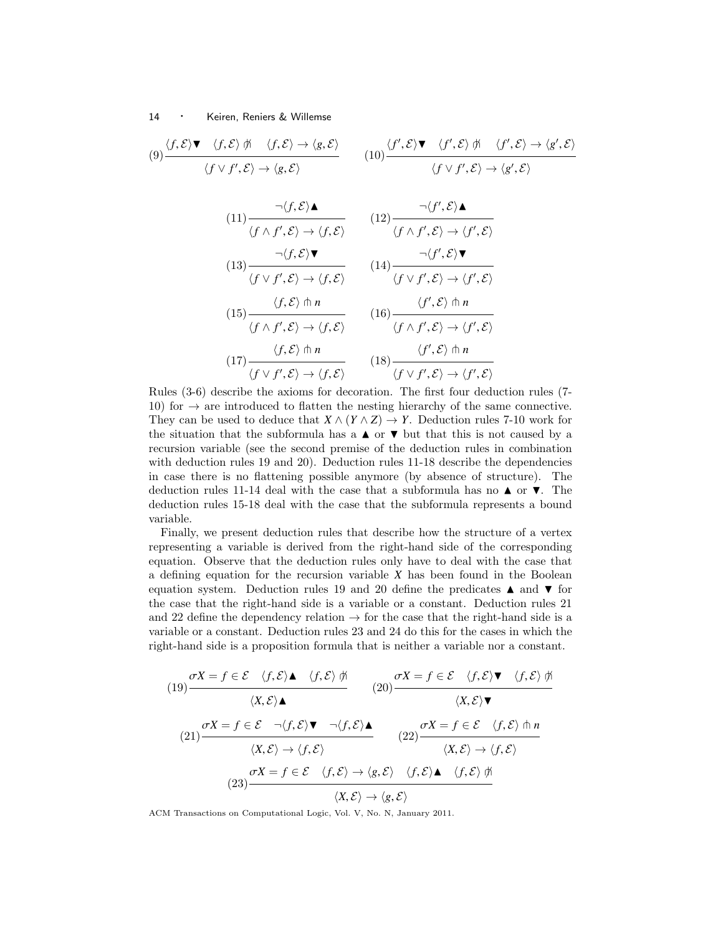$$
(9) \frac{\langle f, \mathcal{E} \rangle \blacktriangledown \langle f, \mathcal{E} \rangle \nrightarrow \langle f, \mathcal{E} \rangle \rightarrow \langle g, \mathcal{E} \rangle}{\langle f \vee f', \mathcal{E} \rangle \rightarrow \langle g, \mathcal{E} \rangle} \qquad (10) \frac{\langle f', \mathcal{E} \rangle \blacktriangledown \langle f', \mathcal{E} \rangle \nrightarrow \langle f', \mathcal{E} \rangle \rightarrow \langle g', \mathcal{E} \rangle}{\langle f \vee f', \mathcal{E} \rangle \rightarrow \langle g', \mathcal{E} \rangle}
$$

$$
(11) \frac{\neg \langle f, \mathcal{E} \rangle \blacktriangle}{\langle f \land f', \mathcal{E} \rangle \rightarrow \langle f, \mathcal{E} \rangle} \qquad (12) \frac{\neg \langle f', \mathcal{E} \rangle \blacktriangle}{\langle f \land f', \mathcal{E} \rangle \rightarrow \langle f', \mathcal{E} \rangle}
$$
\n
$$
(13) \frac{\neg \langle f, \mathcal{E} \rangle \blacktriangledown}{\langle f \lor f', \mathcal{E} \rangle \rightarrow \langle f, \mathcal{E} \rangle} \qquad (14) \frac{\neg \langle f', \mathcal{E} \rangle \blacktriangledown}{\langle f \lor f', \mathcal{E} \rangle \rightarrow \langle f', \mathcal{E} \rangle}
$$
\n
$$
(15) \frac{\langle f, \mathcal{E} \rangle \pitchfork n}{\langle f \land f', \mathcal{E} \rangle \rightarrow \langle f, \mathcal{E} \rangle} \qquad (16) \frac{\langle f', \mathcal{E} \rangle \pitchfork n}{\langle f \land f', \mathcal{E} \rangle \rightarrow \langle f', \mathcal{E} \rangle}
$$
\n
$$
(17) \frac{\langle f, \mathcal{E} \rangle \pitchfork n}{\langle f \lor f', \mathcal{E} \rangle \rightarrow \langle f, \mathcal{E} \rangle} \qquad (18) \frac{\langle f', \mathcal{E} \rangle \pitchfork n}{\langle f \lor f', \mathcal{E} \rangle \rightarrow \langle f', \mathcal{E} \rangle}
$$
\nRules (3-6) describe the axioms for decoration. The first four deduction rules (7-

10) for  $\rightarrow$  are introduced to flatten the nesting hierarchy of the same connective. They can be used to deduce that  $X \wedge (Y \wedge Z) \rightarrow Y$ . Deduction rules 7-10 work for the situation that the subformula has a  $\blacktriangle$  or  $\nabla$  but that this is not caused by a recursion variable (see the second premise of the deduction rules in combination with deduction rules 19 and 20). Deduction rules 11-18 describe the dependencies in case there is no flattening possible anymore (by absence of structure). The deduction rules 11-14 deal with the case that a subformula has no  $\triangle$  or  $\nabla$ . The deduction rules 15-18 deal with the case that the subformula represents a bound variable.

Finally, we present deduction rules that describe how the structure of a vertex representing a variable is derived from the right-hand side of the corresponding equation. Observe that the deduction rules only have to deal with the case that a defining equation for the recursion variable *X* has been found in the Boolean equation system. Deduction rules 19 and 20 define the predicates  $\blacktriangle$  and  $\nabla$  for the case that the right-hand side is a variable or a constant. Deduction rules 21 and 22 define the dependency relation  $\rightarrow$  for the case that the right-hand side is a variable or a constant. Deduction rules 23 and 24 do this for the cases in which the right-hand side is a proposition formula that is neither a variable nor a constant.

$$
\sigma X = f \in \mathcal{E} \quad \langle f, \mathcal{E} \rangle \blacktriangle \qquad \langle f, \mathcal{E} \rangle \nexists \quad (20) \quad \sigma X = f \in \mathcal{E} \quad \langle f, \mathcal{E} \rangle \blacktriangledown \qquad \langle f, \mathcal{E} \rangle \nexists \quad (21) \quad \langle X, \mathcal{E} \rangle \blacktriangle \qquad \qquad (22) \quad \langle X, \mathcal{E} \rangle \blacktriangledown \qquad \langle X, \mathcal{E} \rangle \blacktriangle \qquad \qquad (23) \quad \langle X, \mathcal{E} \rangle \rightarrow \langle f, \mathcal{E} \rangle \qquad \qquad (22) \quad \langle X, \mathcal{E} \rangle \rightarrow \langle f, \mathcal{E} \rangle \qquad \qquad (24) \quad \langle X, \mathcal{E} \rangle \rightarrow \langle f, \mathcal{E} \rangle \qquad \qquad (25) \quad \langle X, \mathcal{E} \rangle \rightarrow \langle f, \mathcal{E} \rangle \qquad \qquad \langle X, \mathcal{E} \rangle \rightarrow \langle f, \mathcal{E} \rangle \qquad \qquad \langle X, \mathcal{E} \rangle \rightarrow \langle f, \mathcal{E} \rangle \qquad \qquad \langle X, \mathcal{E} \rangle \rightarrow \langle g, \mathcal{E} \rangle \qquad \qquad \langle X, \mathcal{E} \rangle \rightarrow \langle g, \mathcal{E} \rangle \qquad \qquad \langle X, \mathcal{E} \rangle \rightarrow \langle g, \mathcal{E} \rangle \qquad \qquad \langle X, \mathcal{E} \rangle \rightarrow \langle g, \mathcal{E} \rangle \qquad \qquad \langle X, \mathcal{E} \rangle \rightarrow \langle g, \mathcal{E} \rangle \qquad \qquad \langle X, \mathcal{E} \rangle \rightarrow \langle g, \mathcal{E} \rangle \qquad \qquad \langle Y, \mathcal{E} \rangle \qquad \qquad \langle Y, \mathcal{E} \rangle \rightarrow \langle g, \mathcal{E} \rangle \qquad \qquad \langle Y, \mathcal{E} \rangle \rightarrow \langle g, \mathcal{E} \rangle \qquad \qquad \langle Y, \mathcal{E} \rangle \rightarrow \langle g, \mathcal{E} \rangle \qquad \qquad \langle Y, \mathcal{E} \rangle \rightarrow \langle g, \mathcal{E} \rangle \qquad \qquad \langle Y, \mathcal{E} \rangle \rightarrow \langle g, \mathcal{E}
$$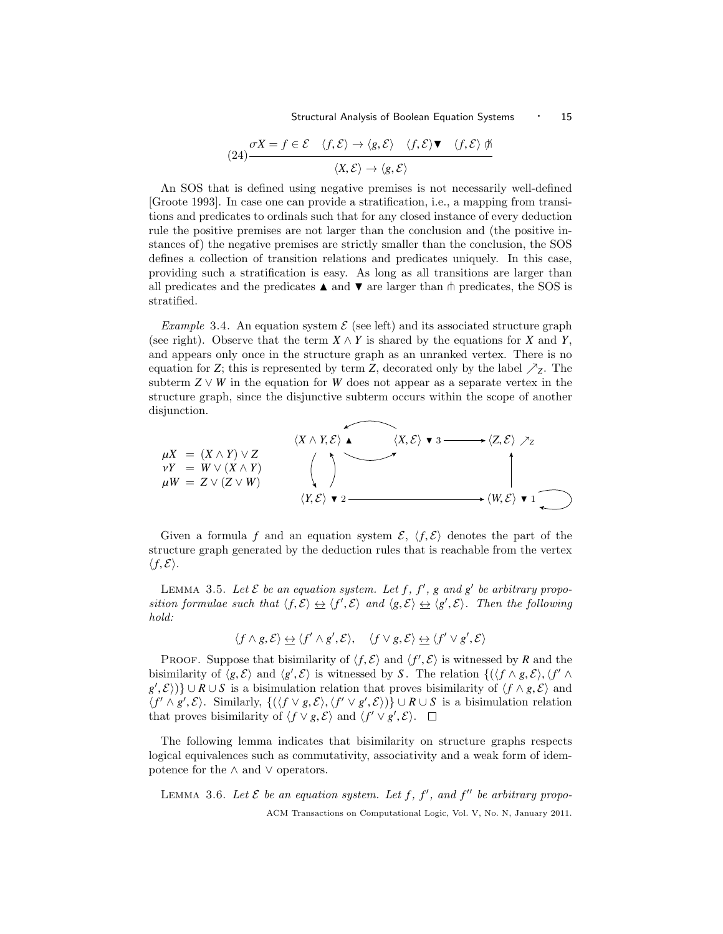Structural Analysis of Boolean Equation Systems • 15

$$
(24) \frac{\sigma X = f \in \mathcal{E} \quad \langle f, \mathcal{E} \rangle \to \langle g, \mathcal{E} \rangle \quad \langle f, \mathcal{E} \rangle \blacktriangledown \quad \langle f, \mathcal{E} \rangle \nexists \quad (\chi, \mathcal{E}) \to \langle g, \mathcal{E} \rangle
$$

An SOS that is defined using negative premises is not necessarily well-defined [Groote 1993]. In case one can provide a stratification, i.e., a mapping from transitions and predicates to ordinals such that for any closed instance of every deduction rule the positive premises are not larger than the conclusion and (the positive instances of) the negative premises are strictly smaller than the conclusion, the SOS defines a collection of transition relations and predicates uniquely. In this case, providing such a stratification is easy. As long as all transitions are larger than all predicates and the predicates  $\blacktriangle$  and  $\nabla$  are larger than  $\pitchfork$  predicates, the SOS is stratified.

Example 3.4. An equation system  $\mathcal E$  (see left) and its associated structure graph (see right). Observe that the term  $X \wedge Y$  is shared by the equations for *X* and *Y*, and appears only once in the structure graph as an unranked vertex. There is no equation for *Z*; this is represented by term *Z*, decorated only by the label  $\mathcal{Z}_Z$ . The subterm  $Z \vee W$  in the equation for *W* does not appear as a separate vertex in the structure graph, since the disjunctive subterm occurs within the scope of another disjunction.



Given a formula f and an equation system  $\mathcal{E}, \langle f, \mathcal{E} \rangle$  denotes the part of the structure graph generated by the deduction rules that is reachable from the vertex  $\langle f, \mathcal{E} \rangle$ .

LEMMA 3.5. Let  $\mathcal E$  be an equation system. Let  $f, f', g$  and  $g'$  be arbitrary proposition formulae such that  $\langle f, \mathcal{E} \rangle \Leftrightarrow \langle f', \mathcal{E} \rangle$  and  $\langle g, \mathcal{E} \rangle \Leftrightarrow \langle g', \mathcal{E} \rangle$ . Then the following hold: hold:

$$
\langle f \wedge g, \mathcal{E} \rangle \Leftrightarrow \langle f' \wedge g', \mathcal{E} \rangle, \quad \langle f \vee g, \mathcal{E} \rangle \Leftrightarrow \langle f' \vee g', \mathcal{E} \rangle
$$

PROOF. Suppose that bisimilarity of  $\langle f, \mathcal{E} \rangle$  and  $\langle f', \mathcal{E} \rangle$  is witnessed by *R* and the imilarity of  $\langle g, \mathcal{E} \rangle$  and  $\langle g', \mathcal{E} \rangle$  is witnessed by *S*. The relation  $\int (f \wedge g, \mathcal{E}) \cdot f' \wedge g$ bisimilarity of  $\langle g, \mathcal{E} \rangle$  and  $\langle g', \mathcal{E} \rangle$  is witnessed by *S*. The relation  $\{(\langle f \wedge g, \mathcal{E} \rangle, \langle f' \wedge g' \rangle\}$ <br> $g'(\mathcal{E})$  $g'$ , E))} ∪ *R* ∪ *S* is a bisimulation relation that proves bisimilarity of  $\langle f \wedge g, \mathcal{E} \rangle$  and  $\langle f' \wedge g' \mathcal{E} \rangle$ . Similarly  $f(\langle f \vee g \mathcal{E} \rangle \langle f' \vee g' \mathcal{E} \rangle)$  + + R++ S is a bisimulation relation  $\langle f' \wedge g', \mathcal{E} \rangle$ . Similarly,  $\{(\langle f \vee g, \mathcal{E} \rangle, \langle f' \vee g', \mathcal{E} \rangle)\} \cup R \cup S$  is a bisimulation relation that proves bisimulative of  $\langle f \vee g, \mathcal{E} \rangle$  and  $\langle f' \vee g', \mathcal{E} \rangle$ that proves bisimilarity of  $\langle f \vee g, \mathcal{E} \rangle$  and  $\langle f' \vee g', \mathcal{E} \rangle$ .

The following lemma indicates that bisimilarity on structure graphs respects logical equivalences such as commutativity, associativity and a weak form of idempotence for the ∧ and ∨ operators.

LEMMA 3.6. Let  $\mathcal E$  be an equation system. Let  $f, f'$ , and  $f''$  be arbitrary propo-ACM Transactions on Computational Logic, Vol. V, No. N, January 2011.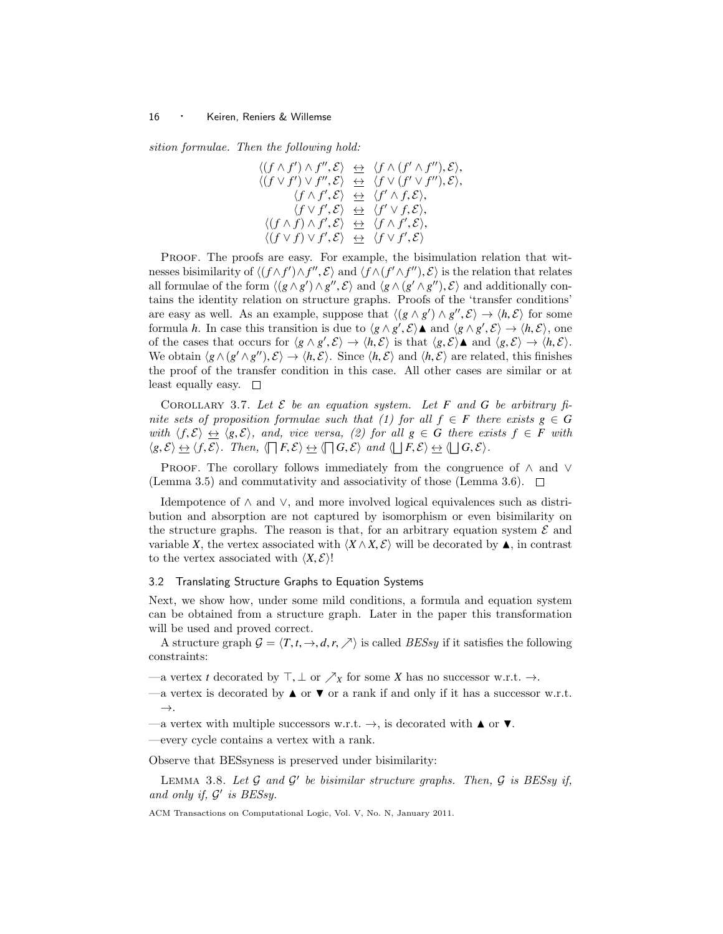sition formulae. Then the following hold:

$$
\langle (f \wedge f') \wedge f'', \mathcal{E} \rangle \Leftrightarrow \langle f \wedge (f' \wedge f''), \mathcal{E} \rangle, \langle (f \vee f') \vee f'', \mathcal{E} \rangle \Leftrightarrow \langle f \vee (f' \vee f''), \mathcal{E} \rangle, \langle f \wedge f', \mathcal{E} \rangle \Leftrightarrow \langle f' \wedge f, \mathcal{E} \rangle, \langle f \vee f', \mathcal{E} \rangle \Leftrightarrow \langle f' \vee f, \mathcal{E} \rangle, \langle (f \wedge f) \wedge f', \mathcal{E} \rangle \Leftrightarrow \langle f \wedge f', \mathcal{E} \rangle, \langle (f \vee f) \vee f', \mathcal{E} \rangle \Leftrightarrow \langle f \vee f', \mathcal{E} \rangle
$$

Proof. The proofs are easy. For example, the bisimulation relation that witnesses bisimilarity of  $\langle (f \wedge f') \wedge f'', \mathcal{E} \rangle$  and  $\langle f \wedge (f' \wedge f''), \mathcal{E} \rangle$  is the relation that relates all formulae of the form  $\langle (g \wedge g') \wedge g'' \rangle$   $\mathcal{E} \rangle$  and  $\langle g \wedge (g' \wedge g'') \rangle$   $\mathcal{E} \rangle$  and additionally conall formulae of the form  $\langle (g \wedge g') \wedge g''$ ,  $\mathcal{E} \rangle$  and  $\langle g \wedge (g' \wedge g'')$ ,  $\mathcal{E} \rangle$  and additionally contains the identity relation on structure graphs. Proofs of the 'transfer conditions' tains the identity relation on structure graphs. Proofs of the 'transfer conditions' are easy as well. As an example, suppose that  $\langle (g \wedge g') \wedge g'', \mathcal{E} \rangle \rightarrow \langle h, \mathcal{E} \rangle$  for some formula  $h$ . In case this transition is due to  $\langle g \wedge g', g \rangle \wedge g'' \mathcal{E} \rangle \rightarrow \langle h, \mathcal{E} \rangle$  one formula *h*. In case this transition is due to  $\langle g \wedge g', \mathcal{E} \rangle \blacktriangle$  and  $\langle g \wedge g', \mathcal{E} \rangle \rightarrow \langle h, \mathcal{E} \rangle$ , one<br>of the cases that occurs for  $\langle g \wedge g', \mathcal{E} \rangle \rightarrow \langle h, \mathcal{E} \rangle$  is that  $\langle g, \mathcal{E} \rangle \rightarrow \langle h, \mathcal{E} \rangle \rightarrow \langle h, \mathcal{E} \$ of the cases that occurs for  $\langle g \land g', \mathcal{E} \rangle \rightarrow \langle h, \mathcal{E} \rangle$  is that  $\langle g, \mathcal{E} \rangle$  and  $\langle g, \mathcal{E} \rangle \rightarrow \langle h, \mathcal{E} \rangle$ .<br>We obtain  $\langle g \land (g' \land g'') \land \rangle \rightarrow \langle h, \mathcal{E} \rangle$ . Since  $\langle h, \mathcal{E} \rangle$  and  $\langle h, \mathcal{E} \rangle$  are related, this We obtain  $\langle g \wedge (g' \wedge g''), \mathcal{E} \rangle \rightarrow \langle h, \mathcal{E} \rangle$ . Since  $\langle h, \mathcal{E} \rangle$  and  $\langle h, \mathcal{E} \rangle$  are related, this finishes the proof of the transfer condition in this case. All other cases are similar or at least equally easy.  $\square$ 

COROLLARY 3.7. Let  $\mathcal E$  be an equation system. Let  $F$  and  $G$  be arbitrary finite sets of proposition formulae such that (1) for all  $f \in F$  there exists  $g \in G$ with  $\langle f, \mathcal{E} \rangle \leftrightarrow \langle g, \mathcal{E} \rangle$ , and, vice versa, (2) for all  $g \in G$  there exists  $f \in F$  with  $\langle g, \mathcal{E} \rangle \leftrightarrow \langle f, \mathcal{E} \rangle$ . Then,  $\langle \Box F, \mathcal{E} \rangle \leftrightarrow \langle \Box G, \mathcal{E} \rangle$  and  $\langle \Box F, \mathcal{E} \rangle \leftrightarrow \langle \Box G, \mathcal{E} \rangle$ .

PROOF. The corollary follows immediately from the congruence of  $\land$  and  $\lor$ (Lemma 3.5) and commutativity and associativity of those (Lemma 3.6).  $\Box$ 

Idempotence of ∧ and ∨, and more involved logical equivalences such as distribution and absorption are not captured by isomorphism or even bisimilarity on the structure graphs. The reason is that, for an arbitrary equation system  $\mathcal E$  and variable *X*, the vertex associated with  $\langle X \wedge X, \mathcal{E} \rangle$  will be decorated by  $\blacktriangle$ , in contrast to the vertex associated with  $\langle X, \mathcal{E} \rangle!$ 

# 3.2 Translating Structure Graphs to Equation Systems

Next, we show how, under some mild conditions, a formula and equation system can be obtained from a structure graph. Later in the paper this transformation will be used and proved correct.

A structure graph  $G = \langle T, t, \rightarrow, d, r, \nearrow \rangle$  is called *BESsy* if it satisfies the following constraints:

—a vertex *t* decorated by  $\top, \bot$  or  $\nearrow_X$  for some *X* has no successor w.r.t.  $\rightarrow$ .

—a vertex is decorated by  $\blacktriangle$  or  $\nabla$  or a rank if and only if it has a successor w.r.t.  $\rightarrow$ .

—a vertex with multiple successors w.r.t.  $\rightarrow$ , is decorated with  $\blacktriangle$  or  $\nabla$ .

—every cycle contains a vertex with a rank.

Observe that BESsyness is preserved under bisimilarity:

LEMMA 3.8. Let  $\mathcal G$  and  $\mathcal G'$  be bisimilar structure graphs. Then,  $\mathcal G$  is BESsy if, and only if,  $\mathcal{G}'$  is BESsy.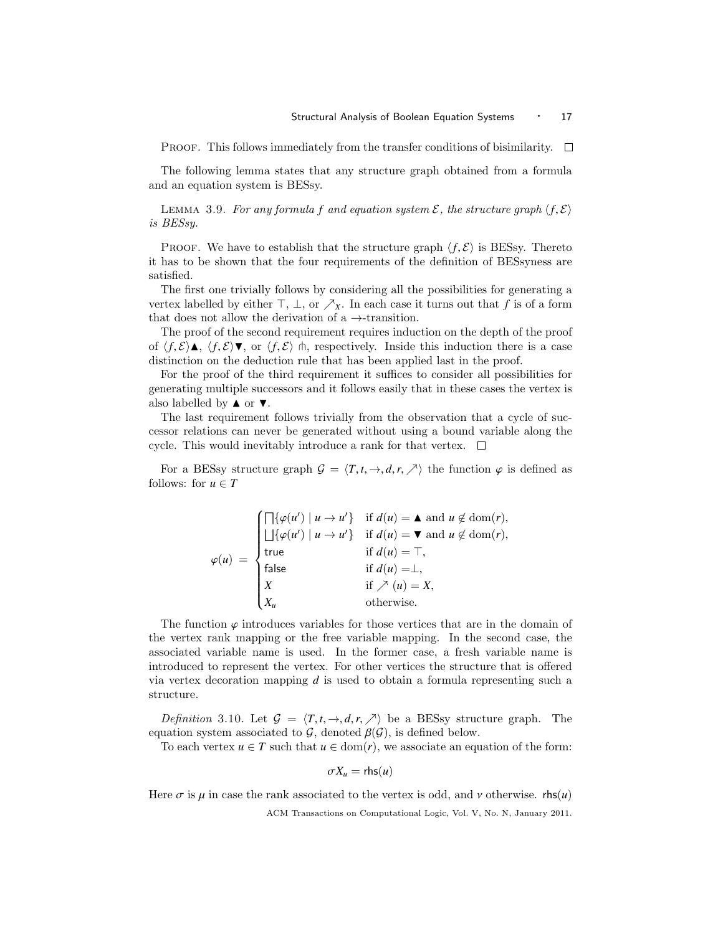Proof. This follows immediately from the transfer conditions of bisimilarity.  $\Box$ 

The following lemma states that any structure graph obtained from a formula and an equation system is BESsy.

LEMMA 3.9. For any formula f and equation system  $\mathcal{E}$ , the structure graph  $\langle f, \mathcal{E} \rangle$ is BESsy.

**PROOF.** We have to establish that the structure graph  $\langle f, \mathcal{E} \rangle$  is BESsy. Thereto it has to be shown that the four requirements of the definition of BESsyness are satisfied.

The first one trivially follows by considering all the possibilities for generating a vertex labelled by either  $\top$ ,  $\bot$ , or  $\nearrow_X$ . In each case it turns out that *f* is of a form that does not allow the derivation of a  $\rightarrow$ -transition.

The proof of the second requirement requires induction on the depth of the proof of  $\langle f, \mathcal{E} \rangle \blacktriangle$ ,  $\langle f, \mathcal{E} \rangle \blacktriangledown$ , or  $\langle f, \mathcal{E} \rangle$  h, respectively. Inside this induction there is a case distinction on the deduction rule that has been applied last in the proof.

For the proof of the third requirement it suffices to consider all possibilities for generating multiple successors and it follows easily that in these cases the vertex is also labelled by  $\blacktriangle$  or  $\nabla$ .

The last requirement follows trivially from the observation that a cycle of successor relations can never be generated without using a bound variable along the cycle. This would inevitably introduce a rank for that vertex.  $\Box$ 

For a BESsy structure graph  $\mathcal{G} = \langle T, t, \to, d, r, \nearrow \rangle$  the function  $\varphi$  is defined as follows: for  $u \in T$ 

$$
\varphi(u) = \begin{cases}\n\prod \{\varphi(u') \mid u \to u'\} & \text{if } d(u) = \blacktriangle \text{ and } u \notin \text{dom}(r), \\
\boxed{\bigcup \{\varphi(u') \mid u \to u'\}} & \text{if } d(u) = \blacktriangledown \text{ and } u \notin \text{dom}(r), \\
\text{true} & \text{if } d(u) = \top, \\
\text{false} & \text{if } d(u) = \bot, \\
X & \text{if } \nearrow (u) = X, \\
X_u & \text{otherwise.} \n\end{cases}
$$

The function  $\varphi$  introduces variables for those vertices that are in the domain of the vertex rank mapping or the free variable mapping. In the second case, the associated variable name is used. In the former case, a fresh variable name is introduced to represent the vertex. For other vertices the structure that is offered via vertex decoration mapping *d* is used to obtain a formula representing such a structure.

Definition 3.10. Let  $\mathcal{G} = \langle T, t, \to, d, r, \nearrow \rangle$  be a BESsy structure graph. The equation system associated to  $\mathcal{G}$ , denoted  $\beta(\mathcal{G})$ , is defined below.

To each vertex  $u \in T$  such that  $u \in \text{dom}(r)$ , we associate an equation of the form:

$$
\sigma X_u=\mathsf{rhs}(u)
$$

Here  $\sigma$  is  $\mu$  in case the rank associated to the vertex is odd, and  $\nu$  otherwise. rhs(*u*)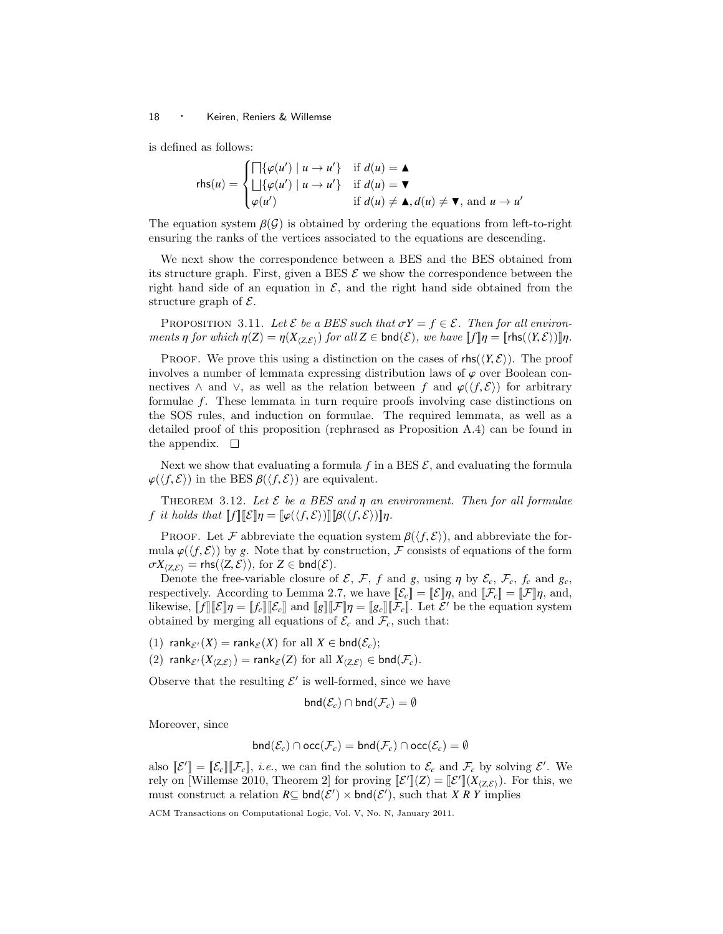is defined as follows:

$$
\mathsf{rhs}(u) = \begin{cases} \Box \{\varphi(u') \mid u \to u'\} & \text{if } d(u) = \blacktriangle \\ \Box \{\varphi(u') \mid u \to u'\} & \text{if } d(u) = \blacktriangledown \\ \varphi(u') & \text{if } d(u) \neq \blacktriangle, d(u) \neq \blacktriangledown, \text{ and } u \to u' \end{cases}
$$

The equation system  $\beta(\mathcal{G})$  is obtained by ordering the equations from left-to-right ensuring the ranks of the vertices associated to the equations are descending.

We next show the correspondence between a BES and the BES obtained from its structure graph. First, given a BES  $\mathcal E$  we show the correspondence between the right hand side of an equation in  $\mathcal{E}$ , and the right hand side obtained from the structure graph of  $\mathcal{E}$ .

PROPOSITION 3.11. Let  $\mathcal E$  be a BES such that  $\sigma Y = f \in \mathcal E$ . Then for all environments  $\eta$  for which  $\eta(Z) = \eta(X_{\langle Z, \mathcal{E} \rangle})$  for all  $Z \in \text{bnd}(\mathcal{E})$ , we have  $||f||\eta = ||\text{rhs}(\langle Y, \mathcal{E} \rangle)||\eta$ .

PROOF. We prove this using a distinction on the cases of  $\mathsf{rhs}(\langle Y, \mathcal{E} \rangle)$ . The proof involves a number of lemmata expressing distribution laws of  $\varphi$  over Boolean connectives  $\land$  and  $\lor$ , as well as the relation between *f* and  $\varphi(\langle f, \mathcal{E} \rangle)$  for arbitrary formulae *f*. These lemmata in turn require proofs involving case distinctions on the SOS rules, and induction on formulae. The required lemmata, as well as a detailed proof of this proposition (rephrased as Proposition A.4) can be found in the appendix.  $\square$ 

Next we show that evaluating a formula  $f$  in a BES  $\mathcal{E}$ , and evaluating the formula  $\varphi(\langle f, \mathcal{E} \rangle)$  in the BES  $\beta(\langle f, \mathcal{E} \rangle)$  are equivalent.

THEOREM 3.12. Let  $\mathcal E$  be a BES and  $\eta$  an environment. Then for all formulae *f* it holds that  $\llbracket f \rrbracket \llbracket \mathcal{E} \rrbracket \eta = \llbracket \varphi(\langle f, \mathcal{E} \rangle) \rrbracket \llbracket \beta(\langle f, \mathcal{E} \rangle) \rrbracket \eta.$ 

PROOF. Let F abbreviate the equation system  $\beta(\langle f, \mathcal{E} \rangle)$ , and abbreviate the formula  $\varphi(\langle f,\mathcal{E}\rangle)$  by g. Note that by construction, F consists of equations of the form  $\sigma X_{\langle Z,\mathcal{E}\rangle}$  = rhs( $\langle Z,\mathcal{E}\rangle$ ), for  $Z \in \mathsf{bnd}(\mathcal{E})$ .

Denote the free-variable closure of  $\mathcal{E}, \mathcal{F}, f$  and  $g$ , using  $\eta$  by  $\mathcal{E}_c, \mathcal{F}_c, f_c$  and  $g_c$ , respectively. According to Lemma 2.7, we have  $\llbracket \mathcal{E}_{c} \rrbracket = \llbracket \mathcal{E} \rrbracket \eta$ , and,  $\llbracket \mathcal{F}_{c} \rrbracket = \llbracket \mathcal{F} \rrbracket \eta$ , and, likewise,  $[[f]][[\mathcal{E}]]\eta = [[f_c]][[\mathcal{E}_c]]$  and  $[[g]][[\mathcal{F}]]\eta = [[g_c]][[\mathcal{F}_c]]$ . Let  $\mathcal{E}'$  be the equation system obtained by merging all equations of  $\mathcal{E}$  and  $\mathcal{F}$  such that: obtained by merging all equations of  $\mathcal{E}_c$  and  $\mathcal{F}_c$ , such that:

- (1) rank $\varepsilon(X)$  = rank $\varepsilon(X)$  for all  $X \in \text{bnd}(\mathcal{E}_c)$ ;
- (2) rank $_{\mathcal{E}'}(X_{\langle Z,\mathcal{E}\rangle})$  = rank $_{\mathcal{E}}(Z)$  for all  $X_{\langle Z,\mathcal{E}\rangle}$   $\in$  bnd( $\mathcal{F}_c$ ).

Observe that the resulting  $\mathcal{E}'$  is well-formed, since we have

$$
\mathsf{bnd}(\mathcal{E}_c) \cap \mathsf{bnd}(\mathcal{F}_c) = \emptyset
$$

Moreover, since

$$
\mathsf{bnd}(\mathcal{E}_c) \cap \mathsf{occ}(\mathcal{F}_c) = \mathsf{bnd}(\mathcal{F}_c) \cap \mathsf{occ}(\mathcal{E}_c) = \emptyset
$$

also  $\llbracket \mathcal{E}' \rrbracket = \llbracket \mathcal{E}_c \rrbracket \llbracket \mathcal{F}_c \rrbracket$ , *i.e.*, we can find the solution to  $\mathcal{E}_c$  and  $\mathcal{F}_c$  by solving  $\mathcal{E}'$ . We rely on [Willemse 2010, Theorem 2] for proving  $\llbracket \mathcal{E}' \rrbracket(Z) = \llbracket \mathcal{E}' \rrbracket(X_{\langle Z, \mathcal{E} \rangle})$ . For this, we<br>must construct a relation  $R \subset \text{had}(\mathcal{E}')$  is had( $\mathcal{E}'$ ) such that *X B V* implies must construct a relation  $R\subseteq \text{bnd}(\mathcal{E}') \times \text{bnd}(\mathcal{E}')$ , such that *X R Y* implies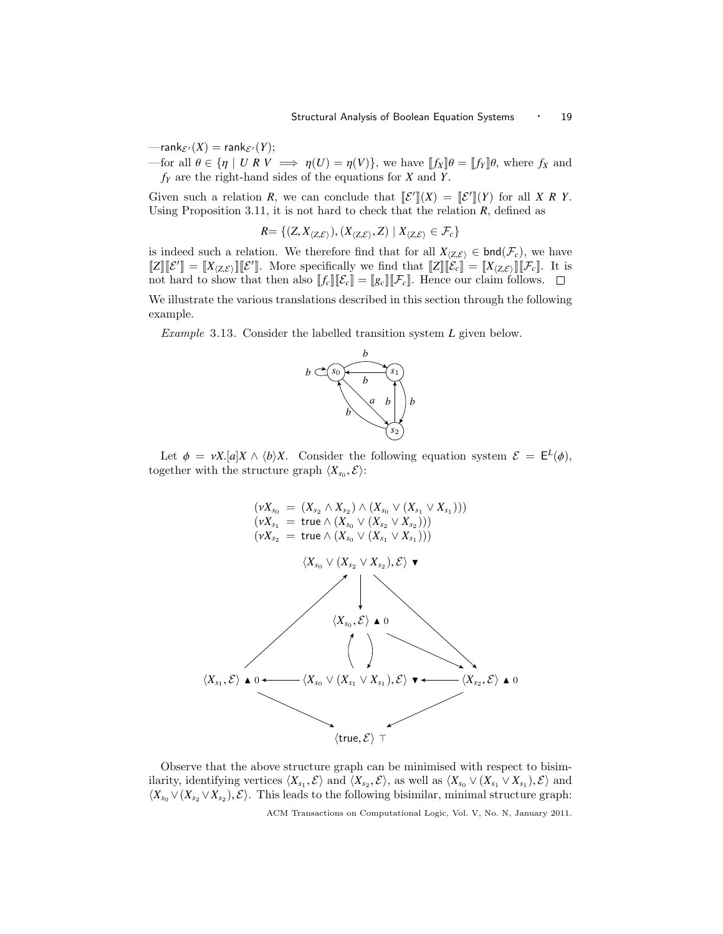$\text{--rank}_{\mathcal{E}'}(X) = \text{rank}_{\mathcal{E}'}(Y);$ 

—for all  $\theta \in {\eta \mid U \mathbb{R} V \implies \eta(U) = \eta(V)}$ , we have  $[[f_X] \theta = [[f_Y] \theta] \theta$ , where  $f_X$  and *f<sup>Y</sup>* are the right-hand sides of the equations for *X* and *Y*.

Given such a relation *R*, we can conclude that  $\mathcal{L}^{\prime} \mathcal{L}(X) = \mathcal{L}^{\prime} \mathcal{L}(Y)$  for all *X R Y*. Using Proposition 3.11, it is not hard to check that the relation *R*, defined as

$$
R = \{ (Z, X_{\langle Z, \mathcal{E} \rangle}), (X_{\langle Z, \mathcal{E} \rangle}, Z) \mid X_{\langle Z, \mathcal{E} \rangle} \in \mathcal{F}_c \}
$$

is indeed such a relation. We therefore find that for all  $X_{\langle Z,\mathcal{E}\rangle} \in \text{bnd}(\mathcal{F}_c)$ , we have  $\llbracket Z \rrbracket [\mathcal{E}'] = \llbracket X_{\langle Z, \mathcal{E} \rangle} \rrbracket [\mathcal{E}']$ . More specifically we find that  $\llbracket Z \rrbracket [\mathcal{E}_c] = \llbracket X_{\langle Z, \mathcal{E} \rangle} \rrbracket [\mathcal{F}_c]$ . It is not hard to show that then also  $[[f_c]][[\mathcal{E}_c]] = [[g_c]][\mathcal{F}_c]$ . Hence our claim follows.  $\square$ 

We illustrate the various translations described in this section through the following example.

Example 3.13. Consider the labelled transition system *L* given below.



Let  $\phi = \nu X.[a]X \wedge \langle b \rangle X$ . Consider the following equation system  $\mathcal{E} = \mathsf{E}^L(\phi)$ , together with the structure graph  $\langle X_{s_0}, \mathcal{E} \rangle$ :



Observe that the above structure graph can be minimised with respect to bisimilarity, identifying vertices  $\langle X_{s_1}, \mathcal{E} \rangle$  and  $\langle X_{s_2}, \mathcal{E} \rangle$ , as well as  $\langle X_{s_0} \vee (X_{s_1} \vee X_{s_1}), \mathcal{E} \rangle$  and  $\langle Y \vee (Y \vee Y) \rangle$ . This leads to the following bisimilar minimal structure graph:  $\langle X_{s_0} \vee (X_{s_2} \vee X_{s_2}), \mathcal{E} \rangle$ . This leads to the following bisimilar, minimal structure graph: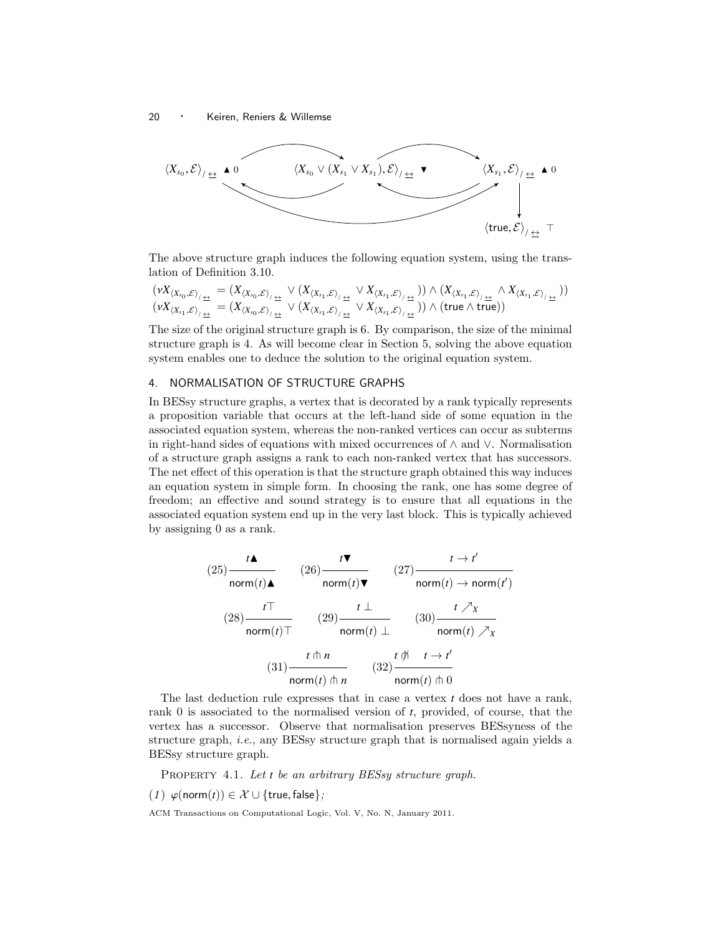

The above structure graph induces the following equation system, using the translation of Definition 3.10.

$$
\begin{array}{l} \left(\nu X_{\langle X_{s_0},\mathcal{E}\rangle_{/\underline{\leftrightarrow}}}=\left(X_{\langle X_{s_0},\mathcal{E}\rangle_{/\underline{\leftrightarrow}}} \vee\left(X_{\langle X_{s_1},\mathcal{E}\rangle_{/\underline{\leftrightarrow}}} \vee X_{\langle X_{s_1},\mathcal{E}\rangle_{/\underline{\leftrightarrow}}} \right)\right) \wedge \left(X_{\langle X_{s_1},\mathcal{E}\rangle_{/\underline{\leftrightarrow}}} \wedge X_{\langle X_{s_1},\mathcal{E}\rangle_{/\underline{\leftrightarrow}}} \right) \right) \\ \left(\nu X_{\langle X_{s_1},\mathcal{E}\rangle_{/\underline{\leftrightarrow}}}=\left(X_{\langle X_{s_0},\mathcal{E}\rangle_{/\underline{\leftrightarrow}}} \vee\left(X_{\langle X_{s_1},\mathcal{E}\rangle_{/\underline{\leftrightarrow}}} \vee X_{\langle X_{s_1},\mathcal{E}\rangle_{/\underline{\leftrightarrow}}} \right)\right) \wedge \left(\text{true} \wedge \text{true}\right)\right) \end{array}
$$

The size of the original structure graph is 6. By comparison, the size of the minimal structure graph is 4. As will become clear in Section 5, solving the above equation system enables one to deduce the solution to the original equation system.

# 4. NORMALISATION OF STRUCTURE GRAPHS

In BESsy structure graphs, a vertex that is decorated by a rank typically represents a proposition variable that occurs at the left-hand side of some equation in the associated equation system, whereas the non-ranked vertices can occur as subterms in right-hand sides of equations with mixed occurrences of ∧ and ∨. Normalisation of a structure graph assigns a rank to each non-ranked vertex that has successors. The net effect of this operation is that the structure graph obtained this way induces an equation system in simple form. In choosing the rank, one has some degree of freedom; an effective and sound strategy is to ensure that all equations in the associated equation system end up in the very last block. This is typically achieved by assigning 0 as a rank.

$$
(25) \frac{t\blacktriangle}{\text{norm}(t)\blacktriangle} \qquad (26) \frac{t\blacktriangledown}{\text{norm}(t)\blacktriangledown} \qquad (27) \frac{t\rightarrow t'}{\text{norm}(t)\rightarrow \text{norm}(t')}
$$
\n
$$
(28) \frac{t\top}{\text{norm}(t)\top} \qquad (29) \frac{t\perp}{\text{norm}(t)\perp} \qquad (30) \frac{t\nearrow x}{\text{norm}(t)\nearrow x}
$$
\n
$$
(31) \frac{t\pitchfork n}{\text{norm}(t)\pitchfork n} \qquad (32) \frac{t\pitchfork t\rightarrow t'}{\text{norm}(t)\pitchfork 0}
$$

The last deduction rule expresses that in case a vertex *t* does not have a rank, rank 0 is associated to the normalised version of *t*, provided, of course, that the vertex has a successor. Observe that normalisation preserves BESsyness of the structure graph, i.e., any BESsy structure graph that is normalised again yields a BESsy structure graph.

PROPERTY 4.1. Let *t* be an arbitrary BESsy structure graph.

(1)  $\varphi$ (norm(t)) ∈ X ∪ {true, false};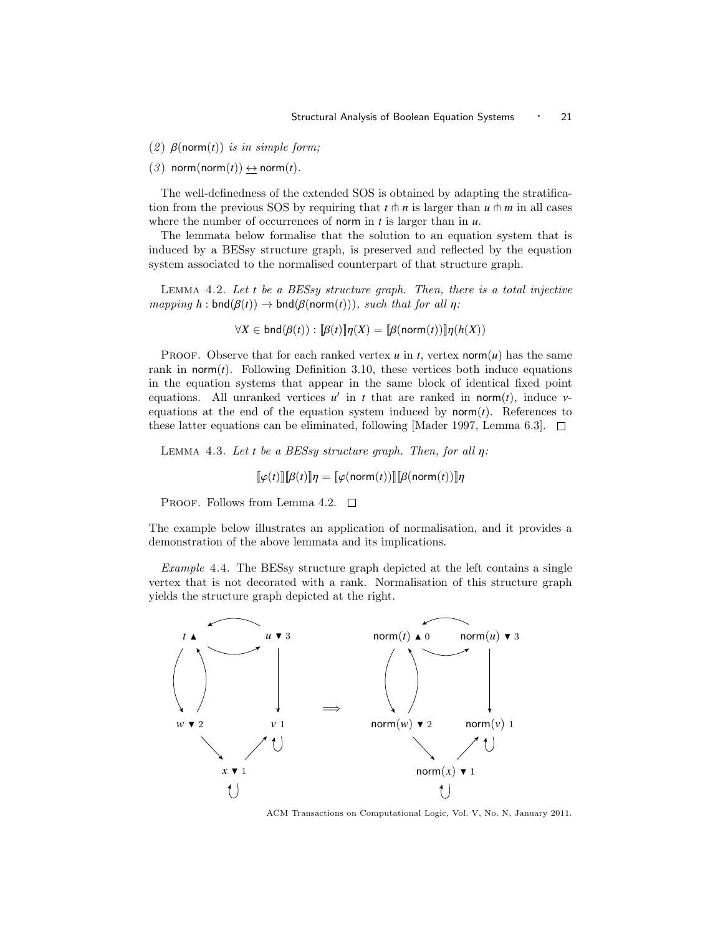(2)  $\beta$ (norm(*t*)) is in simple form;

 $(3)$  norm(norm $(t)$ )  $\leftrightarrow$  norm $(t)$ .

The well-definedness of the extended SOS is obtained by adapting the stratification from the previous SOS by requiring that  $t \uparrow n$  is larger than  $u \uparrow m$  in all cases where the number of occurrences of norm in *t* is larger than in *u*.

The lemmata below formalise that the solution to an equation system that is induced by a BESsy structure graph, is preserved and reflected by the equation system associated to the normalised counterpart of that structure graph.

Lemma 4.2. Let *t* be a BESsy structure graph. Then, there is a total injective  $mapping h: \text{bnd}(\beta(t)) \rightarrow \text{bnd}(\beta(norm(t))), such that for all \eta:$ 

$$
\forall X \in \text{bnd}(\beta(t)) : [\![\beta(t)]\!] \eta(X) = [\![\beta(\text{norm}(t))\!] \eta(h(X))
$$

PROOF. Observe that for each ranked vertex  $u$  in  $t$ , vertex norm $(u)$  has the same rank in norm $(t)$ . Following Definition 3.10, these vertices both induce equations in the equation systems that appear in the same block of identical fixed point equations. All unranked vertices  $u'$  in *t* that are ranked in norm(*t*), induce  $v$ -<br>equations at the end of the equation system induced by norm(*t*). References to equations at the end of the equation system induced by  $norm(t)$ . References to these latter equations can be eliminated, following [Mader 1997, Lemma 6.3].  $\Box$ 

Lemma 4.3. Let *<sup>t</sup>* be a BESsy structure graph. Then, for all η:

$$
[\![\varphi(t)]\!]\![\beta(t)]\!]\eta = [\![\varphi(\text{norm}(t))]\!]\!][\![\beta(\text{norm}(t))]\!]\eta
$$

PROOF. Follows from Lemma 4.2.  $\Box$ 

The example below illustrates an application of normalisation, and it provides a demonstration of the above lemmata and its implications.

Example 4.4. The BESsy structure graph depicted at the left contains a single vertex that is not decorated with a rank. Normalisation of this structure graph yields the structure graph depicted at the right.



ACM Transactions on Computational Logic, Vol. V, No. N, January 2011.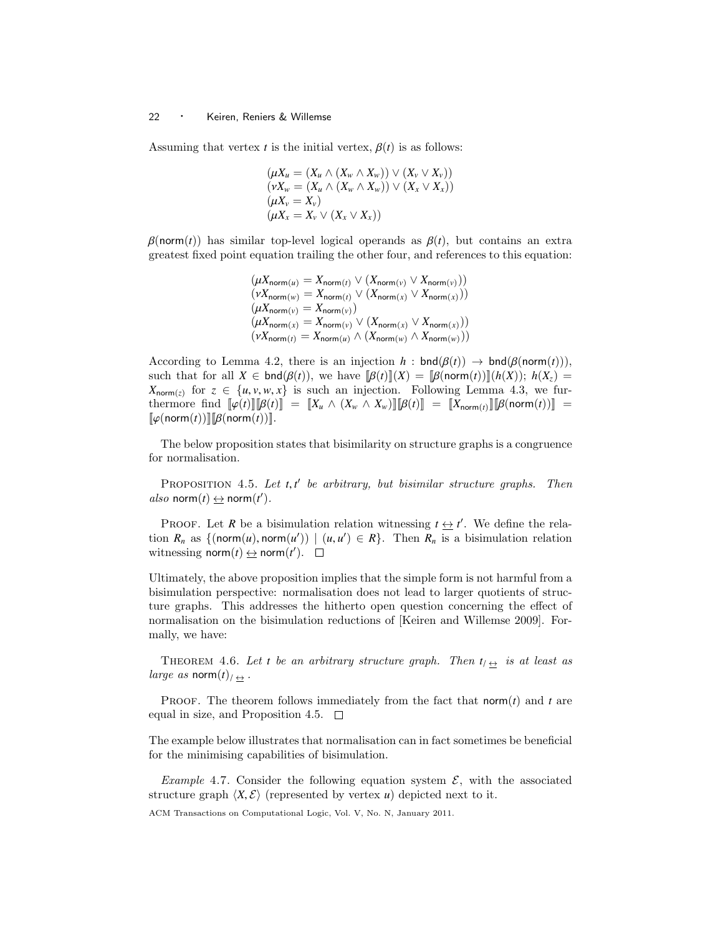Assuming that vertex *t* is the initial vertex,  $\beta(t)$  is as follows:

$$
(\mu X_u = (X_u \wedge (X_w \wedge X_w)) \vee (X_v \vee X_v))
$$
  
\n
$$
(\nu X_w = (X_u \wedge (X_w \wedge X_w)) \vee (X_x \vee X_x))
$$
  
\n
$$
(\mu X_v = X_v)
$$
  
\n
$$
(\mu X_x = X_v \vee (X_x \vee X_x))
$$

 $\beta$ (norm(*t*)) has similar top-level logical operands as  $\beta(t)$ , but contains an extra greatest fixed point equation trailing the other four, and references to this equation:

$$
(\mu X_{\text{norm}(u)} = X_{\text{norm}(t)} \vee (X_{\text{norm}(v)} \vee X_{\text{norm}(v)}))
$$
  
\n
$$
(\nu X_{\text{norm}(w)} = X_{\text{norm}(t)} \vee (X_{\text{norm}(x)} \vee X_{\text{norm}(x)}))
$$
  
\n
$$
(\mu X_{\text{norm}(v)} = X_{\text{norm}(v)})
$$
  
\n
$$
(\mu X_{\text{norm}(x)} = X_{\text{norm}(v)} \vee (X_{\text{norm}(x)} \vee X_{\text{norm}(x)}))
$$
  
\n
$$
(\nu X_{\text{norm}(t)} = X_{\text{norm}(u)} \wedge (X_{\text{norm}(w)} \wedge X_{\text{norm}(w)}))
$$

According to Lemma 4.2, there is an injection  $h : \text{bnd}(\beta(t)) \to \text{bnd}(\beta(\text{norm}(t))),$ such that for all  $X \in \text{bnd}(\beta(t))$ , we have  $[\beta(t)][(X)] = [\beta(\text{norm}(t))][(h(X)); h(X_{z})] =$  $X_{\text{norm}(z)}$  for  $z \in \{u, v, w, x\}$  is such an injection. Following Lemma 4.3, we fur-<br>thermore find  $\lceil u(t) \rceil \lceil R(t) \rceil - \lceil X \rceil \wedge (X \wedge X) \rceil \lceil R(t) \rceil - \lceil X \rceil \wedge \lceil R(\text{norm}(t)) \rceil - \lceil X \rceil$ thermore find  $[\![\varphi(t)]\!] [\![\beta(t)]\!] = [\![X_u \wedge (X_w \wedge X_w)]\!] [\![\beta(t)]\!] = [\![X_{\text{norm}(t)}\!] [\![\beta(\text{norm}(t))] \!] =$  $\llbracket \varphi(\text{norm}(t)) \rrbracket [\beta(\text{norm}(t))]$ .

The below proposition states that bisimilarity on structure graphs is a congruence for normalisation.

PROPOSITION 4.5. Let *t*, *t'* be arbitrary, but bisimilar structure graphs. Then also  $norm(t) \triangleq norm(t')$ .

PROOF. Let *R* be a bisimulation relation witnessing  $t \leftrightarrow t'$ . We define the relation  $R_n$  as  $\{(\text{norm}(u), \text{norm}(u')) \mid (u, u') \in R\}$ . Then  $R_n$  is a bisimulation relation witnessing norm $(t) \leftrightarrow \text{norm}(t')$ witnessing  $norm(t) \leftrightarrow norm(t')$ .

Ultimately, the above proposition implies that the simple form is not harmful from a bisimulation perspective: normalisation does not lead to larger quotients of structure graphs. This addresses the hitherto open question concerning the effect of normalisation on the bisimulation reductions of [Keiren and Willemse 2009]. Formally, we have:

THEOREM 4.6. Let *t* be an arbitrary structure graph. Then  $t_{\ell} \leftrightarrow$  is at least as *large as* norm $(t)_{\ell \rightarrow \infty}$ .

**PROOF.** The theorem follows immediately from the fact that norm $(t)$  and  $t$  are equal in size, and Proposition 4.5.  $\Box$ 

The example below illustrates that normalisation can in fact sometimes be beneficial for the minimising capabilities of bisimulation.

Example 4.7. Consider the following equation system  $\mathcal{E}$ , with the associated structure graph  $\langle X, \mathcal{E} \rangle$  (represented by vertex *u*) depicted next to it.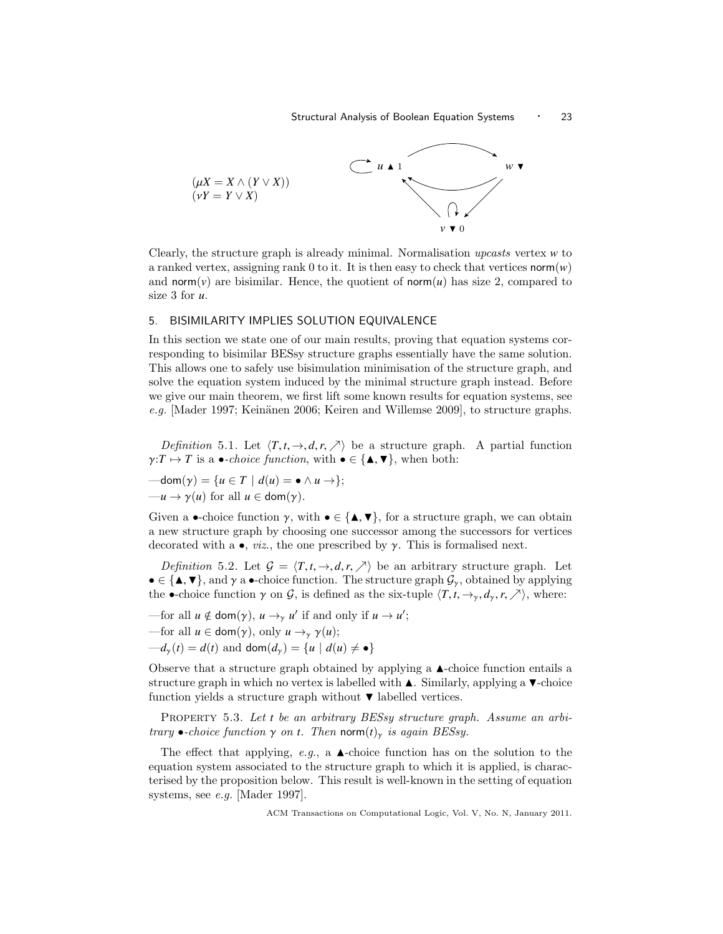

Clearly, the structure graph is already minimal. Normalisation upcasts vertex *w* to a ranked vertex, assigning rank 0 to it. It is then easy to check that vertices  $\text{norm}(w)$ and norm( $\nu$ ) are bisimilar. Hence, the quotient of norm( $\nu$ ) has size 2, compared to size 3 for *u*.

## 5. BISIMILARITY IMPLIES SOLUTION EQUIVALENCE

In this section we state one of our main results, proving that equation systems corresponding to bisimilar BESsy structure graphs essentially have the same solution. This allows one to safely use bisimulation minimisation of the structure graph, and solve the equation system induced by the minimal structure graph instead. Before we give our main theorem, we first lift some known results for equation systems, see e.g. [Mader 1997; Keinänen 2006; Keiren and Willemse 2009], to structure graphs.

*Definition* 5.1. Let  $\langle T, t, \rightarrow, d, r, \nearrow \rangle$  be a structure graph. A partial function  $\gamma: T \mapsto T$  is a  $\bullet$ -*choice function*, with  $\bullet \in {\{\blacktriangle, \blacktriangledown\}}$ , when both:

 $-\text{dom}(\gamma) = \{u \in T \mid d(u) = \bullet \land u \rightarrow \};$  $-u \to \gamma(u)$  for all  $u \in \text{dom}(\gamma)$ .

Given a •-choice function  $\gamma$ , with  $\bullet \in {\{\blacktriangle, \blacktriangledown\}}$ , for a structure graph, we can obtain a new structure graph by choosing one successor among the successors for vertices decorated with a  $\bullet$ , *viz.*, the one prescribed by  $\gamma$ . This is formalised next.

Definition 5.2. Let  $\mathcal{G} = \langle T, t, \to, d, r, \nearrow \rangle$  be an arbitrary structure graph. Let  $\bullet \in {\{\text{A}, \text{V}\}\}\,$  and  $\gamma$  a  $\bullet$ -choice function. The structure graph  $\mathcal{G}_{\gamma}$ , obtained by applying the •-choice function  $\gamma$  on  $\mathcal{G}$ , is defined as the six-tuple  $\langle T, t, \rightarrow_{\gamma}, d_{\gamma}, r, \nearrow \rangle$ , where:

—for all  $u \notin \text{dom}(\gamma)$ ,  $u \rightarrow_\gamma u'$  if and only if  $u \rightarrow u'$ ; —for all  $u \in \text{dom}(\gamma)$ , only  $u \to_{\gamma} \gamma(u)$ ;  $-d_{\gamma}(t) = d(t)$  and  $\text{dom}(d_{\gamma}) = \{u \mid d(u) \neq \bullet\}$ 

Observe that a structure graph obtained by applying a  $\blacktriangle$ -choice function entails a structure graph in which no vertex is labelled with  $\blacktriangle$ . Similarly, applying a  $\nabla$ -choice function yields a structure graph without  $\nabla$  labelled vertices.

PROPERTY 5.3. Let *t* be an arbitrary BESsy structure graph. Assume an arbitrary  $\bullet$ -choice function  $\gamma$  on *t*. Then norm $(t)_{\gamma}$  is again BESsy.

The effect that applying, e.g., a  $\blacktriangle$ -choice function has on the solution to the equation system associated to the structure graph to which it is applied, is characterised by the proposition below. This result is well-known in the setting of equation systems, see e.g. [Mader 1997].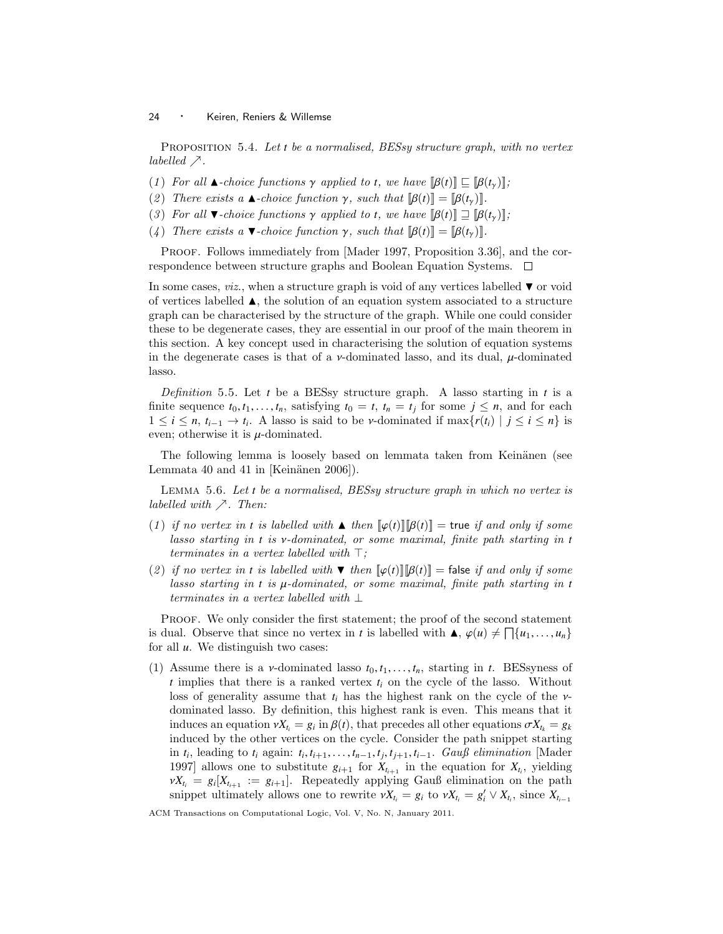Proposition 5.4. Let *t* be a normalised, BESsy structure graph, with no vertex labelled  $\nearrow$ .

- (1) For all  $\blacktriangle$ -choice functions  $\gamma$  applied to *t*, we have  $[\beta(t)] \sqsubseteq [\beta(t_\gamma)]$ ;
- (2) There exists a  $\blacktriangle$ -choice function  $\gamma$ , such that  $[\beta(t)] = [\beta(t_\gamma)]$ .
- (3) For all  $\blacktriangledown$ -choice functions  $\gamma$  applied to *t*, we have  $[\beta(t)] \sqsupseteq [\beta(t_{\gamma})]$ ;
- (4) There exists a  $\blacktriangledown$ -choice function  $\gamma$ , such that  $[\beta(t)] = [\beta(t_\gamma)]$ .

PROOF. Follows immediately from [Mader 1997, Proposition 3.36], and the correspondence between structure graphs and Boolean Equation Systems.  $\Box$ 

In some cases, *viz.*, when a structure graph is void of any vertices labelled  $\blacktriangledown$  or void of vertices labelled  $\blacktriangle$ , the solution of an equation system associated to a structure graph can be characterised by the structure of the graph. While one could consider these to be degenerate cases, they are essential in our proof of the main theorem in this section. A key concept used in characterising the solution of equation systems in the degenerate cases is that of a  $\nu$ -dominated lasso, and its dual,  $\mu$ -dominated lasso.

Definition 5.5. Let *t* be a BESsy structure graph. A lasso starting in *t* is a finite sequence  $t_0, t_1, \ldots, t_n$ , satisfying  $t_0 = t$ ,  $t_n = t_j$  for some  $j \leq n$ , and for each  $1 \leq i \leq n$ ,  $t_{i-1} \to t_i$ . A lasso is said to be *v*-dominated if  $\max\{r(t_i) | j \leq i \leq n\}$  is even: otherwise it is *u*-dominated even; otherwise it is  $\mu$ -dominated.

The following lemma is loosely based on lemmata taken from Keinänen (see Lemmata 40 and 41 in [Keinänen 2006]).

Lemma 5.6. Let *t* be a normalised, BESsy structure graph in which no vertex is labelled with  $\nearrow$ . Then:

- (1) if no vertex in *t* is labelled with  $\blacktriangle$  then  $\lbrack \lbrack \varphi(t) \rbrack \rbrack \lbrack \beta(t) \rbrack =$  true if and only if some lasso starting in *<sup>t</sup>* is ν-dominated, or some maximal, finite path starting in *<sup>t</sup>* terminates in a vertex labelled with  $\top$ ;
- (2) if no vertex in *t* is labelled with  $\nabla$  then  $[\varphi(t)][\beta(t)] =$  false if and only if some lasso starting in *<sup>t</sup>* is µ-dominated, or some maximal, finite path starting in *<sup>t</sup>* terminates in a vertex labelled with ⊥

Proof. We only consider the first statement; the proof of the second statement is dual. Observe that since no vertex in *t* is labelled with  $\blacktriangle, \varphi(u) \neq \Box \{u_1, \ldots, u_n\}$  for all *u*. We distinguish two cases: for all *u*. We distinguish two cases:

(1) Assume there is a *v*-dominated lasso  $t_0, t_1, \ldots, t_n$ , starting in *t*. BESsyness of *t* implies that there is a ranked vertex *t<sup>i</sup>* on the cycle of the lasso. Without loss of generality assume that  $t_i$  has the highest rank on the cycle of the  $\nu$ dominated lasso. By definition, this highest rank is even. This means that it induces an equation  $vX_{t_i} = g_i$  in  $\beta(t)$ , that precedes all other equations  $\sigma X_{t_k} = g_k$ <br>induced by the other vertices on the cycle. Consider the path spinnet starting induced by the other vertices on the cycle. Consider the path snippet starting in *t*<sub>*i*</sub>, leading to *t*<sub>*i*</sub> again: *t*<sub>*i*</sub>, *t*<sub>*i*+1</sub>, ..., *t*<sub>*n*−1</sub>, *t*<sub>*j*</sub>, *t*<sub>*i*+1</sub>, *t*<sub>*i*-1</sub>. Gauß elimination [Mader 1007] allows one to substitute  $g_{\text{tot}}$  for *Y* in the equation for *Y* vielding 1997] allows one to substitute  $g_{i+1}$  for  $X_{t_{i+1}}$  in the equation for  $X_{t_i}$ , yielding  $\nu X_{t_i} = g_i[X_{t_{i+1}} := g_{i+1}].$  Repeatedly applying Gauß elimination on the path spinnet ultimately allows one to rewrite  $\nu Y = g_i$  to  $\nu Y = g' \vee Y$  since Y snippet ultimately allows one to rewrite  $\nu X_{t_i} = g_i$  to  $\nu X_{t_i} = g'_i \vee X_{t_i}$ , since  $X_{t_{i-1}}$ 

ACM Transactions on Computational Logic, Vol. V, No. N, January 2011.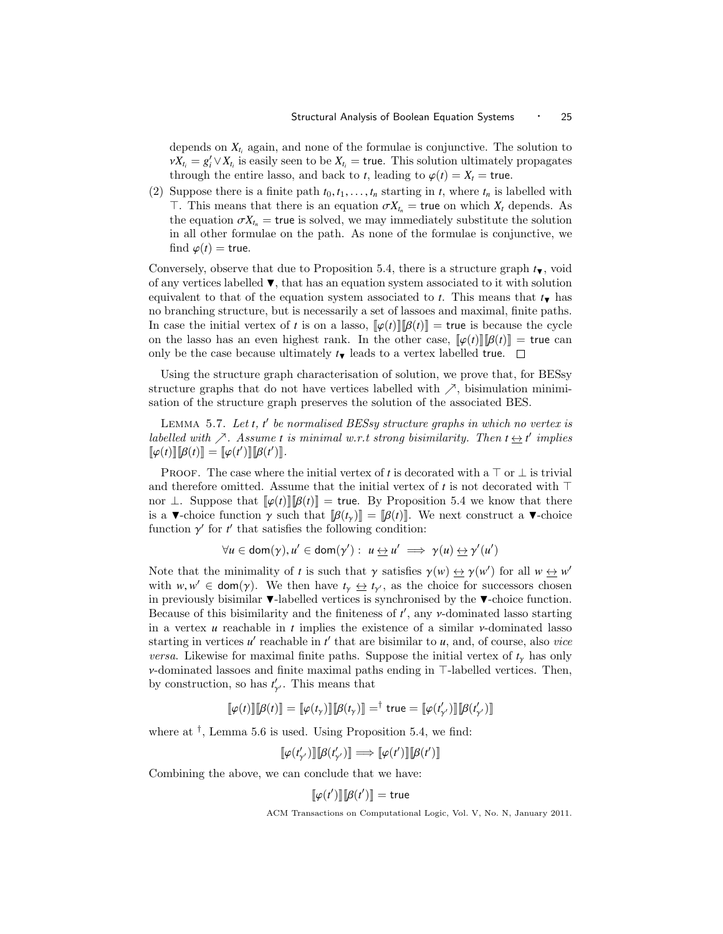depends on  $X_{t_i}$  again, and none of the formulae is conjunctive. The solution to  $\nu X_t = g'_t \vee X_t$  is easily seen to be  $X_t$  = true. This solution ultimately propagates through the entire lasse and back to t leading to  $g(t) = \mathbf{Y}$  = true. through the entire lasso, and back to *t*, leading to  $\varphi(t) = X_t = \text{true}$ .

(2) Suppose there is a finite path  $t_0, t_1, \ldots, t_n$  starting in  $t$ , where  $t_n$  is labelled with  $\top$ . This means that there is an equation  $\sigma X_{t_n}$  = true on which  $X_t$  depends. As the equation  $\sigma X_{t_n}$  = true is solved, we may immediately substitute the solution in all other formulae on the path. As none of the formulae is conjunctive, we find  $\varphi(t) =$  true.

Conversely, observe that due to Proposition 5.4, there is a structure graph  $t_{\blacktriangledown}$ , void of any vertices labelled  $\P$ , that has an equation system associated to it with solution equivalent to that of the equation system associated to *t*. This means that  $t_{\text{H}}$  has no branching structure, but is necessarily a set of lassoes and maximal, finite paths. In case the initial vertex of *t* is on a lasso,  $\llbracket \varphi(t) \rrbracket |\mathcal{B}(t) \rrbracket =$  true is because the cycle on the lasso has an even highest rank. In the other case,  $\llbracket \varphi(t) \rrbracket |B(t) \rrbracket =$  true can only be the case because ultimately  $t_{\text{V}}$  leads to a vertex labelled true.  $\square$ 

Using the structure graph characterisation of solution, we prove that, for BESsy structure graphs that do not have vertices labelled with  $\nearrow$ , bisimulation minimisation of the structure graph preserves the solution of the associated BES.

LEMMA 5.7. Let *t*, *t*' be normalised BESsy structure graphs in which no vertex is labelled with  $\nearrow$ . Assume *t* is minimal w.r.t strong bisimilarity. Then  $t \leftrightarrow t'$  implies  $[\![\varphi(t)]\!][\![\beta(t)]\!] = [\![\varphi(t')] \!][\![\beta(t')] \!].$ 

PROOF. The case where the initial vertex of *t* is decorated with a  $\top$  or  $\bot$  is trivial and therefore omitted. Assume that the initial vertex of  $t$  is not decorated with  $\top$ nor  $\perp$ . Suppose that  $\llbracket \varphi(t) \rrbracket |\mathcal{B}(t) \rrbracket =$  true. By Proposition 5.4 we know that there is a  $\blacktriangledown$ -choice function  $\gamma$  such that  $[\beta(t_\gamma)] = [\beta(t)]$ . We next construct a  $\nblacktriangledown$ -choice function  $\gamma'$  for  $t'$  that satisfies the following condition:

$$
\forall u \in \text{dom}(\gamma), u' \in \text{dom}(\gamma') : u \underline{\leftrightarrow} u' \implies \gamma(u) \underline{\leftrightarrow} \gamma'(u')
$$

Note that the minimality of *t* is such that  $\gamma$  satisfies  $\gamma(w) \leftrightarrow \gamma(w')$  for all  $w \leftrightarrow w'$ <br>with *w*  $w' \in \text{dom}(w)$ . We then have  $t \leftrightarrow t$ , as the choice for successors chosen with  $w, w' \in \text{dom}(\gamma)$ . We then have  $t_{\gamma} \leftrightarrow t_{\gamma'}$ , as the choice for successors chosen<br>in previously bisimilar  $\blacktriangledown$ -labelled vertices is synchronised by the  $\blacktriangledown$ -choice function in previously bisimilar  $\blacktriangledown$ -labelled vertices is synchronised by the  $\blacktriangledown$ -choice function. Because of this bisimilarity and the finiteness of  $t'$ , any  $\nu$ -dominated lasso starting<br>in a vertex  $\mu$  reachable in  $t$  implies the existence of a similar v-dominated lasso in a vertex *<sup>u</sup>* reachable in *<sup>t</sup>* implies the existence of a similar ν-dominated lasso starting in vertices  $u'$  reachable in  $t'$  that are bisimilar to  $u$ , and, of course, also *vice versa.* Likewise for maximal finite paths. Suppose the initial vertex of  $t<sub>y</sub>$  has only  $\nu$ -dominated lassoes and finite maximal paths ending in  $\top$ -labelled vertices. Then, by construction, so has  $t'_{\gamma}$ . This means that

$$
\llbracket \varphi(t) \rrbracket \llbracket \beta(t) \rrbracket = \llbracket \varphi(t_{\gamma}) \rrbracket \llbracket \beta(t_{\gamma}) \rrbracket = \dagger \text{ true} = \llbracket \varphi(t_{\gamma'}) \rrbracket \llbracket \beta(t_{\gamma'}) \rrbracket
$$

where at  $^{\dagger}$ , Lemma 5.6 is used. Using Proposition 5.4, we find:

$$
\llbracket \varphi(t'_{\gamma'}) \rrbracket \llbracket \beta(t'_{\gamma'}) \rrbracket \Longrightarrow \llbracket \varphi(t') \rrbracket \llbracket \beta(t') \rrbracket
$$

Combining the above, we can conclude that we have:

γ

$$
[\![\varphi(t')]\!][\![\beta(t')]\!]=\mathsf{true}
$$

 $[\![\varphi(t')]\!] [\![\beta(t')] \!] = \text{true}$ <br>ACM Transactions on Computational Logic, Vol. V, No. N, January 2011.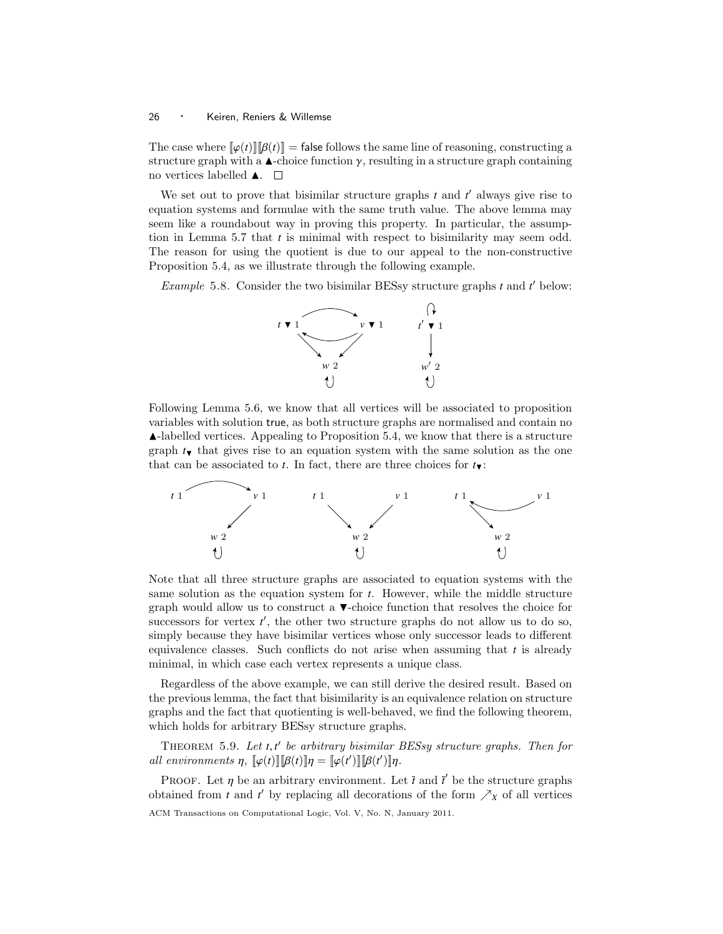The case where  $\llbracket \varphi(t) \rrbracket \llbracket \beta(t) \rrbracket =$  false follows the same line of reasoning, constructing a structure graph with a  $\blacktriangle$ -choice function  $\gamma$ , resulting in a structure graph containing no vertices labelled  $\blacktriangle$ .  $\Box$ 

We set out to prove that bisimilar structure graphs  $t$  and  $t'$  always give rise to equation systems and formulae with the same truth value. The above lemma may seem like a roundabout way in proving this property. In particular, the assumption in Lemma 5.7 that *t* is minimal with respect to bisimilarity may seem odd. The reason for using the quotient is due to our appeal to the non-constructive Proposition 5.4, as we illustrate through the following example.

Example 5.8. Consider the two bisimilar BESsy structure graphs  $t$  and  $t'$  below:



Following Lemma 5.6, we know that all vertices will be associated to proposition variables with solution true, as both structure graphs are normalised and contain no  $\blacktriangle$ -labelled vertices. Appealing to Proposition 5.4, we know that there is a structure graph  $t_{\blacktriangledown}$  that gives rise to an equation system with the same solution as the one that can be associated to *t*. In fact, there are three choices for  $t_{\blacktriangledown}$ :



Note that all three structure graphs are associated to equation systems with the same solution as the equation system for *t*. However, while the middle structure graph would allow us to construct a  $\blacktriangledown$ -choice function that resolves the choice for successors for vertex  $t'$ , the other two structure graphs do not allow us to do so, simply because they have bisimilar vertices whose only successor leads to different equivalence classes. Such conflicts do not arise when assuming that *t* is already minimal, in which case each vertex represents a unique class.

Regardless of the above example, we can still derive the desired result. Based on the previous lemma, the fact that bisimilarity is an equivalence relation on structure graphs and the fact that quotienting is well-behaved, we find the following theorem, which holds for arbitrary BESsy structure graphs.

THEOREM 5.9. Let *t*, *t'* be arbitrary bisimilar BESsy structure graphs. Then for<br>l environments n  $\mathbb{L}_Q(t)\mathbb{I}(\mathbb{R}(t)\mathbb{I}(\mathbb{R}(t'))\mathbb{I}(\mathbb{R}(t'))$ all environments  $\eta$ ,  $[\varphi(t)][\beta(t)]\eta = [\varphi(t')][\beta(t')]\eta$ .

PROOF. Let  $\eta$  be an arbitrary environment. Let  $\bar{t}$  and  $\bar{t}'$  be the structure graphs tained from  $t$  and  $t'$  by replacing all decorations of the form  $\lambda_{\nu}$  of all vertices obtained from *t* and *t*<sup> $\prime$ </sup> by replacing all decorations of the form  $\nearrow_X$  of all vertices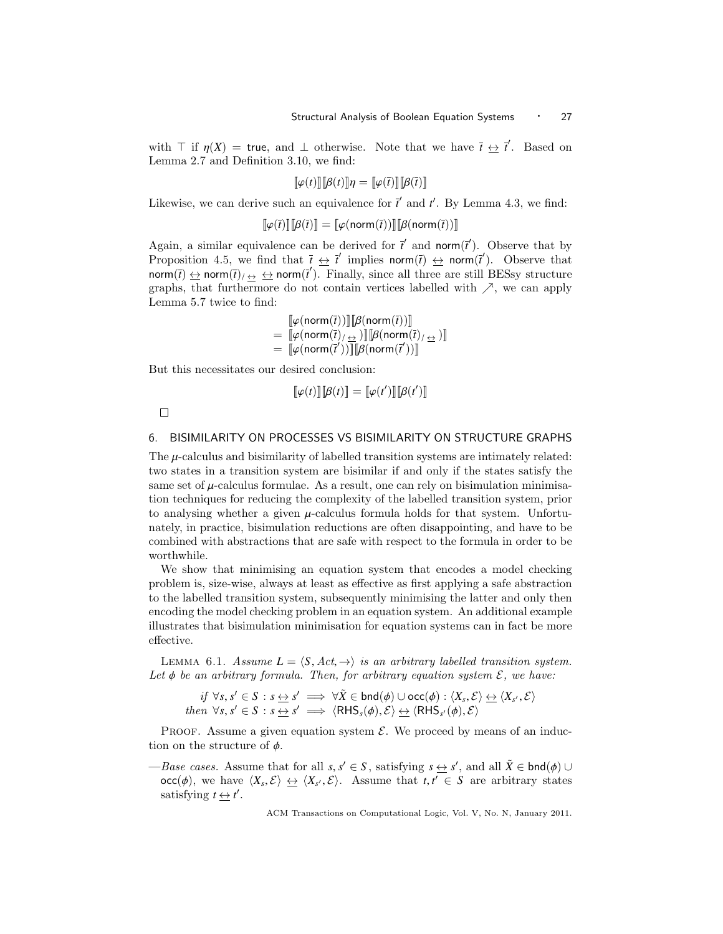with  $\top$  if  $\eta(X) = \text{true}$ , and  $\bot$  otherwise. Note that we have  $\overline{t} \leftrightarrow \overline{t}'$ . Based on Lemma 2.7 and Definition 3.10, we find:

$$
\llbracket \varphi(t) \rrbracket \llbracket \beta(t) \rrbracket \eta = \llbracket \varphi(\overline{t}) \rrbracket \llbracket \beta(\overline{t}) \rrbracket
$$

Likewise, we can derive such an equivalence for  $\bar{t}'$  and  $t'$ . By Lemma 4.3, we find:

 $\llbracket \varphi(\overline{t}) \rrbracket \llbracket \beta(\overline{t}) \rrbracket = \llbracket \varphi(\text{norm}(\overline{t})) \rrbracket \llbracket \beta(\text{norm}(\overline{t})) \rrbracket$ 

Again, a similar equivalence can be derived for  $\vec{t}'$  and norm $(\vec{t}')$ . Observe that by Proposition 4.5, we find that  $\bar{t} \leftrightarrow \bar{t}'$  implies norm( $\bar{t}$ )  $\leftrightarrow$  norm( $\bar{t}'$ ). Observe that norm( $\bar{t}$ )  $\leftrightarrow$  norm( $\bar{t}$ )/ $\leftrightarrow$   $\leftrightarrow$  norm( $\bar{t}'$ ). Finally, since all three are still BESsy structure graphs, that furthermore do not contain vertices labelled with  $\nearrow$ , we can apply Lemma 5.7 twice to find:

> $\llbracket \varphi(\mathsf{norm}(\bar{t})) \rrbracket \mathcal{B}(\mathsf{norm}(\bar{t})) \rrbracket$ <br> $\llbracket \varphi(\mathsf{norm}(\bar{t}), \ldots) \rrbracket \mathcal{B}(\mathsf{norm}(\bar{t}))$  $=\ [\![\varphi(\mathsf{norm}(\overline{t})_{/\underline{\leftrightarrow}})\!] \llbracket \beta(\mathsf{norm}(\overline{t})_{/\underline{\leftrightarrow}})\rrbracket$ <br> $=\ [\![\varphi(\mathsf{norm}(\overline{t}')) \rrbracket \mathsf{R}(\mathsf{norm}(\overline{t}')) \rrbracket]$  $= \left[\hat{\psi}(\text{norm}(\vec{t}'))\right]\left[\hat{\beta}(\text{norm}(\vec{t}'))\right]$

But this necessitates our desired conclusion:

$$
\llbracket \varphi(t) \rrbracket \llbracket \beta(t) \rrbracket = \llbracket \varphi(t') \rrbracket \llbracket \beta(t') \rrbracket
$$

 $\Box$ 

# 6. BISIMILARITY ON PROCESSES VS BISIMILARITY ON STRUCTURE GRAPHS

The  $\mu$ -calculus and bisimilarity of labelled transition systems are intimately related: two states in a transition system are bisimilar if and only if the states satisfy the same set of  $\mu$ -calculus formulae. As a result, one can rely on bisimulation minimisation techniques for reducing the complexity of the labelled transition system, prior to analysing whether a given  $\mu$ -calculus formula holds for that system. Unfortunately, in practice, bisimulation reductions are often disappointing, and have to be combined with abstractions that are safe with respect to the formula in order to be worthwhile.

We show that minimising an equation system that encodes a model checking problem is, size-wise, always at least as effective as first applying a safe abstraction to the labelled transition system, subsequently minimising the latter and only then encoding the model checking problem in an equation system. An additional example illustrates that bisimulation minimisation for equation systems can in fact be more effective.

LEMMA 6.1. Assume  $L = \langle S, Act, \rightarrow \rangle$  is an arbitrary labelled transition system. Let  $\phi$  be an arbitrary formula. Then, for arbitrary equation system  $\mathcal{E}$ , we have:

$$
if \forall s, s' \in S : s \Leftrightarrow s' \implies \forall \tilde{X} \in \text{bnd}(\phi) \cup \text{occ}(\phi) : \langle X_s, \mathcal{E} \rangle \Leftrightarrow \langle X_{s'}, \mathcal{E} \rangle
$$
  
then  $\forall s, s' \in S : s \Leftrightarrow s' \implies \langle \text{RHS}_s(\phi), \mathcal{E} \rangle \Leftrightarrow \langle \text{RHS}_{s'}(\phi), \mathcal{E} \rangle$ 

PROOF. Assume a given equation system  $\mathcal{E}$ . We proceed by means of an induction on the structure of  $\phi$ .

—Base cases. Assume that for all *s*, *s'* ∈ *S*, satisfying *s*  $\leftrightarrow$  *s'*, and all  $\tilde{X} \in \text{bnd}(\phi) \cup$ <br>
0 ⊆ (*b*) we have  $\langle Y, \mathcal{S} \rangle \leftrightarrow \langle Y, \mathcal{S} \rangle$  Assume that *t*  $\ell' \in S$  are arbitrary states  $\operatorname{occ}(\phi)$ , we have  $\langle X_s, \mathcal{E} \rangle \leftrightarrow \langle X_{s'}, \mathcal{E} \rangle$ . Assume that  $t, t' \in S$  are arbitrary states estisfying  $t \leftrightarrow t'$ satisfying  $t \leftrightarrow t'$ .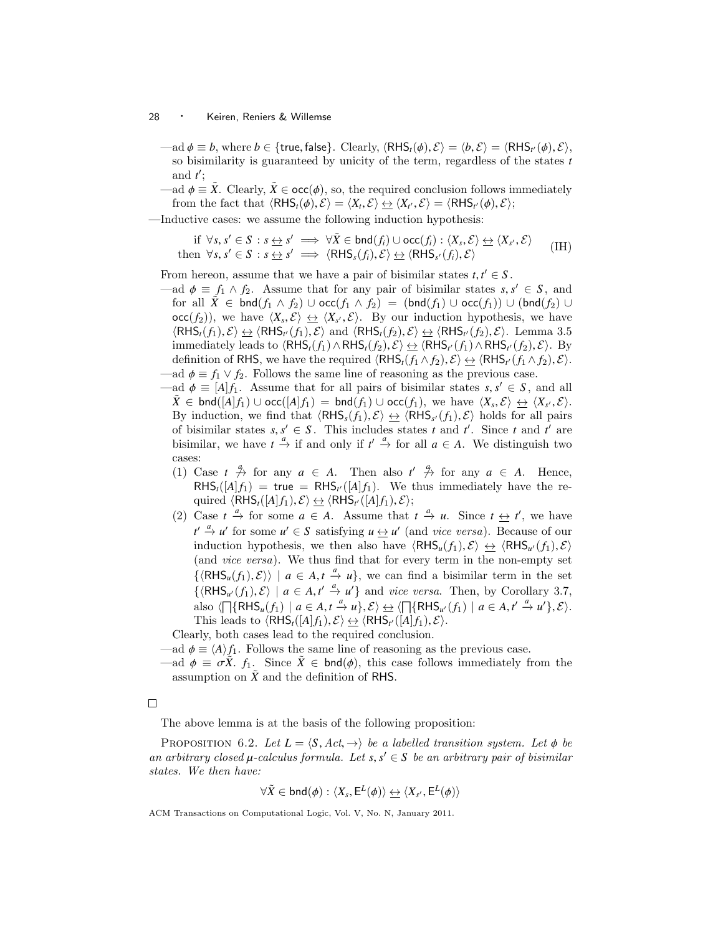$-\text{ad } \phi \equiv b$ , where  $b \in \{\text{true}, \text{false}\}$ . Clearly,  $\langle \text{RHS}_t(\phi), \mathcal{E} \rangle = \langle b, \mathcal{E} \rangle = \langle \text{RHS}_{t'}(\phi), \mathcal{E} \rangle$ , so bisimilarity is guaranteed by unicity of the term, regardless of the states to so bisimilarity is guaranteed by unicity of the term, regardless of the states *t* and  $t'$ ;

 $\phi = \tilde{X}$ . Clearly,  $\tilde{X} \in \text{occ}(\phi)$ , so, the required conclusion follows immediately from the fact that  $\langle RHS_t(\phi), \mathcal{E} \rangle = \langle X_t, \mathcal{E} \rangle \Longrightarrow \langle X_{t'}, \mathcal{E} \rangle = \langle RHS_{t'}(\phi), \mathcal{E} \rangle;$ 

—Inductive cases: we assume the following induction hypothesis:

if ∀*s*, *s*' ∈ *S* : *s*  $\leftrightarrow$  *s'*  $\Rightarrow$  ∀ $\tilde{X}$  ∈ bnd(*f*<sub>i</sub>) ∪ occ(*f*<sub>i</sub>) :  $\langle X_s, \mathcal{E} \rangle \leftrightarrow \langle X_{s'}, \mathcal{E} \rangle$  (IH)<br>n ∀*s*, *s'* ∈ *S* : *s*  $\leftrightarrow$  *s'*  $\Rightarrow$   $\langle$ RHS<sub>*s*</sub>(*f*<sub>i</sub>),  $\mathcal{E} \rangle \leftrightarrow \langle$ RHS<sub>*s'*</sub>(*f*<sub>i</sub>),  $\mathcal{E}$ then  $\forall s, s' \in S : s \leftrightarrow s' \implies \langle RHS_s(f_i), \mathcal{E} \rangle \leftrightarrow \langle RHS_s$ 

From hereon, assume that we have a pair of bisimilar states  $t, t' \in S$ .<br>  $\longrightarrow d, t \in f, \land f, \quad \text{Assume that for any pair of hisimilar states } s$ 

- $-\text{ad } \phi \equiv f_1 \wedge f_2$ . Assume that for any pair of bisimilar states  $s, s' \in S$ , and for all  $\tilde{X} \in \text{bnd}(f, \wedge f) \cup \text{occ}(f, \wedge f) = (\text{bnd}(f, \wedge \text{mod}(f)) \cup (\text{bnd}(f, \wedge \text{mod}(f)))$ for all  $\hat{X}$  ∈ bnd $(f_1 \wedge f_2)$  ∪ occ $(f_1 \wedge f_2)$  = (bnd $(f_1)$  ∪ occ $(f_1)$ ) ∪ (bnd $(f_2)$  ∪  $\text{occ}(f_2)$ , we have  $\langle X_s, \mathcal{E} \rangle \leftrightarrow \langle X_{s'}, \mathcal{E} \rangle$ . By our induction hypothesis, we have  $\langle R \mathsf{H}\mathsf{S}(f_1), \mathcal{E} \rangle \leftrightarrow \langle R \mathsf{H}\mathsf{S}(f_2), \mathcal{E} \rangle$  and  $\langle R \mathsf{H}\mathsf{S}(f_1), \mathcal{E} \rangle \leftrightarrow \langle R \mathsf{H}\mathsf{S}(f_2), \mathcal{E} \rangle$ . Lemma 3.5  $\langle RHS_t(f_1), \mathcal{E} \rangle \nleftrightarrow \langle RHS_{t'}(f_1), \mathcal{E} \rangle$  and  $\langle RHS_t(f_2), \mathcal{E} \rangle \nleftrightarrow \langle RHS_{t'}(f_2), \mathcal{E} \rangle$ . Lemma 3.5<br>
immediately leads to *(RHS*)  $\land$  RHS<sup>(f<sub>c</sub>)</sub>,  $\mathcal{E} \rangle \nleftrightarrow \langle RHS_{t'}(f_1) \land RHS_{t'}(f_2) \rangle$ . By</sup> immediately leads to  $\langle RHS_t(f_1) \wedge RHS_t(f_2), \mathcal{E} \rangle \leftrightarrow \langle RHS_t(f_1) \wedge RHS_t(f_2), \mathcal{E} \rangle$ . By<br>definition of RHS, we have the required (*RHS*, (*f*, ∧ *f*, ) *F*)  $\leftrightarrow$  (*RHS*, (*f*, ∧ *f*, ) *F*) definition of RHS, we have the required  $\langle RHS_t(f_1 \wedge f_2), \mathcal{E} \rangle \leftrightarrow \langle RHS_{t'}(f_1 \wedge f_2), \mathcal{E} \rangle$ .<br>ad  $\phi = f_1 \vee f_2$ . Follows the same line of reasoning as the previous case. -ad  $\phi \equiv f_1 \vee f_2$ . Follows the same line of reasoning as the previous case.
- $-\text{ad } \phi \equiv [A]f_1.$  Assume that for all pairs of bisimilar states *s*,  $s' \in S$ , and all  $\tilde{X} \in \text{bnd}([A]f_1) + \text{occ}([A]f_2) = \text{bnd}(f_1) + \text{occ}(f_1) + \text{occ}(f_2)$  we have  $\langle X, \mathcal{S} \rangle \leftrightarrow \langle X, \mathcal{S} \rangle$  $\tilde{X} \in \text{bnd}([\tilde{A}]f_1) \cup \text{occ}([\tilde{A}]f_1) = \text{bnd}(f_1) \cup \text{occ}(f_1),$  we have  $\langle X_s, \mathcal{E} \rangle \leftrightarrow \langle X_{s'}, \mathcal{E} \rangle$ .<br>By induction, we find that  $\langle \text{RHS}(\mathcal{L}, \mathcal{S}) \rangle \leftrightarrow \langle \text{RHS}(\mathcal{L}, \mathcal{S}) \rangle$  holds for all pairs By induction, we find that  $\langle RHS_s(f_1), \mathcal{E} \rangle \trianglelefteq \langle RHS_{s'}(f_1), \mathcal{E} \rangle$  holds for all pairs<br>of hisimilar states s s'  $\in S$ . This includes states t and t' Since t and t' are of bisimilar states  $s, s' \in S$ . This includes states *t* and *t'*. Since *t* and *t'* are bisimilar, we have *t*  $\frac{a}{2}$  if and only if  $t' = \frac{a}{2}$  for all  $a \in A$ . We distinguish two bisimilar, we have  $t \stackrel{a}{\to}$  if and only if  $t' \stackrel{a}{\to}$  for all  $a \in A$ . We distinguish two cases:
	- (1) Case  $t \stackrel{q}{\rightarrow}$  for any  $a \in A$ . Then also  $t' \stackrel{q}{\rightarrow}$  for any  $a \in A$ . Hence,  $RHS_t([A]f_1) = \text{true} = RHS_{t'}([A]f_1).$  We thus immediately have the required  $\langle \mathsf{RHS}_{t}([A]f_1), \mathcal{E} \rangle \leftrightarrow \langle \mathsf{RHS}_{t'}([A]f_1), \mathcal{E} \rangle;$ <br>Case  $t \xrightarrow{a}$  for some  $a \subseteq A$  Assume that
	- (2) Case  $t \stackrel{a}{\to}$  for some  $a \in A$ . Assume that  $t \stackrel{a}{\to} u$ . Since  $t \stackrel{a}{\to} t'$ , we have  $t' \stackrel{a}{\rightarrow} u'$  for some  $u' \in S$  satisfying  $u \leftrightarrow u'$  (and vice versa). Because of our induction hypothesis, we then also have  $\langle RHS_u(f_1), \mathcal{E} \rangle \leftrightarrow \langle RHS_{u'}(f_1), \mathcal{E} \rangle$ <br>(and *vice versa*). We thus find that for every term in the non-empty set (and vice versa). We thus find that for every term in the non-empty set  $\{\langle RHS_u(f_1), \mathcal{E} \rangle \mid a \in A, t \stackrel{a}{\to} u\}$ , we can find a bisimilar term in the set  $\{ \langle \mathsf{RHS}_{u'}(f_1), \mathcal{E} \rangle \mid a \in A, t' \xrightarrow{a} u' \}$  and *vice versa*. Then, by Corollary 3.7, also  $\langle \bigcap \{RHS_u(f_1) \mid a \in A, t \stackrel{a}{\to} u\}, \mathcal{E} \rangle \simeq \langle \bigcap \{RHS_{u'}(f_1) \mid a \in A, t' \stackrel{a}{\to} u'\}, \mathcal{E} \rangle$ .<br>This leads to *(RHS* ([4]  $\in$  )  $\mathcal{E} \rangle \leftrightarrow \langle RHS_u([4] \mathcal{E}) \mathcal{E} \rangle$ . This leads to  $\langle RHS_t([A]f_1), \mathcal{E} \rangle \leftrightarrow \langle RHS_{t'}([A]f_1), \mathcal{E} \rangle$ .<br>
	rly both cases lead to the required conclusion

Clearly, both cases lead to the required conclusion.

- —ad  $\phi \equiv \langle A \rangle f_1$ . Follows the same line of reasoning as the previous case.
- —ad  $\phi \equiv \sigma \ddot{X}$ . *f*<sub>1</sub>. Since  $\ddot{X} \in \text{bnd}(\phi)$ , this case follows immediately from the assumption on  $\tilde{X}$  and the definition of RHS.

 $\Box$ 

The above lemma is at the basis of the following proposition:

PROPOSITION 6.2. Let  $L = \langle S, Act, \rightarrow \rangle$  be a labelled transition system. Let  $\phi$  be an arbitrary closed  $\mu$ -calculus formula. Let *s*,  $s' \in S$  be an arbitrary pair of bisimilar states. We then have: states. We then have:

$$
\forall \tilde{X} \in \mathsf{bnd}(\phi) : \langle X_s, \mathsf{E}^L(\phi) \rangle \Leftrightarrow \langle X_{s'}, \mathsf{E}^L(\phi) \rangle
$$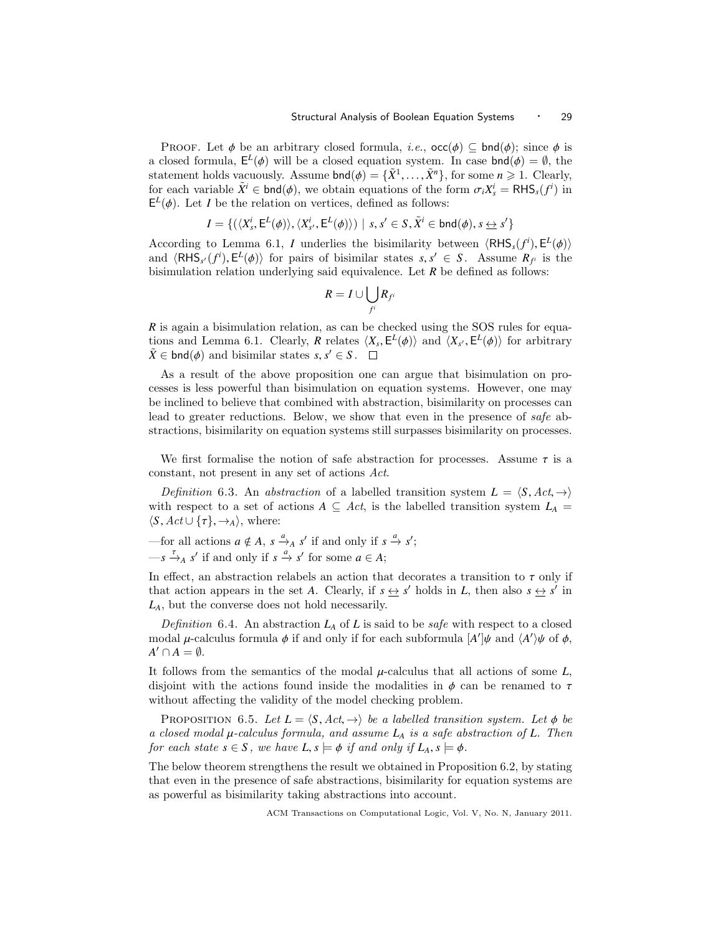PROOF. Let  $\phi$  be an arbitrary closed formula, *i.e.*,  $\text{occ}(\phi) \subseteq \text{bnd}(\phi)$ ; since  $\phi$  is a closed formula,  $E^L(\phi)$  will be a closed equation system. In case  $bnd(\phi) = \emptyset$ , the statement holds vacuously. Assume  $bnd(\phi) = \tilde{Y}^1$ ,  $\tilde{Y}^n$  for some  $n > 1$ . Clearly statement holds vacuously. Assume  $\text{bnd}(\phi) = {\tilde{X}^1, \dots, \tilde{X}^n}$ , for some  $n \ge 1$ . Clearly, for each variable  $\tilde{X}^i \in \text{bnd}(\phi)$ , we obtain equations of the form  $\sigma_X Y^i = \text{RHS}(\phi^i)$  in for each variable  $\tilde{X}^i \in \text{bnd}(\phi)$ , we obtain equations of the form  $\sigma_i X^i = \text{RHS}_s(f^i)$  in  $\mathsf{F}^L(\phi)$ . Let *I* be the relation on vertices defined as follows:  $E^L(\phi)$ . Let *I* be the relation on vertices, defined as follows:

$$
I = \{ (\langle X_s^i, \mathsf{E}^L(\phi) \rangle, \langle X_{s'}^i, \mathsf{E}^L(\phi) \rangle) \mid s, s' \in S, \tilde{X}^i \in \mathsf{bnd}(\phi), s \leq s' \}
$$

According to Lemma 6.1, *I* underlies the bisimilarity between  $\langle RHS_s(f^i), E^L(\phi) \rangle$ <br>and  $\langle BHS_s(f^i), E^L(\phi) \rangle$  for pairs of bisimilar states  $s, s' \in S$ . Assume  $R_s$  is the and  $\langle RHS_{s'}(f^{i}), E^{L}(\phi) \rangle$  for pairs of bisimilar states *s*,  $s' \in S$ . Assume  $R_{f^{i}}$  is the bisimulation relation underlying said equivalence Let *R* be defined as follows: bisimulation relation underlying said equivalence. Let *R* be defined as follows:

$$
R = I \cup \bigcup_{f^i} R_{f^i}
$$

*R* is again a bisimulation relation, as can be checked using the SOS rules for equations and Lemma 6.1. Clearly, *R* relates  $\langle X_s, E^L(\phi) \rangle$  and  $\langle X_{s'}, E^L(\phi) \rangle$  for arbitrary  $\tilde{Y} \in \text{End}(A)$  and historial states  $s, s' \in S$  $\tilde{X} \in \text{bnd}(\phi)$  and bisimilar states *s*, *s*<sup> $\prime$ </sup>  $\in$  *S*.

As a result of the above proposition one can argue that bisimulation on processes is less powerful than bisimulation on equation systems. However, one may be inclined to believe that combined with abstraction, bisimilarity on processes can lead to greater reductions. Below, we show that even in the presence of safe abstractions, bisimilarity on equation systems still surpasses bisimilarity on processes.

We first formalise the notion of safe abstraction for processes. Assume  $\tau$  is a constant, not present in any set of actions Act.

Definition 6.3. An abstraction of a labelled transition system  $L = \langle S, Act, \rightarrow \rangle$ with respect to a set of actions  $A \subseteq Act$ , is the labelled transition system  $L_A =$  $\langle S, Act \cup \{\tau\}, \rightarrow_A \rangle$ , where:

—for all actions  $a \notin A$ ,  $s \xrightarrow{a} A$   $s'$  if and only if  $s \xrightarrow{a} s'$ ;  $-s \xrightarrow{\tau}_{A} s'$  if and only if  $s \xrightarrow{a} s'$  for some  $a \in A$ ;

In effect, an abstraction relabels an action that decorates a transition to  $\tau$  only if that action appears in the set *A*. Clearly, if  $s \leftrightarrow s'$  holds in *L*, then also  $s \leftrightarrow s'$  in *LA*, but the converse does not hold necessarily.

Definition 6.4. An abstraction  $L_A$  of L is said to be *safe* with respect to a closed modal  $\mu$ -calculus formula  $\phi$  if and only if for each subformula  $[A']\psi$  and  $\langle A'\rangle\psi$  of  $\phi$ ,<br> $A' \cap A = \emptyset$  $A' \cap A = \emptyset.$ 

It follows from the semantics of the modal µ-calculus that all actions of some *<sup>L</sup>*, disjoint with the actions found inside the modalities in  $\phi$  can be renamed to  $\tau$ without affecting the validity of the model checking problem.

PROPOSITION 6.5. Let  $L = \langle S, Act, \rightarrow \rangle$  be a labelled transition system. Let  $\phi$  be a closed modal <sup>µ</sup>-calculus formula, and assume *<sup>L</sup><sup>A</sup>* is a safe abstraction of *<sup>L</sup>*. Then for each state  $s \in S$ , we have  $L, s \models \phi$  if and only if  $L_A, s \models \phi$ .

The below theorem strengthens the result we obtained in Proposition 6.2, by stating that even in the presence of safe abstractions, bisimilarity for equation systems are as powerful as bisimilarity taking abstractions into account.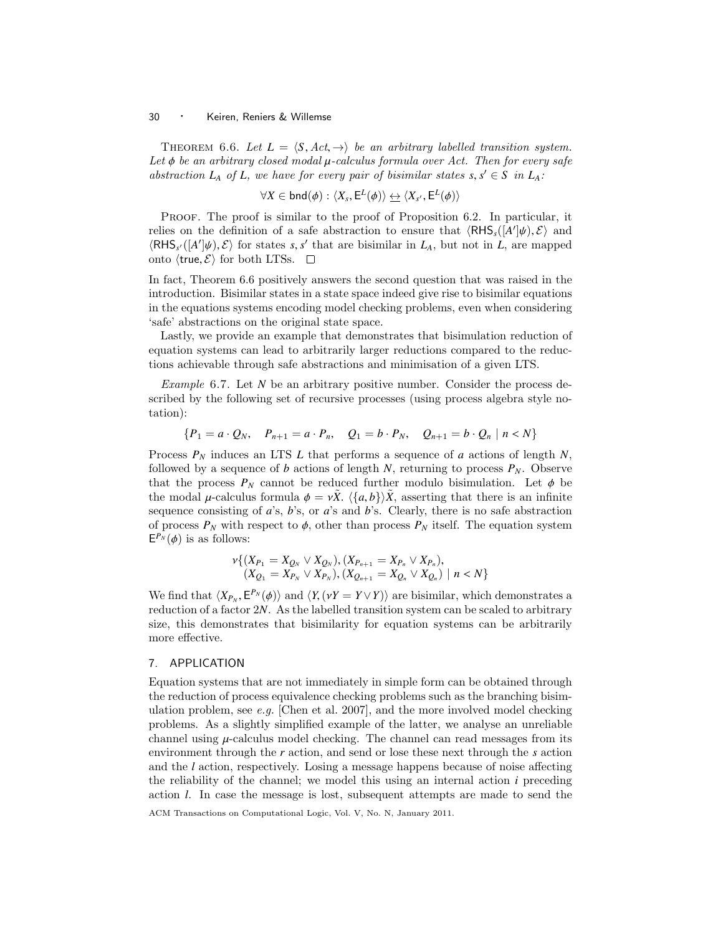THEOREM 6.6. Let  $L = \langle S, Act, \rightarrow \rangle$  be an arbitrary labelled transition system. Let  $\phi$  be an arbitrary closed modal  $\mu$ -calculus formula over Act. Then for every safe abstraction  $L_A$  of  $L$ , we have for every pair of bisimilar states  $s, s' \in S$  in  $L_A$ :

$$
\forall X \in \mathsf{bnd}(\phi) : \langle X_s, \mathsf{E}^L(\phi) \rangle \Leftrightarrow \langle X_{s'}, \mathsf{E}^L(\phi) \rangle
$$

Proof. The proof is similar to the proof of Proposition 6.2. In particular, it relies on the definition of a safe abstraction to ensure that  $\langle RHS_s([A']\psi), \mathcal{E} \rangle$  and  $\langle RHS_s([A']\psi), \mathcal{E} \rangle$  for states s s' that are bisimilar in  $I_s$ , but not in  $I_s$  are manned  $\langle RHS_{s'}([A']\psi), \mathcal{E} \rangle$  for states *s*, *s'* that are bisimilar in *L<sub>A</sub>*, but not in *L*, are mapped onto *(true S)* for both LTSs onto  $\langle$ true,  $\mathcal{E} \rangle$  for both LTSs.  $\Box$ 

In fact, Theorem 6.6 positively answers the second question that was raised in the introduction. Bisimilar states in a state space indeed give rise to bisimilar equations in the equations systems encoding model checking problems, even when considering 'safe' abstractions on the original state space.

Lastly, we provide an example that demonstrates that bisimulation reduction of equation systems can lead to arbitrarily larger reductions compared to the reductions achievable through safe abstractions and minimisation of a given LTS.

Example 6.7. Let *N* be an arbitrary positive number. Consider the process described by the following set of recursive processes (using process algebra style notation):

$$
\{P_1 = a \cdot Q_N, \quad P_{n+1} = a \cdot P_n, \quad Q_1 = b \cdot P_N, \quad Q_{n+1} = b \cdot Q_n \mid n < N\}
$$

Process *P<sup>N</sup>* induces an LTS *L* that performs a sequence of *a* actions of length *N*, followed by a sequence of *b* actions of length *N*, returning to process  $P_N$ . Observe that the process  $P_N$  cannot be reduced further modulo bisimulation. Let  $\phi$  be the modal  $\mu$ -calculus formula  $\phi = v\ddot{X}$ .  $\langle \{a, b\} \rangle \ddot{X}$ , asserting that there is an infinite sequence consisting of *a*'s, *b*'s, or *a*'s and *b*'s. Clearly, there is no safe abstraction of process  $P_N$  with respect to  $\phi$ , other than process  $P_N$  itself. The equation system  $E^{P_N}(\phi)$  is as follows:

$$
\nu\{(X_{P_1} = X_{Q_N} \vee X_{Q_N}), (X_{P_{n+1}} = X_{P_n} \vee X_{P_n}),(X_{Q_1} = X_{P_N} \vee X_{P_N}), (X_{Q_{n+1}} = X_{Q_n} \vee X_{Q_n}) \mid n < N\}
$$

We find that  $\langle X_{P_N}, E^{P_N}(\phi) \rangle$  and  $\langle Y, (\nu Y = Y \vee Y) \rangle$  are bisimilar, which demonstrates a reduction of a factor 2*N* As the labelled transition system can be scaled to arbitrary reduction of a factor 2*N*. As the labelled transition system can be scaled to arbitrary size, this demonstrates that bisimilarity for equation systems can be arbitrarily more effective.

# 7. APPLICATION

Equation systems that are not immediately in simple form can be obtained through the reduction of process equivalence checking problems such as the branching bisimulation problem, see  $e.g.$  [Chen et al. 2007], and the more involved model checking problems. As a slightly simplified example of the latter, we analyse an unreliable channel using  $\mu$ -calculus model checking. The channel can read messages from its environment through the *r* action, and send or lose these next through the *s* action and the *l* action, respectively. Losing a message happens because of noise affecting the reliability of the channel; we model this using an internal action *i* preceding action *l*. In case the message is lost, subsequent attempts are made to send the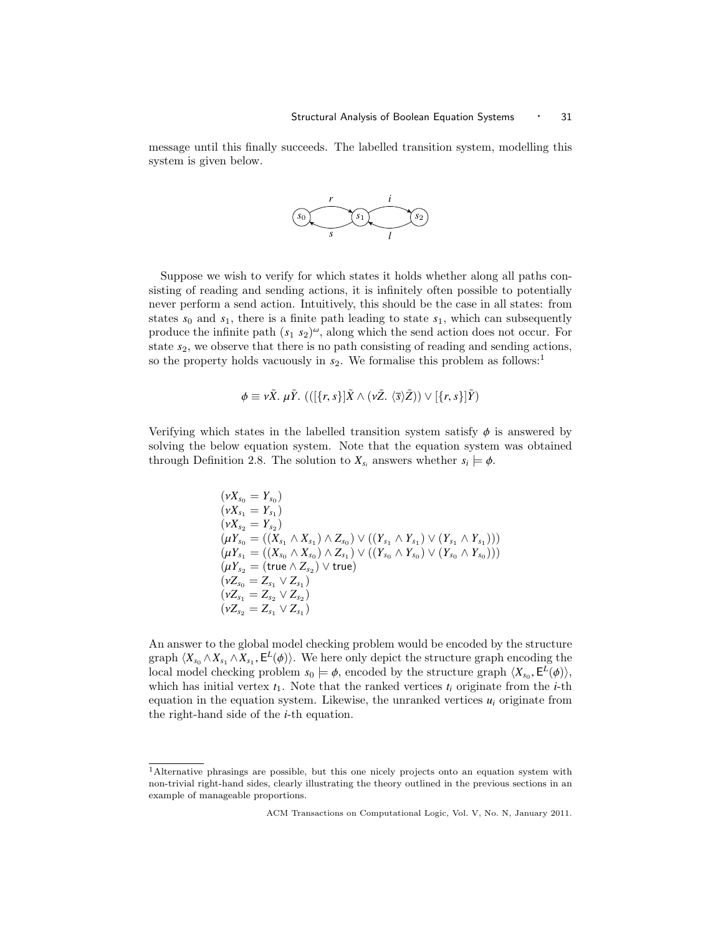message until this finally succeeds. The labelled transition system, modelling this system is given below.



Suppose we wish to verify for which states it holds whether along all paths consisting of reading and sending actions, it is infinitely often possible to potentially never perform a send action. Intuitively, this should be the case in all states: from states  $s_0$  and  $s_1$ , there is a finite path leading to state  $s_1$ , which can subsequently produce the infinite path  $(s_1, s_2)^\omega$ , along which the send action does not occur. For state  $s_2$ , we observe that there is no path consisting of reading and sending actions, so the property holds vacuously in  $s_2$ . We formalise this problem as follows:<sup>1</sup>

$$
\phi \equiv \nu \tilde{X}.\ \mu \tilde{Y}. \ (([\{r,s\}] \tilde{X} \wedge (\nu \tilde{Z}.\ \langle \overline{s} \rangle \tilde{Z})) \vee [\{r,s\}] \tilde{Y})
$$

Verifying which states in the labelled transition system satisfy  $\phi$  is answered by solving the below equation system. Note that the equation system was obtained through Definition 2.8. The solution to  $X_{s_i}$  answers whether  $s_i \models \phi$ .

$$
(\nu X_{s_0} = Y_{s_0})
$$
  
\n
$$
(\nu X_{s_1} = Y_{s_1})
$$
  
\n
$$
(\nu X_{s_2} = Y_{s_2})
$$
  
\n
$$
(\mu Y_{s_0} = ((X_{s_1} \wedge X_{s_1}) \wedge Z_{s_0}) \vee ((Y_{s_1} \wedge Y_{s_1}) \vee (Y_{s_1} \wedge Y_{s_1})))
$$
  
\n
$$
(\mu Y_{s_1} = ((X_{s_0} \wedge X_{s_0}) \wedge Z_{s_1}) \vee ((Y_{s_0} \wedge Y_{s_0}) \vee (Y_{s_0} \wedge Y_{s_0})))
$$
  
\n
$$
(\mu Y_{s_2} = (\text{true} \wedge Z_{s_2}) \vee \text{true})
$$
  
\n
$$
(\nu Z_{s_1} = Z_{s_2} \vee Z_{s_2})
$$
  
\n
$$
(\nu Z_{s_1} = Z_{s_2} \vee Z_{s_1})
$$
  
\n
$$
(\nu Z_{s_2} = Z_{s_1} \vee Z_{s_1})
$$

An answer to the global model checking problem would be encoded by the structure graph  $\langle X_{s_0} \wedge X_{s_1} \wedge X_{s_1}, \mathsf{E}^L(\phi) \rangle$ . We here only depict the structure graph encoding the local model checking problem  $s_0 \vdash \phi$  encoded by the structure graph  $\langle X, \mathsf{E}^L(\phi) \rangle$ local model checking problem  $s_0 \models \phi$ , encoded by the structure graph  $\langle X_{s_0}, E^L(\phi) \rangle$ , which has initial vertex  $t_1$ . Note that the ranked vertices  $t_i$  originate from the *i*-th equation in the equation system. Likewise, the unranked vertices  $u_i$  originate from the right-hand side of the *i*-th equation.

<sup>1</sup>Alternative phrasings are possible, but this one nicely projects onto an equation system with non-trivial right-hand sides, clearly illustrating the theory outlined in the previous sections in an example of manageable proportions.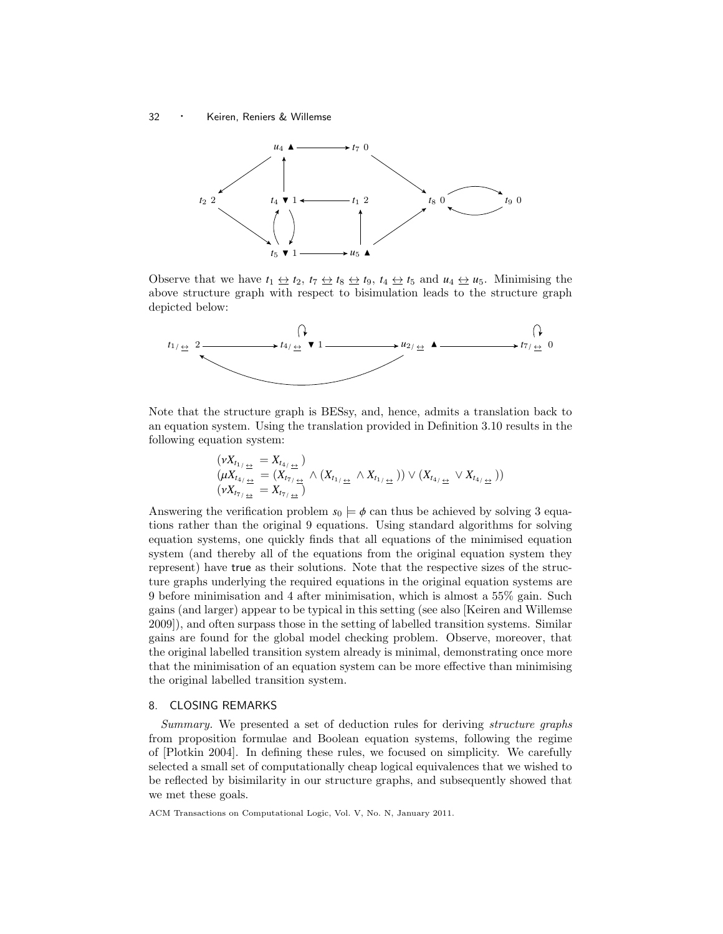<sup>32</sup> · Keiren, Reniers & Willemse



Observe that we have  $t_1 \leftrightarrow t_2$ ,  $t_7 \leftrightarrow t_8 \leftrightarrow t_9$ ,  $t_4 \leftrightarrow t_5$  and  $u_4 \leftrightarrow u_5$ . Minimising the above structure graph with respect to bisimulation leads to the structure graph depicted below:



Note that the structure graph is BESsy, and, hence, admits a translation back to an equation system. Using the translation provided in Definition 3.10 results in the following equation system:

$$
\begin{array}{l} (\nu X_{t_{1/\frac{\leftrightarrow}{\pm}}} = X_{t_{4/\frac{\leftrightarrow}{\pm}}})\\ (\mu X_{t_{4/\frac{\leftrightarrow}{\pm}}} = (X_{t_{7/\frac{\leftrightarrow}{\pm}}}) \wedge (X_{t_{1/\frac{\leftrightarrow}{\pm}}} \wedge X_{t_{1/\frac{\leftrightarrow}{\pm}}})) \vee (X_{t_{4/\frac{\leftrightarrow}{\pm}}} \vee X_{t_{4/\frac{\leftrightarrow}{\pm}}}))\\ (\nu X_{t_{7/\frac{\leftrightarrow}{\pm}}} = X_{t_{7/\frac{\leftrightarrow}{\pm}}}) \end{array}
$$

Answering the verification problem  $s_0 \models \phi$  can thus be achieved by solving 3 equations rather than the original 9 equations. Using standard algorithms for solving equation systems, one quickly finds that all equations of the minimised equation system (and thereby all of the equations from the original equation system they represent) have true as their solutions. Note that the respective sizes of the structure graphs underlying the required equations in the original equation systems are 9 before minimisation and 4 after minimisation, which is almost a 55% gain. Such gains (and larger) appear to be typical in this setting (see also [Keiren and Willemse 2009]), and often surpass those in the setting of labelled transition systems. Similar gains are found for the global model checking problem. Observe, moreover, that the original labelled transition system already is minimal, demonstrating once more that the minimisation of an equation system can be more effective than minimising the original labelled transition system.

## 8. CLOSING REMARKS

Summary. We presented a set of deduction rules for deriving structure graphs from proposition formulae and Boolean equation systems, following the regime of [Plotkin 2004]. In defining these rules, we focused on simplicity. We carefully selected a small set of computationally cheap logical equivalences that we wished to be reflected by bisimilarity in our structure graphs, and subsequently showed that we met these goals.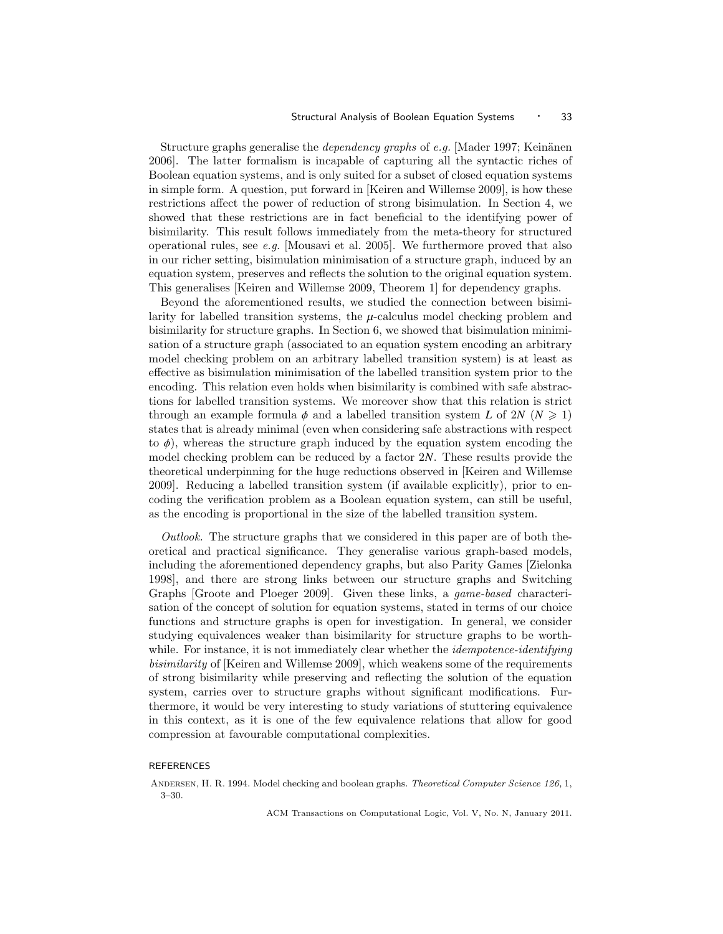Structure graphs generalise the *dependency graphs* of e.g. [Mader 1997; Keinänen] 2006]. The latter formalism is incapable of capturing all the syntactic riches of Boolean equation systems, and is only suited for a subset of closed equation systems in simple form. A question, put forward in [Keiren and Willemse 2009], is how these restrictions affect the power of reduction of strong bisimulation. In Section 4, we showed that these restrictions are in fact beneficial to the identifying power of bisimilarity. This result follows immediately from the meta-theory for structured operational rules, see e.g. [Mousavi et al. 2005]. We furthermore proved that also in our richer setting, bisimulation minimisation of a structure graph, induced by an equation system, preserves and reflects the solution to the original equation system. This generalises [Keiren and Willemse 2009, Theorem 1] for dependency graphs.

Beyond the aforementioned results, we studied the connection between bisimilarity for labelled transition systems, the  $\mu$ -calculus model checking problem and bisimilarity for structure graphs. In Section 6, we showed that bisimulation minimisation of a structure graph (associated to an equation system encoding an arbitrary model checking problem on an arbitrary labelled transition system) is at least as effective as bisimulation minimisation of the labelled transition system prior to the encoding. This relation even holds when bisimilarity is combined with safe abstractions for labelled transition systems. We moreover show that this relation is strict through an example formula  $\phi$  and a labelled transition system *L* of 2*N* ( $N \ge 1$ ) states that is already minimal (even when considering safe abstractions with respect to  $\phi$ ), whereas the structure graph induced by the equation system encoding the model checking problem can be reduced by a factor 2*N*. These results provide the theoretical underpinning for the huge reductions observed in [Keiren and Willemse 2009]. Reducing a labelled transition system (if available explicitly), prior to encoding the verification problem as a Boolean equation system, can still be useful, as the encoding is proportional in the size of the labelled transition system.

Outlook. The structure graphs that we considered in this paper are of both theoretical and practical significance. They generalise various graph-based models, including the aforementioned dependency graphs, but also Parity Games [Zielonka 1998], and there are strong links between our structure graphs and Switching Graphs [Groote and Ploeger 2009]. Given these links, a game-based characterisation of the concept of solution for equation systems, stated in terms of our choice functions and structure graphs is open for investigation. In general, we consider studying equivalences weaker than bisimilarity for structure graphs to be worthwhile. For instance, it is not immediately clear whether the *idempotence-identifying* bisimilarity of [Keiren and Willemse 2009], which weakens some of the requirements of strong bisimilarity while preserving and reflecting the solution of the equation system, carries over to structure graphs without significant modifications. Furthermore, it would be very interesting to study variations of stuttering equivalence in this context, as it is one of the few equivalence relations that allow for good compression at favourable computational complexities.

# REFERENCES

ANDERSEN, H. R. 1994. Model checking and boolean graphs. Theoretical Computer Science 126, 1, 3–30.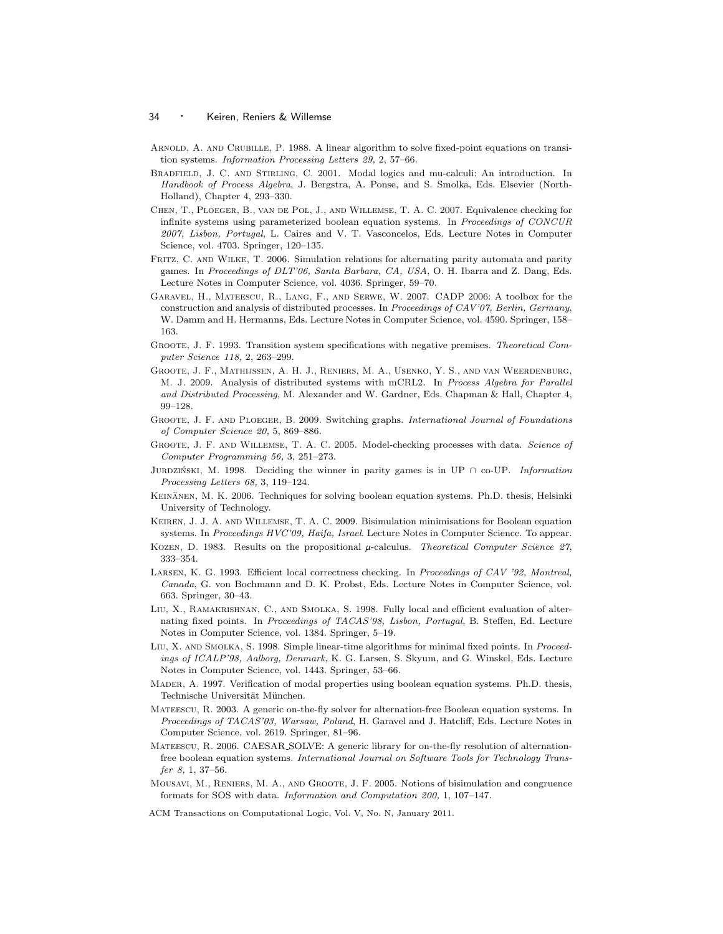- Arnold, A. and Crubille, P. 1988. A linear algorithm to solve fixed-point equations on transition systems. Information Processing Letters 29, 2, 57–66.
- Bradfield, J. C. and Stirling, C. 2001. Modal logics and mu-calculi: An introduction. In Handbook of Process Algebra, J. Bergstra, A. Ponse, and S. Smolka, Eds. Elsevier (North-Holland), Chapter 4, 293–330.
- Chen, T., Ploeger, B., van de Pol, J., and Willemse, T. A. C. 2007. Equivalence checking for infinite systems using parameterized boolean equation systems. In Proceedings of CONCUR 2007, Lisbon, Portugal, L. Caires and V. T. Vasconcelos, Eds. Lecture Notes in Computer Science, vol. 4703. Springer, 120–135.
- FRITZ, C. AND WILKE, T. 2006. Simulation relations for alternating parity automata and parity games. In Proceedings of DLT'06, Santa Barbara, CA, USA, O. H. Ibarra and Z. Dang, Eds. Lecture Notes in Computer Science, vol. 4036. Springer, 59–70.
- Garavel, H., Mateescu, R., Lang, F., and Serwe, W. 2007. CADP 2006: A toolbox for the construction and analysis of distributed processes. In Proceedings of CAV'07, Berlin, Germany, W. Damm and H. Hermanns, Eds. Lecture Notes in Computer Science, vol. 4590. Springer, 158– 163.
- Groote, J. F. 1993. Transition system specifications with negative premises. Theoretical Computer Science 118, 2, 263–299.
- Groote, J. F., Mathijssen, A. H. J., Reniers, M. A., Usenko, Y. S., and van Weerdenburg, M. J. 2009. Analysis of distributed systems with mCRL2. In Process Algebra for Parallel and Distributed Processing, M. Alexander and W. Gardner, Eds. Chapman & Hall, Chapter 4, 99–128.
- Groote, J. F. and Ploeger, B. 2009. Switching graphs. International Journal of Foundations of Computer Science 20, 5, 869–886.
- GROOTE, J. F. AND WILLEMSE, T. A. C. 2005. Model-checking processes with data. Science of Computer Programming 56, 3, 251–273.
- JURDZIŃSKI, M. 1998. Deciding the winner in parity games is in UP  $\cap$  co-UP. Information Processing Letters 68, 3, 119–124.
- KEINÄNEN, M. K. 2006. Techniques for solving boolean equation systems. Ph.D. thesis, Helsinki University of Technology.
- Keiren, J. J. A. and Willemse, T. A. C. 2009. Bisimulation minimisations for Boolean equation systems. In Proceedings HVC'09, Haifa, Israel. Lecture Notes in Computer Science. To appear.
- KOZEN, D. 1983. Results on the propositional  $\mu$ -calculus. Theoretical Computer Science 27, 333–354.
- LARSEN, K. G. 1993. Efficient local correctness checking. In Proceedings of CAV '92, Montreal, Canada, G. von Bochmann and D. K. Probst, Eds. Lecture Notes in Computer Science, vol. 663. Springer, 30–43.
- Liu, X., Ramakrishnan, C., and Smolka, S. 1998. Fully local and efficient evaluation of alternating fixed points. In Proceedings of TACAS'98, Lisbon, Portugal, B. Steffen, Ed. Lecture Notes in Computer Science, vol. 1384. Springer, 5–19.
- LIU, X. AND SMOLKA, S. 1998. Simple linear-time algorithms for minimal fixed points. In Proceedings of ICALP'98, Aalborg, Denmark, K. G. Larsen, S. Skyum, and G. Winskel, Eds. Lecture Notes in Computer Science, vol. 1443. Springer, 53–66.
- Mader, A. 1997. Verification of modal properties using boolean equation systems. Ph.D. thesis, Technische Universität München.
- Mateescu, R. 2003. A generic on-the-fly solver for alternation-free Boolean equation systems. In Proceedings of TACAS'03, Warsaw, Poland, H. Garavel and J. Hatcliff, Eds. Lecture Notes in Computer Science, vol. 2619. Springer, 81–96.
- Mateescu, R. 2006. CAESAR SOLVE: A generic library for on-the-fly resolution of alternationfree boolean equation systems. International Journal on Software Tools for Technology Transfer 8, 1, 37–56.
- Mousavi, M., Reniers, M. A., and Groote, J. F. 2005. Notions of bisimulation and congruence formats for SOS with data. Information and Computation 200, 1, 107–147.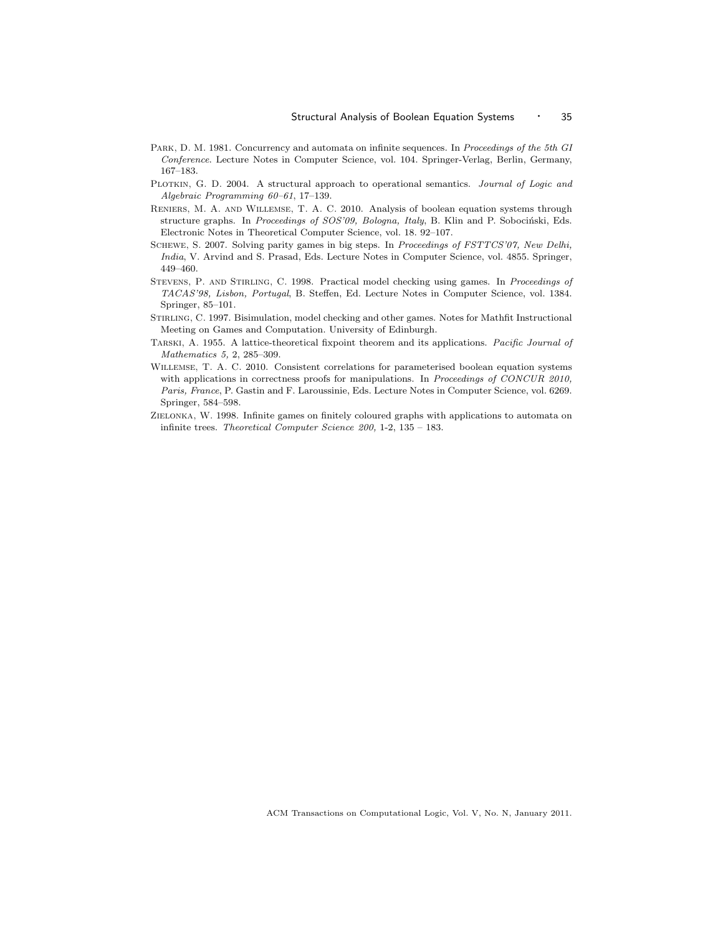- PARK, D. M. 1981. Concurrency and automata on infinite sequences. In Proceedings of the 5th GI Conference. Lecture Notes in Computer Science, vol. 104. Springer-Verlag, Berlin, Germany, 167–183.
- PLOTKIN, G. D. 2004. A structural approach to operational semantics. Journal of Logic and Algebraic Programming 60–61, 17–139.
- Reniers, M. A. and Willemse, T. A. C. 2010. Analysis of boolean equation systems through structure graphs. In Proceedings of SOS'09, Bologna, Italy, B. Klin and P. Sobociński, Eds. Electronic Notes in Theoretical Computer Science, vol. 18. 92–107.
- SCHEWE, S. 2007. Solving parity games in big steps. In Proceedings of FSTTCS'07, New Delhi, India, V. Arvind and S. Prasad, Eds. Lecture Notes in Computer Science, vol. 4855. Springer, 449–460.
- Stevens, P. and Stirling, C. 1998. Practical model checking using games. In Proceedings of TACAS'98, Lisbon, Portugal, B. Steffen, Ed. Lecture Notes in Computer Science, vol. 1384. Springer, 85–101.
- Stirling, C. 1997. Bisimulation, model checking and other games. Notes for Mathfit Instructional Meeting on Games and Computation. University of Edinburgh.
- Tarski, A. 1955. A lattice-theoretical fixpoint theorem and its applications. Pacific Journal of Mathematics 5, 2, 285–309.
- Willemse, T. A. C. 2010. Consistent correlations for parameterised boolean equation systems with applications in correctness proofs for manipulations. In Proceedings of CONCUR 2010, Paris, France, P. Gastin and F. Laroussinie, Eds. Lecture Notes in Computer Science, vol. 6269. Springer, 584–598.
- Zielonka, W. 1998. Infinite games on finitely coloured graphs with applications to automata on infinite trees. Theoretical Computer Science 200, 1-2, 135 – 183.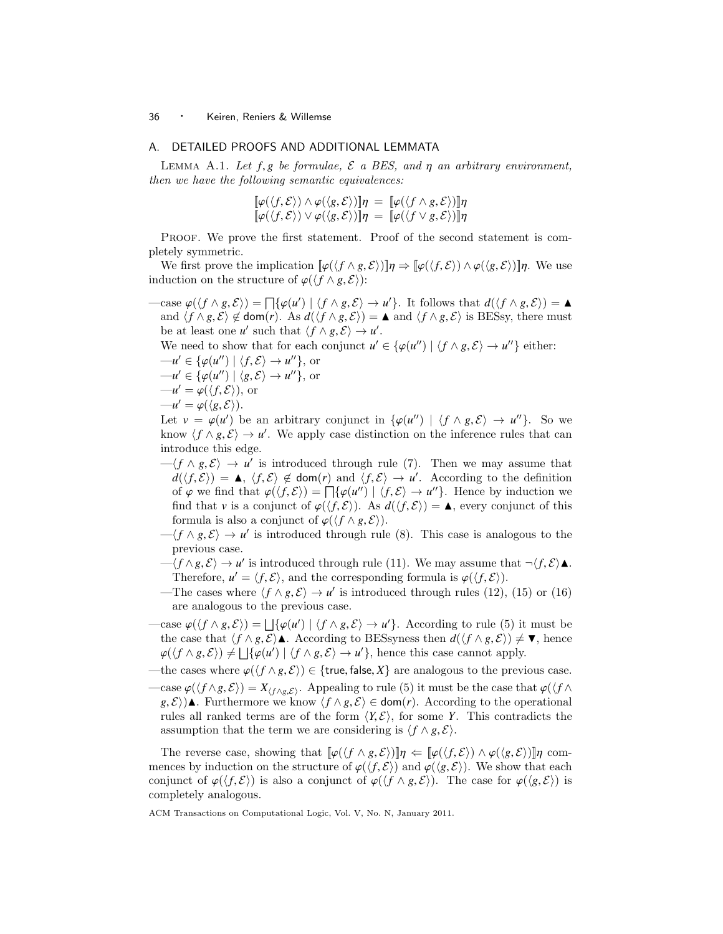## A. DETAILED PROOFS AND ADDITIONAL LEMMATA

LEMMA A.1. Let  $f, g$  be formulae,  $\mathcal E$  a BES, and  $\eta$  an arbitrary environment, then we have the following semantic equivalences:

$$
\begin{aligned}\n\llbracket \varphi(\langle f, \mathcal{E} \rangle) \wedge \varphi(\langle g, \mathcal{E} \rangle) \rrbracket \eta &= \llbracket \varphi(\langle f \wedge g, \mathcal{E} \rangle) \rrbracket \eta \\
\llbracket \varphi(\langle f, \mathcal{E} \rangle) \vee \varphi(\langle g, \mathcal{E} \rangle) \rrbracket \eta &= \llbracket \varphi(\langle f \vee g, \mathcal{E} \rangle) \rrbracket \eta\n\end{aligned}
$$

Proof. We prove the first statement. Proof of the second statement is completely symmetric.

We first prove the implication  $\llbracket \varphi(\langle f \wedge g, \mathcal{E} \rangle) \rrbracket \eta \Rightarrow \llbracket \varphi(\langle f, \mathcal{E} \rangle) \wedge \varphi(\langle g, \mathcal{E} \rangle) \rrbracket \eta$ . We use induction on the structure of  $\varphi(\langle f \wedge g, \mathcal{E} \rangle)$ :

 $-\text{case } \varphi(\langle f \wedge g, \mathcal{E} \rangle) = \prod \{ \varphi(u') \mid \langle f \wedge g, \mathcal{E} \rangle \rightarrow u' \}.$  It follows that  $d(\langle f \wedge g, \mathcal{E} \rangle) = \Delta$ <br>and  $\langle f \wedge g, \mathcal{E} \rangle \not\subset d$  dom(r)  $\Delta s$   $d(\langle f \wedge g, \mathcal{E} \rangle) = \Delta$  and  $\langle f \wedge g, \mathcal{E} \rangle$  is BESsy there must and  $\langle f \wedge g, \mathcal{E} \rangle \notin \text{dom}(r)$ . As  $d(\langle f \wedge g, \mathcal{E} \rangle) = \triangle$  and  $\langle f \wedge g, \mathcal{E} \rangle$  is BESsy, there must be at least one *u'* such that  $\langle f \wedge g, \mathcal{E} \rangle \rightarrow u'$ .<br>We need to show that for each conjunct *u'* 

We need to show that for each conjunct  $u' \in {\{\varphi(u'') \mid \langle f \land g, \mathcal{E} \rangle \rightarrow u''\}}$  either:<br> $u' \in {\{\varphi(u'') \mid \langle f, \mathcal{E} \rangle \rightarrow u''\}}$ 

$$
-u' \in \{\varphi(u'') \mid \langle f, \mathcal{E} \rangle \to u''\}, \text{ or}
$$
  

$$
-u' \in \{\varphi(u'') \mid \langle g, \mathcal{E} \rangle \to u'' \} \text{ or}
$$

$$
-u' \in {\varphi(u'') \mid \langle g, \mathcal{E} \rangle \to u'' }, \text{ or }
$$
  

$$
-u' = \varphi(\langle f, \mathcal{E} \rangle), \text{ or }
$$
  

$$
-u' = \varphi(\langle g, \mathcal{E} \rangle)
$$

$$
-u' = \varphi(\langle g, \mathcal{E} \rangle).
$$
  
Let  $v = \varphi(u')$ 

Let  $v = \varphi(u')$  be an arbitrary conjunct in  $\{\varphi(u'') \mid \langle f \wedge g, \mathcal{E} \rangle \to u''\}$ . So we know  $\langle f \wedge g, \mathcal{E} \rangle \to u'$ . We apply case distinction on the inference rules that can know  $\langle f \wedge g, \mathcal{E} \rangle \rightarrow u'$ . We apply case distinction on the inference rules that can introduce this edge introduce this edge.

- $-\langle f \wedge g, \mathcal{E} \rangle \rightarrow u'$  is introduced through rule (7). Then we may assume that  $d(f, \mathcal{E}) = \mathbf{A} / f, \mathcal{E} \preceq d \operatorname{com}(r)$  and  $\langle f, \mathcal{E} \rangle \rightarrow u'$ . According to the definition  $d(\langle f, \mathcal{E} \rangle) = \Delta$ ,  $\langle f, \mathcal{E} \rangle \notin \text{dom}(r)$  and  $\langle f, \mathcal{E} \rangle \to u'$ . According to the definition of  $\langle g, g \rangle$  and that  $\langle g(f, \mathcal{E}) \rangle = \Box f_{\mathcal{U}}(u' \rangle + \langle f, \mathcal{E} \rangle \rightarrow u''$ . Hence by induction we of  $\varphi$  we find that  $\varphi(\langle f, \mathcal{E} \rangle) = \prod \{ \varphi(u'') \mid \langle f, \mathcal{E} \rangle \to u'' \}$ . Hence by induction we find that *v* is a conjunct of  $\varphi((f, \mathcal{E}))$  As  $d((f, \mathcal{E})) = \blacktriangle$  every conjunct of this find that *v* is a conjunct of  $\varphi(\langle f, \mathcal{E} \rangle)$ . As  $d(\langle f, \mathcal{E} \rangle) = \triangle$ , every conjunct of this formula is also a conjunct of  $\varphi(\langle f \wedge g, \mathcal{E} \rangle)$ .
- $-\langle f \wedge g, \mathcal{E} \rangle \rightarrow u'$  is introduced through rule (8). This case is analogous to the previous case previous case.
- $-\langle f \wedge g, \mathcal{E} \rangle \rightarrow u'$  is introduced through rule (11). We may assume that  $\neg \langle f, \mathcal{E} \rangle \blacktriangle$ .<br>Therefore  $u' = \langle f, \mathcal{E} \rangle$  and the corresponding formula is  $\rho(\langle f, \mathcal{E} \rangle)$ . Therefore,  $u' = \langle f, \mathcal{E} \rangle$ , and the corresponding formula is  $\varphi(\langle f, \mathcal{E} \rangle)$ .<br>The cases where  $\langle f \wedge g, \mathcal{E} \rangle \rightarrow u'$  is introduced through rules (12).
- —The cases where  $\langle f \wedge g, \mathcal{E} \rangle \rightarrow u'$  is introduced through rules (12), (15) or (16) or analogous to the previous case are analogous to the previous case.
- $-\text{case } \varphi(\langle f \wedge g, \mathcal{E} \rangle) = \bigsqcup \{\varphi(u') \mid \langle f \wedge g, \mathcal{E} \rangle \to u'\}.$  According to rule (5) it must be the case that  $\langle f \wedge g, \mathcal{E} \rangle$  **A** decording to RESeyness than  $d(\langle f \wedge g, \mathcal{E} \rangle) \neq \blacktriangledown$  hance the case that  $\langle f \wedge g, \mathcal{E} \rangle$ **A**. According to BESsyness then  $d(\langle f \wedge g, \mathcal{E} \rangle) \neq \mathbf{V}$ , hence  $\varphi(\langle f \wedge g, \mathcal{E} \rangle) \neq \bigsqcup \{ \varphi(u') \mid \langle f \wedge g, \mathcal{E} \rangle \rightarrow u' \},$  hence this case cannot apply.
- —the cases where  $\varphi(\langle f \wedge g, \mathcal{E} \rangle) \in \{ \text{true}, \text{false}, X \}$  are analogous to the previous case.
- $-\text{case } \varphi(\langle f \wedge g, \mathcal{E} \rangle) = X_{\langle f \wedge g, \mathcal{E} \rangle}.$  Appealing to rule (5) it must be the case that  $\varphi(\langle f \wedge g, \mathcal{E} \rangle) = X_{\langle f \wedge g, \mathcal{E} \rangle}.$ *g*,  $\mathcal{E}$ ) **A**. Furthermore we know  $\langle f \wedge g, \mathcal{E} \rangle$  ∈ dom(*r*). According to the operational rules all ranked terms are of the form  $\langle Y, \mathcal{E} \rangle$ , for some *Y*. This contradicts the assumption that the term we are considering is  $\langle f \wedge g, \mathcal{E} \rangle$ .

The reverse case, showing that  $[\varphi(\langle f \wedge g, \mathcal{E} \rangle) ] \eta \leftarrow [\varphi(\langle f, \mathcal{E} \rangle) \wedge \varphi(\langle g, \mathcal{E} \rangle) ] \eta$  commences by induction on the structure of  $\varphi(\langle f, \mathcal{E} \rangle)$  and  $\varphi(\langle g, \mathcal{E} \rangle)$ . We show that each conjunct of  $\varphi(\langle f, \mathcal{E} \rangle)$  is also a conjunct of  $\varphi(\langle f \wedge g, \mathcal{E} \rangle)$ . The case for  $\varphi(\langle g, \mathcal{E} \rangle)$  is completely analogous.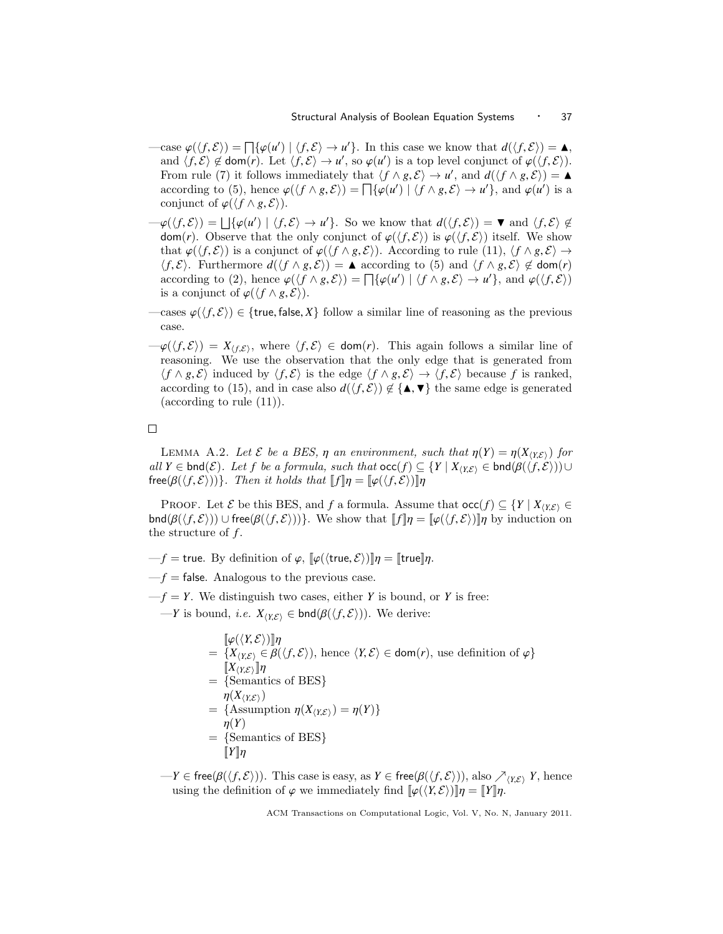- $-\text{case } \varphi(\langle f, \mathcal{E} \rangle) = \prod \{ \varphi(u') \mid \langle f, \mathcal{E} \rangle \to u' \}$ . In this case we know that  $d(\langle f, \mathcal{E} \rangle) = \Delta$ ,<br>and  $\langle f, \mathcal{E} \rangle \not\subset \text{dom}(r)$ . Let  $\langle f, \mathcal{E} \rangle \to u'$ , so  $\varphi(u')$  is a top level conjunct of  $\varphi((f, \mathcal{E}))$ . and  $\langle f, \mathcal{E} \rangle \notin \text{dom}(r)$ . Let  $\langle f, \mathcal{E} \rangle \to u'$ , so  $\varphi(u')$  is a top level conjunct of  $\varphi(\langle f, \mathcal{E} \rangle)$ .<br>From rule (7) it follows immediately that  $\langle f \wedge g, \mathcal{E} \rangle \to u'$  and  $d(\langle f \wedge g, \mathcal{E} \rangle) = \blacktriangle$ . From rule (7) it follows immediately that  $\langle f \wedge g, \mathcal{E} \rangle \rightarrow u'$ , and  $d(\langle f \wedge g, \mathcal{E} \rangle) = \Delta$ <br>according to (5) hence  $g(f \wedge g, \mathcal{E}) = \Box f(g(u') | f \wedge g, \mathcal{E}) \rightarrow u'$  and  $g(u')$  is a according to (5), hence  $\varphi(\langle f \wedge g, \mathcal{E} \rangle) = \prod \{\varphi(u') \mid \langle f \wedge g, \mathcal{E} \rangle \to u'\}$ , and  $\varphi(u')$  is a conjunct of  $\varphi((f \wedge g, \mathcal{E}))$ conjunct of  $\varphi$ ( $\langle f \wedge g, \mathcal{E} \rangle$ ).
- $-\varphi(\langle f, \mathcal{E} \rangle) = \bigsqcup \{\varphi(u') \mid \langle f, \mathcal{E} \rangle \to u'\}.$  So we know that  $d(\langle f, \mathcal{E} \rangle) = \mathbf{v}$  and  $\langle f, \mathcal{E} \rangle \notin$ <br>dom/r). Observe that the only conjunct of  $\varphi(f, \mathcal{E})$  is  $\varphi(f, \mathcal{E})$  itself. We show dom(*r*). Observe that the only conjunct of  $\varphi(\langle f,\mathcal{E}\rangle)$  is  $\varphi(\langle f,\mathcal{E}\rangle)$  itself. We show that  $\varphi(\langle f, \mathcal{E} \rangle)$  is a conjunct of  $\varphi(\langle f \wedge g, \mathcal{E} \rangle)$ . According to rule (11),  $\langle f \wedge g, \mathcal{E} \rangle \rightarrow$  $\langle f, \mathcal{E} \rangle$ . Furthermore  $d(\langle f \wedge g, \mathcal{E} \rangle) = \blacktriangle$  according to (5) and  $\langle f \wedge g, \mathcal{E} \rangle \notin \text{dom}(r)$ according to (2), hence  $\varphi(\langle f \wedge g, \mathcal{E} \rangle) = \prod \{\varphi(u') \mid \langle f \wedge g, \mathcal{E} \rangle \rightarrow u'\}$ , and  $\varphi(\langle f, \mathcal{E} \rangle)$ <br>is a conjunct of  $\varphi(\langle f \wedge g, \mathcal{E} \rangle)$ is a conjunct of  $\varphi(\langle f \wedge g, \mathcal{E} \rangle)$ .
- —cases  $\varphi(\langle f,\mathcal{E}\rangle) \in \{\text{true},\text{false},X\}$  follow a similar line of reasoning as the previous case.
- $-\varphi(\langle f,\mathcal{E}\rangle) = X_{\langle f,\mathcal{E}\rangle}$ , where  $\langle f,\mathcal{E}\rangle \in \text{dom}(r)$ . This again follows a similar line of reasoning. We use the observation that the only edge that is generated from  $\langle f \wedge g, \mathcal{E} \rangle$  induced by  $\langle f, \mathcal{E} \rangle$  is the edge  $\langle f \wedge g, \mathcal{E} \rangle \rightarrow \langle f, \mathcal{E} \rangle$  because *f* is ranked, according to (15), and in case also  $d(\langle f, \mathcal{E} \rangle) \notin {\{\blacktriangle, \blacktriangledown\}}$  the same edge is generated (according to rule (11)).

 $\Box$ 

LEMMA A.2. Let  $\mathcal E$  be a BES,  $\eta$  an environment, such that  $\eta(Y) = \eta(X_{\langle Y, \mathcal{E} \rangle})$  for all *Y* ∈ bnd( $\mathcal{E}$ ). Let *f* be a formula, such that  $occ(f) \subseteq {Y | X_{\langle Y, \mathcal{E} \rangle}}$  ∈ bnd( $\beta(\langle f, \mathcal{E} \rangle)$ )∪  ${\sf free}(\beta(\langle f, \mathcal{E} \rangle))$ . Then it holds that  $[\![ f ]\!] \eta = [\![ \varphi(\langle f, \mathcal{E} \rangle) ]\!] \eta$ 

PROOF. Let  $\mathcal{E}$  be this BES, and *f* a formula. Assume that  $\operatorname{occ}(f) \subseteq \{Y \mid X_{\langle Y,\mathcal{E} \rangle} \in$  $\text{bnd}(\beta(\langle f,\mathcal{E}\rangle)) \cup \text{free}(\beta(\langle f,\mathcal{E}\rangle))\}.$  We show that  $[[f]\eta = [[\varphi(\langle f,\mathcal{E}\rangle)]]\eta$  by induction on the structure of *f* .

 $-f$  = true. By definition of  $\varphi$ ,  $\lbrack \varphi(\langle \text{true}, \mathcal{E} \rangle) \rbrack \eta = \lbrack \text{true} \rbrack \eta$ .

 $-f$  = false. Analogous to the previous case.

 $-f = Y$ . We distinguish two cases, either *Y* is bound, or *Y* is free:

—*Y* is bound, *i.e.*  $X_{(Y,\mathcal{E})}$  ∈ bnd( $\beta(\langle f,\mathcal{E}\rangle)$ ). We derive:

$$
\begin{aligned}\n&[\varphi(\langle Y, \mathcal{E})]\n] \eta \\
&= \{X_{\langle Y, \mathcal{E}\rangle} \in \beta(\langle f, \mathcal{E} \rangle), \text{ hence } \langle Y, \mathcal{E} \rangle \in \text{dom}(r), \text{ use definition of } \varphi\} \\
&[\nX_{\langle Y, \mathcal{E} \rangle}\n] \eta \\
&= \{\text{Semantics of BES}\} \\
&\eta(X_{\langle Y, \mathcal{E} \rangle}) \\
&= \{\text{Assumption } \eta(X_{\langle Y, \mathcal{E} \rangle}) = \eta(Y)\} \\
&\eta(Y) \\
&= \{\text{Semantics of BES}\} \\
&\llbracket Y \rrbracket \eta\n\end{aligned}
$$

 $-Y \in \text{free}(\beta(\langle f, \mathcal{E} \rangle))$ . This case is easy, as  $Y \in \text{free}(\beta(\langle f, \mathcal{E} \rangle))$ , also  $\nearrow_{\langle Y, \mathcal{E} \rangle} Y$ , hence using the definition of  $\varphi$  we immediately find  $[\varphi(\langle Y, \mathcal{E} \rangle) ]\eta = [Y]\eta$ .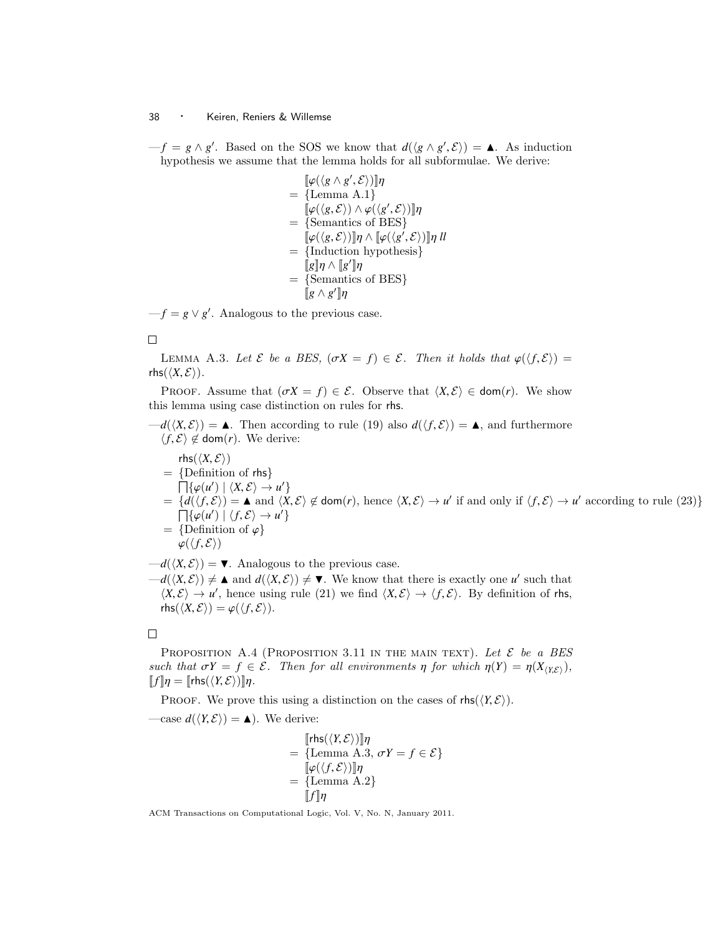$-f = g \wedge g'$ . Based on the SOS we know that  $d(\langle g \wedge g', \mathcal{E} \rangle) = \blacktriangle$ . As induction hypothesis we assume that the lemma holds for all subformulae. We derive: hypothesis we assume that the lemma holds for all subformulae. We derive:

$$
\begin{aligned}\n[\varphi(\langle g \wedge g', \mathcal{E} \rangle)]\eta \\
= {\text{Lemma A.1}} \\
[\varphi(\langle g, \mathcal{E} \rangle) \wedge \varphi(\langle g', \mathcal{E} \rangle)]\eta \\
= {\text{Semantics of BES}} \\
[\varphi(\langle g, \mathcal{E} \rangle)]\eta \wedge [\varphi(\langle g', \mathcal{E} \rangle)]\eta \, ll \\
= {\text{Induction hypothesis}} \\
[\![g]\eta \wedge [\![g']\eta]\n\end{aligned}
$$
\n
$$
= {\text{Semantics of BES}}\n[\![g \wedge g']\n]\eta
$$

 $-f = g \vee g'$ . Analogous to the previous case.

 $\Box$ 

LEMMA A.3. Let  $\mathcal E$  be a BES,  $(\sigma X = f) \in \mathcal E$ . Then it holds that  $\varphi(\langle f, \mathcal E \rangle) =$ rhs $(\langle X, \mathcal{E} \rangle)$ .

PROOF. Assume that  $(\sigma X = f) \in \mathcal{E}$ . Observe that  $\langle X, \mathcal{E} \rangle \in \text{dom}(r)$ . We show this lemma using case distinction on rules for rhs.

 $-d(\langle X,\mathcal{E}\rangle) = \triangle$ . Then according to rule (19) also  $d(\langle f,\mathcal{E}\rangle) = \triangle$ , and furthermore  $\langle f, \mathcal{E} \rangle$  ∉ dom(*r*). We derive:

$$
rhs(χ, ξ)
$$
\n= {Definition of rhs}  
\n= {Definition of rhs}  
\n
$$
\begin{aligned}\n&\prod\{\varphi(u') \mid \langle X, Ε \rangle \to u' \} \\
&= \{d(\langle f, ξ \rangle) = \blacktriangle \text{ and } \langle X, ξ \rangle \notin \text{dom}(r), \text{ hence } \langle X, Ε \rangle \to u' \text{ if and only if } \langle f, ξ \rangle \to u' \text{ according to rule (23)} \} \\
&= \{Definition of φ\} \\
&\varphi(\langle f, ξ \rangle) = \blacktriangle A \land \exists \varphi \text{ and } \exists \varphi \text{ and } \exists \varphi \text{ and } \exists \varphi \text{ and } \exists \varphi \text{ and } \exists \varphi \text{ and } \exists \varphi \text{ and } \exists \varphi \text{ and } \exists \varphi \text{ and } \exists \varphi \text{ and } \exists \varphi \text{ and } \exists \varphi \text{ and } \exists \varphi \text{ and } \exists \varphi \text{ and } \exists \varphi \text{ and } \exists \varphi \text{ and } \exists \varphi \text{ and } \exists \varphi \text{ and } \exists \varphi \text{ and } \exists \varphi \text{ and } \exists \varphi \text{ and } \exists \varphi \text{ and } \exists \varphi \text{ and } \exists \varphi \text{ and } \exists \varphi \text{ and } \exists \varphi \text{ and } \exists \varphi \text{ and } \exists \varphi \text{ and } \exists \varphi \text{ and } \exists \varphi \text{ and } \exists \varphi \text{ and } \exists \varphi \text{ and } \exists \varphi \text{ and } \exists \varphi \text{ and } \exists \varphi \text{ and } \exists \varphi \text{ and } \exists \varphi \text{ and } \exists \varphi \text{ and } \exists \varphi \text{ and } \exists \varphi \text{ and } \exists \varphi \text{ and } \exists \varphi \text{ and } \exists \varphi \text{ and } \exists \varphi \text{ and } \exists \varphi \text{ and } \exists \varphi \text{ and } \exists \varphi \text{ and } \exists \varphi \text{ and } \exists \varphi \text{ and } \exists \varphi \text{ and } \exists \varphi \text{ and } \exists \varphi \text{ and } \exists \varphi \text{ and } \exists \varphi \text{ and } \exists \varphi \text{ and } \exists \varphi \text{ and } \exists \varphi \text{
$$

 $-d(\langle X,\mathcal{E}\rangle) = \blacktriangledown$ . Analogous to the previous case.  $-d(\langle X,\mathcal{E}\rangle) \neq \blacksquare$  and  $d(\langle X,\mathcal{E}\rangle) \neq \blacksquare$ . We know that there is exactly one *u'* such that  $\langle X,\mathcal{E}\rangle \rightarrow u'$  hence using rule (21) we find  $\langle X,\mathcal{E}\rangle \rightarrow \langle f,\mathcal{E}\rangle$ . By definition of the  $\langle X, \mathcal{E} \rangle \to u'$ , hence using rule (21) we find  $\langle X, \mathcal{E} \rangle \to \langle f, \mathcal{E} \rangle$ . By definition of rhs,  $\mathsf{rhe}(\langle Y, \mathcal{E} \rangle) = \varphi(f, \mathcal{E})$  $\text{rhs}(\langle X, \mathcal{E} \rangle) = \varphi(\langle f, \mathcal{E} \rangle).$ 

 $\Box$ 

PROPOSITION A.4 (PROPOSITION 3.11 IN THE MAIN TEXT). Let  $\mathcal E$  be a BES such that  $\sigma Y = f \in \mathcal{E}$ . Then for all environments  $\eta$  for which  $\eta(Y) = \eta(X_{(X,\mathcal{E})})$ ,  $[[f]\eta = [[r\text{hs}(\langle Y, \mathcal{E}\rangle)]]\eta.$ 

PROOF. We prove this using a distinction on the cases of  $\mathsf{rhs}(\langle Y, \mathcal{E} \rangle)$ .

—case  $d(\langle Y, \mathcal{E} \rangle) = \triangle$ ). We derive:

$$
\begin{aligned} [\mathsf{rhs}(\langle \mathit{Y}, \mathcal{E} \rangle)] \eta \\ &= \{\text{Lemma A.3, } \sigma \mathit{Y} = \mathit{f} \in \mathcal{E} \} \\ [\![\varphi(\langle \mathit{f}, \mathcal{E} \rangle)] \eta \\ &= \{\text{Lemma A.2} \} \\ [\![\mathit{f}]\eta \end{aligned}
$$

 $\llbracket f \rrbracket \eta$ <br>ACM Transactions on Computational Logic, Vol. V, No. N, January 2011.